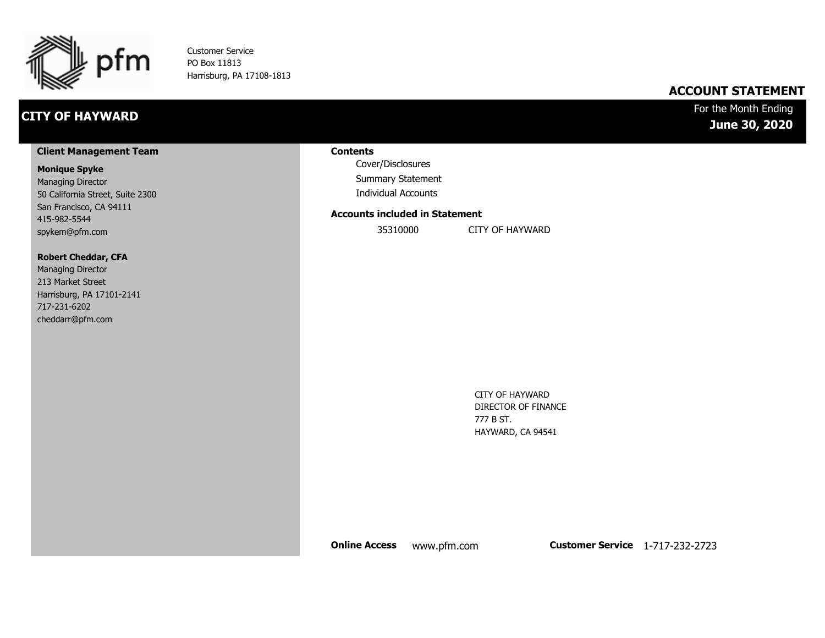

Customer Service PO Box 11813 Harrisburg, PA 17108-1813

## **CITY OF HAYWARD**

### **ACCOUNT STATEMENT**

### For the Month Ending **June 30, 2020**

#### **Client Management Team**

#### **Monique Spyke**

Managing Director 50 California Street, Suite 2300 San Francisco, CA 94111 415-982-5544 spykem@pfm.com

#### **Robert Cheddar, CFA**

| <b>Managing Director</b>  |
|---------------------------|
| 213 Market Street         |
| Harrisburg, PA 17101-2141 |
| 717-231-6202              |
| cheddarr@pfm.com          |

#### **Contents**

Cover/Disclosures Summary Statement Individual Accounts

#### **Accounts included in Statement**

35310000 CITY OF HAYWARD

CITY OF HAYWARD DIRECTOR OF FINANCE 777 B ST. HAYWARD, CA 94541

**Online Access** www.pfm.com **Customer Service** 1-717-232-2723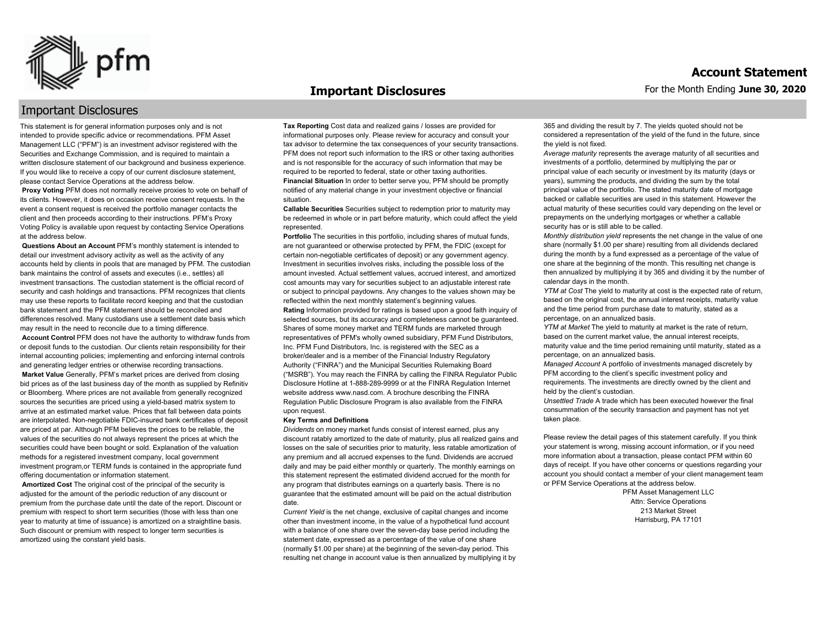

#### **Important Disclosures**

### Important Disclosures

This statement is for general information purposes only and is not intended to provide specific advice or recommendations. PFM Asset Management LLC ("PFM") is an investment advisor registered with the Securities and Exchange Commission, and is required to maintain a written disclosure statement of our background and business experience. If you would like to receive a copy of our current disclosure statement, please contact Service Operations at the address below.

**Proxy Voting** PFM does not normally receive proxies to vote on behalf of its clients. However, it does on occasion receive consent requests. In the event a consent request is received the portfolio manager contacts the client and then proceeds according to their instructions. PFM's Proxy Voting Policy is available upon request by contacting Service Operations at the address below.

**Questions About an Account** PFM's monthly statement is intended to detail our investment advisory activity as well as the activity of any accounts held by clients in pools that are managed by PFM. The custodian bank maintains the control of assets and executes (i.e., settles) all investment transactions. The custodian statement is the official record of security and cash holdings and transactions. PFM recognizes that clients may use these reports to facilitate record keeping and that the custodian bank statement and the PFM statement should be reconciled and differences resolved. Many custodians use a settlement date basis which may result in the need to reconcile due to a timing difference.

**Account Control** PFM does not have the authority to withdraw funds from or deposit funds to the custodian. Our clients retain responsibility for their internal accounting policies; implementing and enforcing internal controls and generating ledger entries or otherwise recording transactions.

**Market Value** Generally, PFM's market prices are derived from closing bid prices as of the last business day of the month as supplied by Refinitiv or Bloomberg. Where prices are not available from generally recognized sources the securities are priced using a yield-based matrix system to arrive at an estimated market value. Prices that fall between data points are interpolated. Non-negotiable FDIC-insured bank certificates of deposit are priced at par. Although PFM believes the prices to be reliable, the values of the securities do not always represent the prices at which the securities could have been bought or sold. Explanation of the valuation methods for a registered investment company, local government investment program,or TERM funds is contained in the appropriate fund offering documentation or information statement.

**Amortized Cost** The original cost of the principal of the security is adjusted for the amount of the periodic reduction of any discount or premium from the purchase date until the date of the report. Discount or premium with respect to short term securities (those with less than one year to maturity at time of issuance) is amortized on a straightline basis. Such discount or premium with respect to longer term securities is amortized using the constant yield basis.

**Tax Reporting** Cost data and realized gains / losses are provided for informational purposes only. Please review for accuracy and consult your tax advisor to determine the tax consequences of your security transactions. PFM does not report such information to the IRS or other taxing authorities and is not responsible for the accuracy of such information that may be required to be reported to federal, state or other taxing authorities. **Financial Situation** In order to better serve you, PFM should be promptly notified of any material change in your investment objective or financial situation.

**Callable Securities** Securities subject to redemption prior to maturity may be redeemed in whole or in part before maturity, which could affect the yield represented.

Portfolio The securities in this portfolio, including shares of mutual funds, are not guaranteed or otherwise protected by PFM, the FDIC (except for certain non-negotiable certificates of deposit) or any government agency. Investment in securities involves risks, including the possible loss of the amount invested. Actual settlement values, accrued interest, and amortized cost amounts may vary for securities subject to an adjustable interest rate or subject to principal paydowns. Any changes to the values shown may be reflected within the next monthly statement's beginning values. **Rating** Information provided for ratings is based upon a good faith inquiry of selected sources, but its accuracy and completeness cannot be guaranteed. Shares of some money market and TERM funds are marketed through representatives of PFM's wholly owned subsidiary, PFM Fund Distributors, Inc. PFM Fund Distributors, Inc. is registered with the SEC as a broker/dealer and is a member of the Financial Industry Regulatory Authority ("FINRA") and the Municipal Securities Rulemaking Board ("MSRB"). You may reach the FINRA by calling the FINRA Regulator Public Disclosure Hotline at 1-888-289-9999 or at the FINRA Regulation Internet website address www.nasd.com. A brochure describing the FINRA Regulation Public Disclosure Program is also available from the FINRA upon request.

#### **Key Terms and Definitions**

*Dividends* on money market funds consist of interest earned, plus any discount ratably amortized to the date of maturity, plus all realized gains and losses on the sale of securities prior to maturity, less ratable amortization of any premium and all accrued expenses to the fund. Dividends are accrued daily and may be paid either monthly or quarterly. The monthly earnings on this statement represent the estimated dividend accrued for the month for any program that distributes earnings on a quarterly basis. There is no guarantee that the estimated amount will be paid on the actual distribution date.

*Current Yield* is the net change, exclusive of capital changes and income other than investment income, in the value of a hypothetical fund account with a balance of one share over the seven-day base period including the statement date, expressed as a percentage of the value of one share (normally \$1.00 per share) at the beginning of the seven-day period. This resulting net change in account value is then annualized by multiplying it by 365 and dividing the result by 7. The yields quoted should not be considered a representation of the yield of the fund in the future, since the yield is not fixed.

*Average maturity* represents the average maturity of all securities and investments of a portfolio, determined by multiplying the par or principal value of each security or investment by its maturity (days or years), summing the products, and dividing the sum by the total principal value of the portfolio. The stated maturity date of mortgage backed or callable securities are used in this statement. However the actual maturity of these securities could vary depending on the level or prepayments on the underlying mortgages or whether a callable security has or is still able to be called.

*Monthly distribution yield* represents the net change in the value of one share (normally \$1.00 per share) resulting from all dividends declared during the month by a fund expressed as a percentage of the value of one share at the beginning of the month. This resulting net change is then annualized by multiplying it by 365 and dividing it by the number of calendar days in the month.

*YTM at Cost* The yield to maturity at cost is the expected rate of return, based on the original cost, the annual interest receipts, maturity value and the time period from purchase date to maturity, stated as a percentage, on an annualized basis.

*YTM at Market* The yield to maturity at market is the rate of return, based on the current market value, the annual interest receipts, maturity value and the time period remaining until maturity, stated as a percentage, on an annualized basis.

*Managed Account* A portfolio of investments managed discretely by PFM according to the client's specific investment policy and requirements. The investments are directly owned by the client and held by the client's custodian.

*Unsettled Trade* A trade which has been executed however the final consummation of the security transaction and payment has not yet taken place.

Please review the detail pages of this statement carefully. If you think your statement is wrong, missing account information, or if you need more information about a transaction, please contact PFM within 60 days of receipt. If you have other concerns or questions regarding your account you should contact a member of your client management team or PFM Service Operations at the address below.

> PFM Asset Management LLC Attn: Service Operations 213 Market Street Harrisburg, PA 17101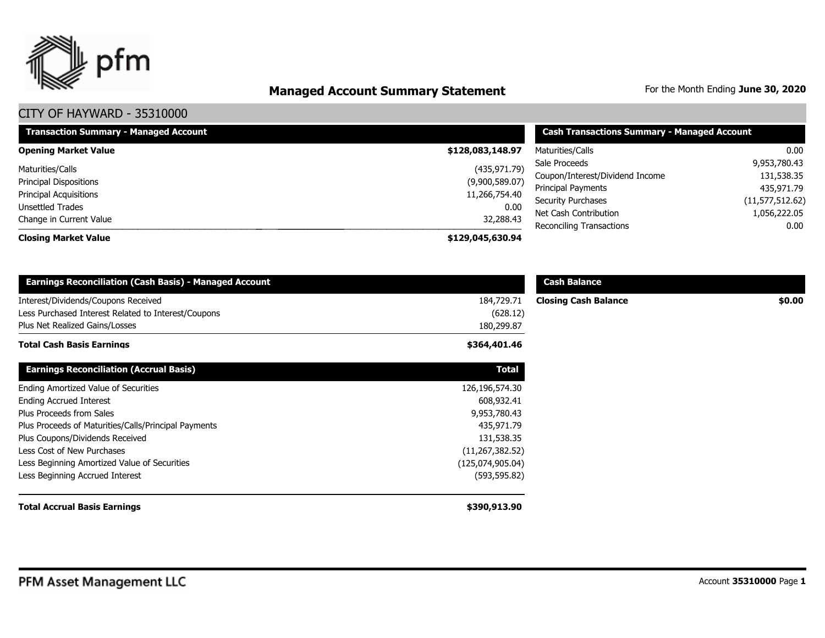

# **Managed Account Summary Statement** For the Month Ending June 30, 2020

| <b>Transaction Summary - Managed Account</b> | <b>Cash Transactions Summary - Managed Account</b> |                                 |                   |
|----------------------------------------------|----------------------------------------------------|---------------------------------|-------------------|
| <b>Opening Market Value</b>                  | \$128,083,148.97                                   | Maturities/Calls                | 0.00              |
| Maturities/Calls                             | (435, 971.79)                                      | Sale Proceeds                   | 9,953,780.43      |
| <b>Principal Dispositions</b>                | (9,900,589.07)                                     | Coupon/Interest/Dividend Income | 131,538.35        |
| <b>Principal Acquisitions</b>                | 11,266,754.40                                      | Principal Payments              | 435,971.79        |
| Unsettled Trades                             | 0.00                                               | <b>Security Purchases</b>       | (11, 577, 512.62) |
| Change in Current Value                      |                                                    | Net Cash Contribution           | 1,056,222.05      |
|                                              | 32,288.43                                          | <b>Reconciling Transactions</b> | 0.00              |
| <b>Closing Market Value</b>                  | \$129,045,630.94                                   |                                 |                   |

| <b>Earnings Reconciliation (Cash Basis) - Managed Account</b> |                   | <b>Cash Balance</b>         |        |
|---------------------------------------------------------------|-------------------|-----------------------------|--------|
| Interest/Dividends/Coupons Received                           | 184,729.71        | <b>Closing Cash Balance</b> | \$0.00 |
| Less Purchased Interest Related to Interest/Coupons           | (628.12)          |                             |        |
| Plus Net Realized Gains/Losses                                | 180,299.87        |                             |        |
| Total Cash Basis Earnings                                     | \$364,401.46      |                             |        |
| <b>Earnings Reconciliation (Accrual Basis)</b>                | <b>Total</b>      |                             |        |
| <b>Ending Amortized Value of Securities</b>                   | 126,196,574.30    |                             |        |
| <b>Ending Accrued Interest</b>                                | 608,932.41        |                             |        |
| Plus Proceeds from Sales                                      | 9,953,780.43      |                             |        |
| Plus Proceeds of Maturities/Calls/Principal Payments          | 435,971.79        |                             |        |
| Plus Coupons/Dividends Received                               | 131,538.35        |                             |        |
| Less Cost of New Purchases                                    | (11, 267, 382.52) |                             |        |
| Less Beginning Amortized Value of Securities                  | (125,074,905.04)  |                             |        |
| Less Beginning Accrued Interest                               | (593, 595.82)     |                             |        |
| <b>Total Accrual Basis Earnings</b>                           | \$390,913.90      |                             |        |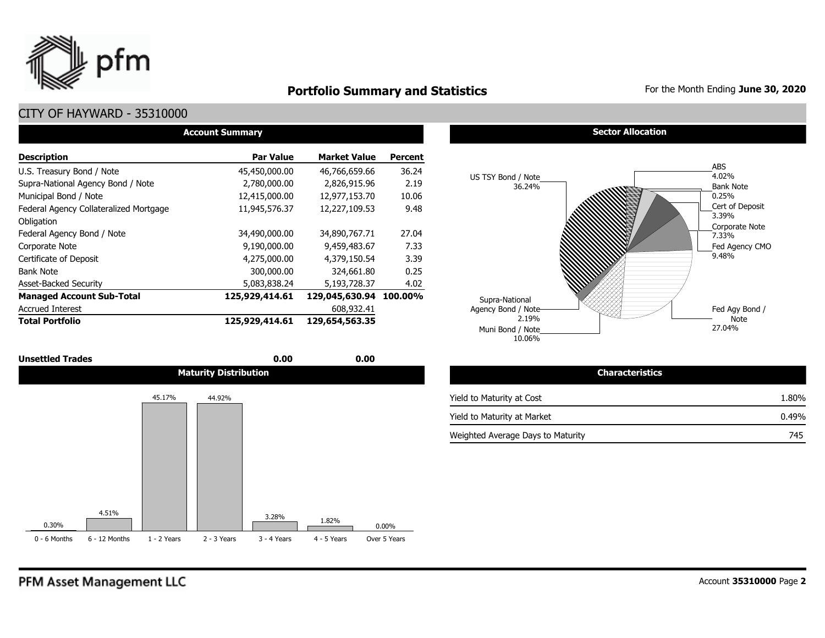

### **Portfolio Summary and Statistics** For the Month Ending June 30, 2020

| <b>Account Summary</b>                 |                  |                        |                |  |  |  |  |  |  |
|----------------------------------------|------------------|------------------------|----------------|--|--|--|--|--|--|
| <b>Description</b>                     | <b>Par Value</b> | <b>Market Value</b>    | <b>Percent</b> |  |  |  |  |  |  |
| U.S. Treasury Bond / Note              | 45,450,000.00    | 46,766,659.66          | 36.24          |  |  |  |  |  |  |
| Supra-National Agency Bond / Note      | 2,780,000.00     | 2,826,915.96           | 2.19           |  |  |  |  |  |  |
| Municipal Bond / Note                  | 12,415,000.00    | 12,977,153.70          | 10.06          |  |  |  |  |  |  |
| Federal Agency Collateralized Mortgage | 11,945,576.37    | 12,227,109.53          | 9.48           |  |  |  |  |  |  |
| Obligation                             |                  |                        |                |  |  |  |  |  |  |
| Federal Agency Bond / Note             | 34,490,000.00    | 34,890,767.71          | 27.04          |  |  |  |  |  |  |
| Corporate Note                         | 9,190,000.00     | 9,459,483.67           | 7.33           |  |  |  |  |  |  |
| Certificate of Deposit                 | 4,275,000.00     | 4,379,150.54           | 3.39           |  |  |  |  |  |  |
| <b>Bank Note</b>                       | 300,000.00       | 324,661.80             | 0.25           |  |  |  |  |  |  |
| <b>Asset-Backed Security</b>           | 5,083,838.24     | 5,193,728.37           | 4.02           |  |  |  |  |  |  |
| <b>Managed Account Sub-Total</b>       | 125,929,414.61   | 129,045,630.94 100.00% |                |  |  |  |  |  |  |
| <b>Accrued Interest</b>                |                  | 608,932.41             |                |  |  |  |  |  |  |
| <b>Total Portfolio</b>                 | 125,929,414.61   | 129,654,563.35         |                |  |  |  |  |  |  |

| <b>Unsettled Trades</b> | 0.00<br>$  -$                | 0.00<br>$  -$ |                                                    |
|-------------------------|------------------------------|---------------|----------------------------------------------------|
|                         | <b>Maturity Distribution</b> |               | teristics<br><b>START START START START</b><br>чюн |
|                         |                              |               |                                                    |







| <b>Characteristics</b>            |       |
|-----------------------------------|-------|
| Yield to Maturity at Cost         | 1.80% |
| Yield to Maturity at Market       | 0.49% |
| Weighted Average Days to Maturity | 745   |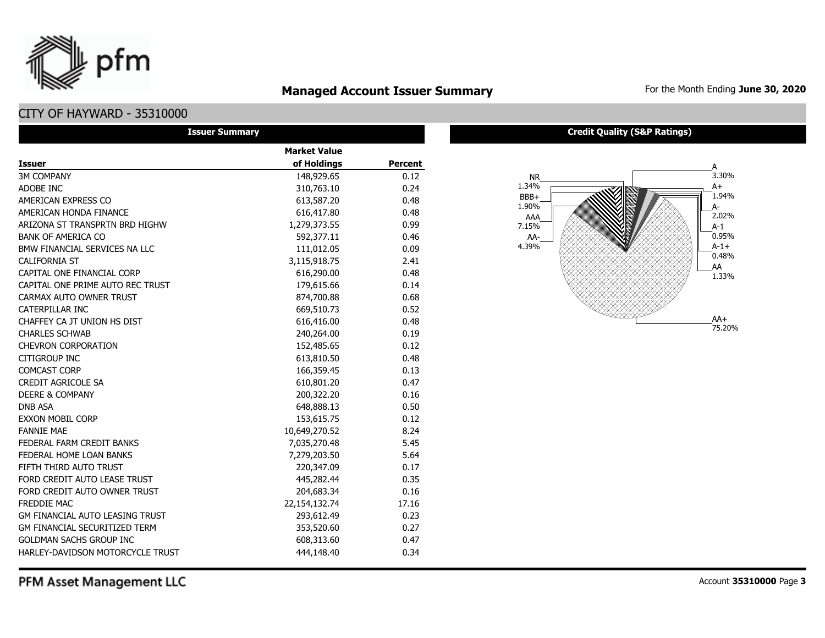### **Managed Account Issuer Summary** For the Month Ending June 30, 2020

## CITY OF HAYWARD - 35310000

pfm

| <b>Issuer Summary</b>                |                     |                |
|--------------------------------------|---------------------|----------------|
|                                      | <b>Market Value</b> |                |
| <b>Issuer</b>                        | of Holdings         | <b>Percent</b> |
| <b>3M COMPANY</b>                    | 148,929.65          | 0.12           |
| ADOBE INC                            | 310,763.10          | 0.24           |
| AMERICAN EXPRESS CO                  | 613,587.20          | 0.48           |
| AMERICAN HONDA FINANCE               | 616,417.80          | 0.48           |
| ARIZONA ST TRANSPRTN BRD HIGHW       | 1,279,373.55        | 0.99           |
| <b>BANK OF AMERICA CO</b>            | 592,377.11          | 0.46           |
| BMW FINANCIAL SERVICES NA LLC        | 111,012.05          | 0.09           |
| <b>CALIFORNIA ST</b>                 | 3,115,918.75        | 2.41           |
| CAPITAL ONE FINANCIAL CORP           | 616,290.00          | 0.48           |
| CAPITAL ONE PRIME AUTO REC TRUST     | 179,615.66          | 0.14           |
| CARMAX AUTO OWNER TRUST              | 874,700.88          | 0.68           |
| CATERPILLAR INC                      | 669,510.73          | 0.52           |
| CHAFFEY CA JT UNION HS DIST          | 616,416.00          | 0.48           |
| <b>CHARLES SCHWAB</b>                | 240,264.00          | 0.19           |
| <b>CHEVRON CORPORATION</b>           | 152,485.65          | 0.12           |
| CITIGROUP INC                        | 613,810.50          | 0.48           |
| <b>COMCAST CORP</b>                  | 166,359.45          | 0.13           |
| <b>CREDIT AGRICOLE SA</b>            | 610,801.20          | 0.47           |
| <b>DEERE &amp; COMPANY</b>           | 200,322.20          | 0.16           |
| <b>DNB ASA</b>                       | 648,888.13          | 0.50           |
| <b>EXXON MOBIL CORP</b>              | 153,615.75          | 0.12           |
| <b>FANNIE MAE</b>                    | 10,649,270.52       | 8.24           |
| FEDERAL FARM CREDIT BANKS            | 7,035,270.48        | 5.45           |
| FEDERAL HOME LOAN BANKS              | 7,279,203.50        | 5.64           |
| FIFTH THIRD AUTO TRUST               | 220,347.09          | 0.17           |
| FORD CREDIT AUTO LEASE TRUST         | 445,282.44          | 0.35           |
| FORD CREDIT AUTO OWNER TRUST         | 204,683.34          | 0.16           |
| <b>FREDDIE MAC</b>                   | 22,154,132.74       | 17.16          |
| GM FINANCIAL AUTO LEASING TRUST      | 293,612.49          | 0.23           |
| <b>GM FINANCIAL SECURITIZED TERM</b> | 353,520.60          | 0.27           |
| <b>GOLDMAN SACHS GROUP INC</b>       | 608,313.60          | 0.47           |
| HARLEY-DAVIDSON MOTORCYCLE TRUST     | 444,148.40          | 0.34           |

#### **Credit Quality (S&P Ratings)**

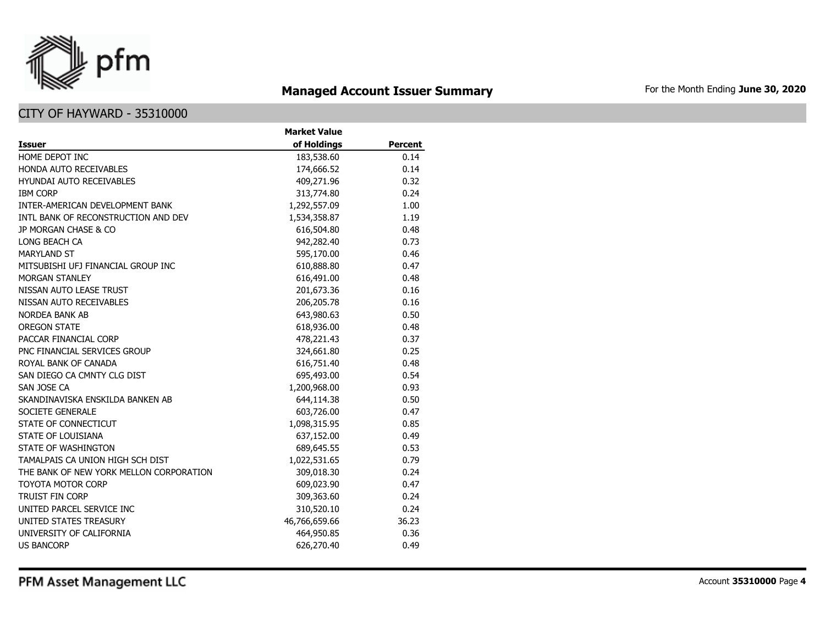

# **Managed Account Issuer Summary** For the Month Ending June 30, 2020

### CITY OF HAYWARD - 35310000

|                                         | <b>Market Value</b> |                |
|-----------------------------------------|---------------------|----------------|
| Issuer                                  | of Holdings         | <b>Percent</b> |
| HOME DEPOT INC                          | 183,538.60          | 0.14           |
| HONDA AUTO RECEIVABLES                  | 174,666.52          | 0.14           |
| <b>HYUNDAI AUTO RECEIVABLES</b>         | 409,271.96          | 0.32           |
| <b>IBM CORP</b>                         | 313,774.80          | 0.24           |
| INTER-AMERICAN DEVELOPMENT BANK         | 1,292,557.09        | 1.00           |
| INTL BANK OF RECONSTRUCTION AND DEV     | 1,534,358.87        | 1.19           |
| JP MORGAN CHASE & CO                    | 616,504.80          | 0.48           |
| LONG BEACH CA                           | 942,282.40          | 0.73           |
| <b>MARYLAND ST</b>                      | 595,170.00          | 0.46           |
| MITSUBISHI UFJ FINANCIAL GROUP INC      | 610,888.80          | 0.47           |
| <b>MORGAN STANLEY</b>                   | 616,491.00          | 0.48           |
| NISSAN AUTO LEASE TRUST                 | 201,673.36          | 0.16           |
| NISSAN AUTO RECEIVABLES                 | 206,205.78          | 0.16           |
| <b>NORDEA BANK AB</b>                   | 643,980.63          | 0.50           |
| <b>OREGON STATE</b>                     | 618,936.00          | 0.48           |
| PACCAR FINANCIAL CORP                   | 478,221.43          | 0.37           |
| PNC FINANCIAL SERVICES GROUP            | 324,661.80          | 0.25           |
| ROYAL BANK OF CANADA                    | 616,751.40          | 0.48           |
| SAN DIEGO CA CMNTY CLG DIST             | 695,493.00          | 0.54           |
| SAN JOSE CA                             | 1,200,968.00        | 0.93           |
| SKANDINAVISKA ENSKILDA BANKEN AB        | 644,114.38          | 0.50           |
| SOCIETE GENERALE                        | 603,726.00          | 0.47           |
| STATE OF CONNECTICUT                    | 1,098,315.95        | 0.85           |
| <b>STATE OF LOUISIANA</b>               | 637,152.00          | 0.49           |
| STATE OF WASHINGTON                     | 689,645.55          | 0.53           |
| TAMALPAIS CA UNION HIGH SCH DIST        | 1,022,531.65        | 0.79           |
| THE BANK OF NEW YORK MELLON CORPORATION | 309,018.30          | 0.24           |
| <b>TOYOTA MOTOR CORP</b>                | 609,023.90          | 0.47           |
| <b>TRUIST FIN CORP</b>                  | 309,363.60          | 0.24           |
| UNITED PARCEL SERVICE INC               | 310,520.10          | 0.24           |
| UNITED STATES TREASURY                  | 46,766,659.66       | 36.23          |
| UNIVERSITY OF CALIFORNIA                | 464,950.85          | 0.36           |
| <b>US BANCORP</b>                       | 626,270.40          | 0.49           |

PFM Asset Management LLC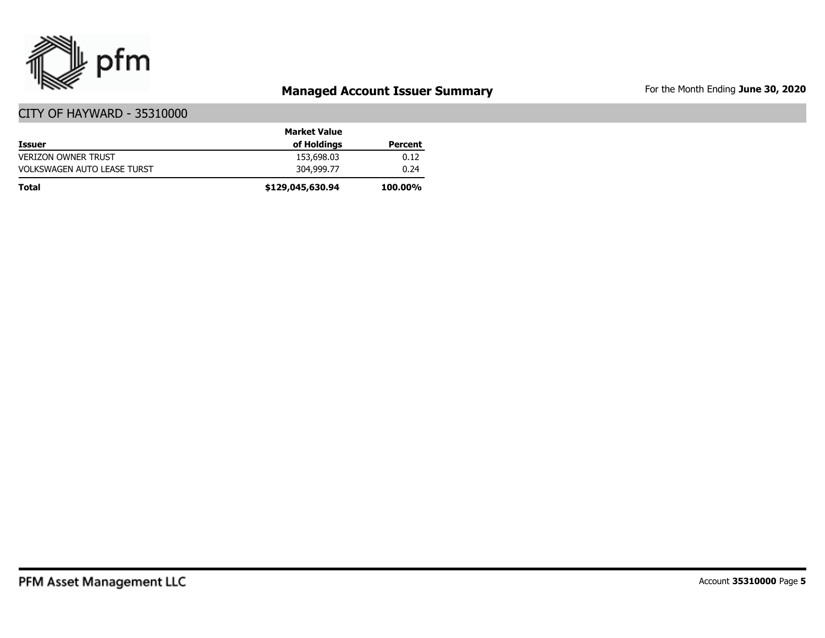

# **Managed Account Issuer Summary** For the Month Ending June 30, 2020

|                                    | <b>Market Value</b> |                |
|------------------------------------|---------------------|----------------|
| <b>Issuer</b>                      | of Holdings         | Percent        |
| <b>VERIZON OWNER TRUST</b>         | 153,698.03          | 0.12           |
| <b>VOLKSWAGEN AUTO LEASE TURST</b> | 304,999,77          | 0.24           |
| Total                              | \$129,045,630.94    | <b>100.00%</b> |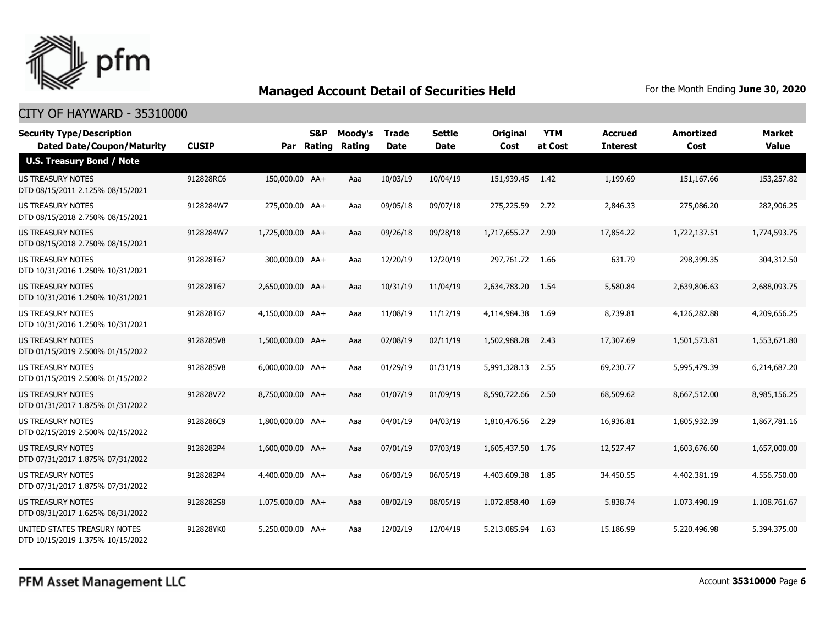

| <b>Security Type/Description</b><br><b>Dated Date/Coupon/Maturity</b> | <b>CUSIP</b> | Par              | S&P<br>Rating | Moody's<br>Rating | <b>Trade</b><br><b>Date</b> | <b>Settle</b><br><b>Date</b> | <b>Original</b><br>Cost | <b>YTM</b><br>at Cost | <b>Accrued</b><br><b>Interest</b> | <b>Amortized</b><br>Cost | <b>Market</b><br><b>Value</b> |
|-----------------------------------------------------------------------|--------------|------------------|---------------|-------------------|-----------------------------|------------------------------|-------------------------|-----------------------|-----------------------------------|--------------------------|-------------------------------|
| <b>U.S. Treasury Bond / Note</b>                                      |              |                  |               |                   |                             |                              |                         |                       |                                   |                          |                               |
| <b>US TREASURY NOTES</b><br>DTD 08/15/2011 2.125% 08/15/2021          | 912828RC6    | 150,000.00 AA+   |               | Aaa               | 10/03/19                    | 10/04/19                     | 151,939.45 1.42         |                       | 1,199.69                          | 151,167.66               | 153,257.82                    |
| US TREASURY NOTES<br>DTD 08/15/2018 2.750% 08/15/2021                 | 9128284W7    | 275,000.00 AA+   |               | Aaa               | 09/05/18                    | 09/07/18                     | 275,225.59              | 2.72                  | 2,846.33                          | 275,086.20               | 282,906.25                    |
| <b>US TREASURY NOTES</b><br>DTD 08/15/2018 2.750% 08/15/2021          | 9128284W7    | 1,725,000.00 AA+ |               | Aaa               | 09/26/18                    | 09/28/18                     | 1,717,655.27            | 2.90                  | 17,854.22                         | 1,722,137.51             | 1,774,593.75                  |
| US TREASURY NOTES<br>DTD 10/31/2016 1.250% 10/31/2021                 | 912828T67    | 300,000.00 AA+   |               | Aaa               | 12/20/19                    | 12/20/19                     | 297,761.72 1.66         |                       | 631.79                            | 298,399.35               | 304,312.50                    |
| <b>US TREASURY NOTES</b><br>DTD 10/31/2016 1.250% 10/31/2021          | 912828T67    | 2,650,000.00 AA+ |               | Aaa               | 10/31/19                    | 11/04/19                     | 2,634,783.20            | 1.54                  | 5,580.84                          | 2,639,806.63             | 2,688,093.75                  |
| <b>US TREASURY NOTES</b><br>DTD 10/31/2016 1.250% 10/31/2021          | 912828T67    | 4,150,000.00 AA+ |               | Aaa               | 11/08/19                    | 11/12/19                     | 4,114,984.38            | 1.69                  | 8,739.81                          | 4,126,282.88             | 4,209,656.25                  |
| US TREASURY NOTES<br>DTD 01/15/2019 2.500% 01/15/2022                 | 9128285V8    | 1,500,000.00 AA+ |               | Aaa               | 02/08/19                    | 02/11/19                     | 1,502,988.28            | 2.43                  | 17,307.69                         | 1,501,573.81             | 1,553,671.80                  |
| <b>US TREASURY NOTES</b><br>DTD 01/15/2019 2.500% 01/15/2022          | 9128285V8    | 6,000,000.00 AA+ |               | Aaa               | 01/29/19                    | 01/31/19                     | 5,991,328.13            | 2.55                  | 69,230.77                         | 5,995,479.39             | 6,214,687.20                  |
| US TREASURY NOTES<br>DTD 01/31/2017 1.875% 01/31/2022                 | 912828V72    | 8,750,000.00 AA+ |               | Aaa               | 01/07/19                    | 01/09/19                     | 8,590,722.66            | 2.50                  | 68,509.62                         | 8,667,512.00             | 8,985,156.25                  |
| <b>US TREASURY NOTES</b><br>DTD 02/15/2019 2.500% 02/15/2022          | 9128286C9    | 1,800,000.00 AA+ |               | Aaa               | 04/01/19                    | 04/03/19                     | 1,810,476.56            | 2.29                  | 16,936.81                         | 1,805,932.39             | 1,867,781.16                  |
| <b>US TREASURY NOTES</b><br>DTD 07/31/2017 1.875% 07/31/2022          | 9128282P4    | 1,600,000.00 AA+ |               | Aaa               | 07/01/19                    | 07/03/19                     | 1,605,437.50            | 1.76                  | 12,527.47                         | 1,603,676.60             | 1,657,000.00                  |
| <b>US TREASURY NOTES</b><br>DTD 07/31/2017 1.875% 07/31/2022          | 9128282P4    | 4,400,000.00 AA+ |               | Aaa               | 06/03/19                    | 06/05/19                     | 4,403,609.38            | 1.85                  | 34,450.55                         | 4,402,381.19             | 4,556,750.00                  |
| <b>US TREASURY NOTES</b><br>DTD 08/31/2017 1.625% 08/31/2022          | 9128282S8    | 1.075.000.00 AA+ |               | Aaa               | 08/02/19                    | 08/05/19                     | 1,072,858.40            | 1.69                  | 5,838.74                          | 1,073,490.19             | 1,108,761.67                  |
| UNITED STATES TREASURY NOTES<br>DTD 10/15/2019 1.375% 10/15/2022      | 912828YK0    | 5,250,000.00 AA+ |               | Aaa               | 12/02/19                    | 12/04/19                     | 5,213,085.94            | 1.63                  | 15,186.99                         | 5,220,496.98             | 5,394,375.00                  |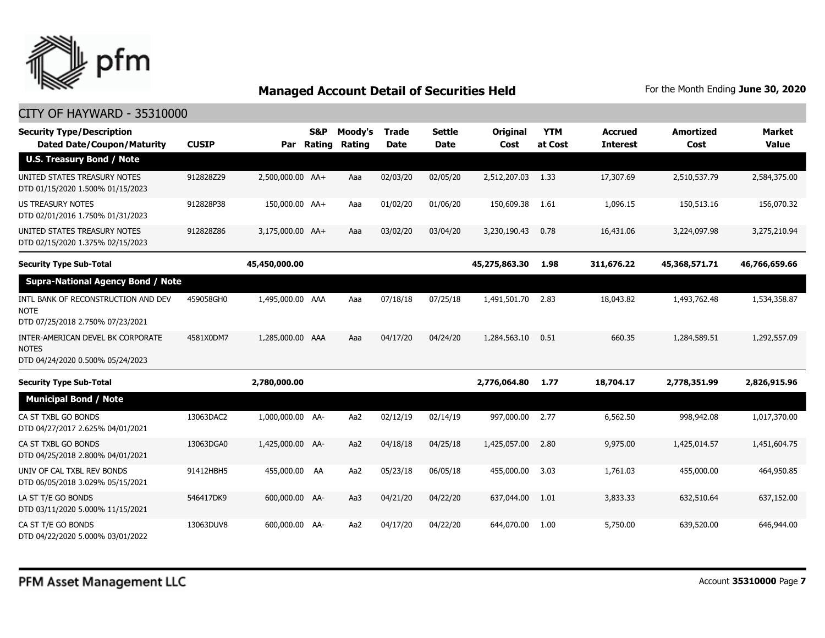

| <b>Security Type/Description</b><br><b>Dated Date/Coupon/Maturity</b>                  | <b>CUSIP</b> |                  | S&P<br>Par Rating | Moody's<br>Rating | <b>Trade</b><br><b>Date</b> | <b>Settle</b><br><b>Date</b> | Original<br>Cost | <b>YTM</b><br>at Cost | <b>Accrued</b><br><b>Interest</b> | <b>Amortized</b><br>Cost | <b>Market</b><br><b>Value</b> |
|----------------------------------------------------------------------------------------|--------------|------------------|-------------------|-------------------|-----------------------------|------------------------------|------------------|-----------------------|-----------------------------------|--------------------------|-------------------------------|
| <b>U.S. Treasury Bond / Note</b>                                                       |              |                  |                   |                   |                             |                              |                  |                       |                                   |                          |                               |
| UNITED STATES TREASURY NOTES<br>DTD 01/15/2020 1.500% 01/15/2023                       | 912828Z29    | 2,500,000.00 AA+ |                   | Aaa               | 02/03/20                    | 02/05/20                     | 2,512,207.03     | 1.33                  | 17,307.69                         | 2,510,537.79             | 2,584,375.00                  |
| <b>US TREASURY NOTES</b><br>DTD 02/01/2016 1.750% 01/31/2023                           | 912828P38    | 150,000.00 AA+   |                   | Aaa               | 01/02/20                    | 01/06/20                     | 150,609.38       | 1.61                  | 1,096.15                          | 150,513.16               | 156,070.32                    |
| UNITED STATES TREASURY NOTES<br>DTD 02/15/2020 1.375% 02/15/2023                       | 912828Z86    | 3,175,000.00 AA+ |                   | Aaa               | 03/02/20                    | 03/04/20                     | 3,230,190.43     | 0.78                  | 16,431.06                         | 3,224,097.98             | 3,275,210.94                  |
| <b>Security Type Sub-Total</b>                                                         |              | 45,450,000.00    |                   |                   |                             |                              | 45,275,863.30    | 1.98                  | 311,676.22                        | 45,368,571.71            | 46,766,659.66                 |
| <b>Supra-National Agency Bond / Note</b>                                               |              |                  |                   |                   |                             |                              |                  |                       |                                   |                          |                               |
| INTL BANK OF RECONSTRUCTION AND DEV<br><b>NOTE</b><br>DTD 07/25/2018 2.750% 07/23/2021 | 459058GH0    | 1,495,000.00 AAA |                   | Aaa               | 07/18/18                    | 07/25/18                     | 1,491,501.70     | 2.83                  | 18,043.82                         | 1,493,762.48             | 1,534,358.87                  |
| INTER-AMERICAN DEVEL BK CORPORATE<br><b>NOTES</b><br>DTD 04/24/2020 0.500% 05/24/2023  | 4581X0DM7    | 1,285,000.00 AAA |                   | Aaa               | 04/17/20                    | 04/24/20                     | 1,284,563.10     | 0.51                  | 660.35                            | 1,284,589.51             | 1,292,557.09                  |
| <b>Security Type Sub-Total</b>                                                         |              | 2,780,000.00     |                   |                   |                             |                              | 2,776,064.80     | 1.77                  | 18,704.17                         | 2,778,351.99             | 2,826,915.96                  |
| <b>Municipal Bond / Note</b>                                                           |              |                  |                   |                   |                             |                              |                  |                       |                                   |                          |                               |
| CA ST TXBL GO BONDS<br>DTD 04/27/2017 2.625% 04/01/2021                                | 13063DAC2    | 1,000,000.00 AA- |                   | Aa2               | 02/12/19                    | 02/14/19                     | 997,000.00       | 2.77                  | 6,562.50                          | 998,942.08               | 1,017,370.00                  |
| CA ST TXBL GO BONDS<br>DTD 04/25/2018 2.800% 04/01/2021                                | 13063DGA0    | 1,425,000.00 AA- |                   | Aa2               | 04/18/18                    | 04/25/18                     | 1,425,057.00     | 2.80                  | 9,975.00                          | 1,425,014.57             | 1,451,604.75                  |
| UNIV OF CAL TXBL REV BONDS<br>DTD 06/05/2018 3.029% 05/15/2021                         | 91412HBH5    | 455,000.00 AA    |                   | Aa2               | 05/23/18                    | 06/05/18                     | 455,000.00       | 3.03                  | 1,761.03                          | 455,000.00               | 464,950.85                    |
| LA ST T/E GO BONDS<br>DTD 03/11/2020 5.000% 11/15/2021                                 | 546417DK9    | 600,000.00 AA-   |                   | Aa3               | 04/21/20                    | 04/22/20                     | 637,044.00       | 1.01                  | 3,833.33                          | 632,510.64               | 637,152.00                    |
| CA ST T/E GO BONDS<br>DTD 04/22/2020 5.000% 03/01/2022                                 | 13063DUV8    | 600,000.00 AA-   |                   | Aa2               | 04/17/20                    | 04/22/20                     | 644,070.00       | 1.00                  | 5,750.00                          | 639,520.00               | 646,944.00                    |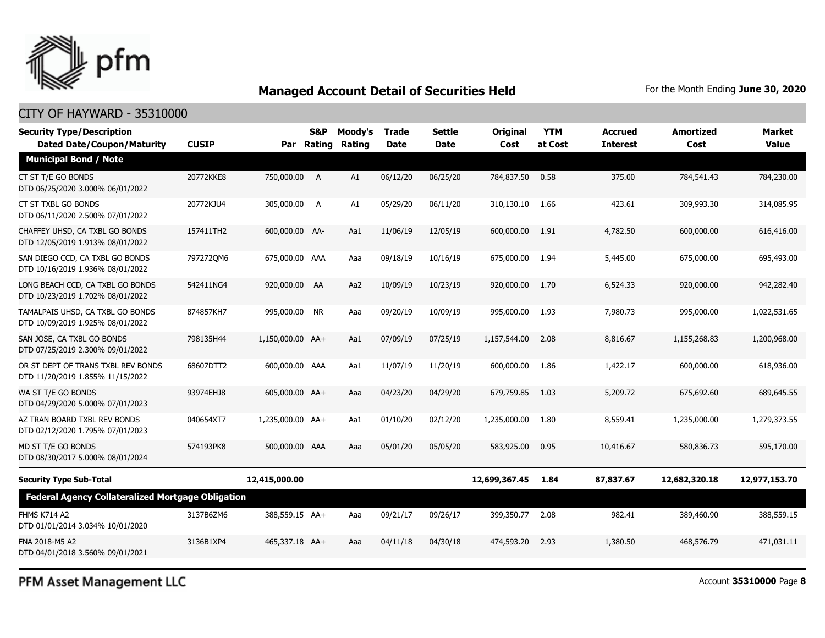

#### CITY OF HAYWARD - 35310000

| <b>Security Type/Description</b><br><b>Dated Date/Coupon/Maturity</b>  | <b>CUSIP</b> |                  | S&P<br>Par Rating | Moody's<br>Rating | <b>Trade</b><br><b>Date</b> | Settle<br><b>Date</b> | <b>Original</b><br>Cost | <b>YTM</b><br>at Cost | <b>Accrued</b><br><b>Interest</b> | <b>Amortized</b><br>Cost | <b>Market</b><br><b>Value</b> |
|------------------------------------------------------------------------|--------------|------------------|-------------------|-------------------|-----------------------------|-----------------------|-------------------------|-----------------------|-----------------------------------|--------------------------|-------------------------------|
| <b>Municipal Bond / Note</b>                                           |              |                  |                   |                   |                             |                       |                         |                       |                                   |                          |                               |
| CT ST T/E GO BONDS<br>DTD 06/25/2020 3.000% 06/01/2022                 | 20772KKE8    | 750,000.00 A     |                   | A1                | 06/12/20                    | 06/25/20              | 784,837.50              | 0.58                  | 375.00                            | 784,541.43               | 784,230.00                    |
| CT ST TXBL GO BONDS<br>DTD 06/11/2020 2.500% 07/01/2022                | 20772KJU4    | 305,000.00 A     |                   | A1                | 05/29/20                    | 06/11/20              | 310,130.10              | 1.66                  | 423.61                            | 309,993.30               | 314,085.95                    |
| CHAFFEY UHSD, CA TXBL GO BONDS<br>DTD 12/05/2019 1.913% 08/01/2022     | 157411TH2    | 600,000.00 AA-   |                   | Aa1               | 11/06/19                    | 12/05/19              | 600,000.00              | 1.91                  | 4,782.50                          | 600,000.00               | 616,416.00                    |
| SAN DIEGO CCD, CA TXBL GO BONDS<br>DTD 10/16/2019 1.936% 08/01/2022    | 7972720M6    | 675,000.00 AAA   |                   | Aaa               | 09/18/19                    | 10/16/19              | 675,000.00              | 1.94                  | 5,445.00                          | 675,000.00               | 695,493.00                    |
| LONG BEACH CCD, CA TXBL GO BONDS<br>DTD 10/23/2019 1.702% 08/01/2022   | 542411NG4    | 920,000.00 AA    |                   | Aa2               | 10/09/19                    | 10/23/19              | 920,000.00              | 1.70                  | 6,524.33                          | 920,000.00               | 942,282,40                    |
| TAMALPAIS UHSD, CA TXBL GO BONDS<br>DTD 10/09/2019 1.925% 08/01/2022   | 874857KH7    | 995,000.00 NR    |                   | Aaa               | 09/20/19                    | 10/09/19              | 995,000.00              | 1.93                  | 7,980.73                          | 995,000.00               | 1,022,531.65                  |
| SAN JOSE, CA TXBL GO BONDS<br>DTD 07/25/2019 2.300% 09/01/2022         | 798135H44    | 1,150,000.00 AA+ |                   | Aa1               | 07/09/19                    | 07/25/19              | 1,157,544.00            | 2.08                  | 8,816,67                          | 1,155,268.83             | 1,200,968.00                  |
| OR ST DEPT OF TRANS TXBL REV BONDS<br>DTD 11/20/2019 1.855% 11/15/2022 | 68607DTT2    | 600,000.00 AAA   |                   | Aa1               | 11/07/19                    | 11/20/19              | 600,000.00              | 1.86                  | 1,422.17                          | 600,000.00               | 618,936.00                    |
| WA ST T/E GO BONDS<br>DTD 04/29/2020 5.000% 07/01/2023                 | 93974EHJ8    | 605,000.00 AA+   |                   | Aaa               | 04/23/20                    | 04/29/20              | 679,759.85              | 1.03                  | 5,209.72                          | 675,692.60               | 689,645.55                    |
| AZ TRAN BOARD TXBL REV BONDS<br>DTD 02/12/2020 1.795% 07/01/2023       | 040654XT7    | 1,235,000.00 AA+ |                   | Aa1               | 01/10/20                    | 02/12/20              | 1,235,000.00            | 1.80                  | 8,559.41                          | 1,235,000.00             | 1,279,373.55                  |
| MD ST T/E GO BONDS<br>DTD 08/30/2017 5.000% 08/01/2024                 | 574193PK8    | 500,000.00 AAA   |                   | Aaa               | 05/01/20                    | 05/05/20              | 583,925.00              | 0.95                  | 10,416.67                         | 580,836.73               | 595,170.00                    |
| <b>Security Type Sub-Total</b>                                         |              | 12,415,000.00    |                   |                   |                             |                       | 12,699,367.45           | 1.84                  | 87,837.67                         | 12,682,320.18            | 12,977,153.70                 |
| <b>Federal Agency Collateralized Mortgage Obligation</b>               |              |                  |                   |                   |                             |                       |                         |                       |                                   |                          |                               |
| <b>FHMS K714 A2</b><br>DTD 01/01/2014 3.034% 10/01/2020                | 3137B6ZM6    | 388,559.15 AA+   |                   | Aaa               | 09/21/17                    | 09/26/17              | 399,350.77              | 2.08                  | 982.41                            | 389,460.90               | 388,559.15                    |
| FNA 2018-M5 A2<br>DTD 04/01/2018 3.560% 09/01/2021                     | 3136B1XP4    | 465,337.18 AA+   |                   | Aaa               | 04/11/18                    | 04/30/18              | 474,593.20              | 2.93                  | 1,380.50                          | 468,576.79               | 471.031.11                    |

PFM Asset Management LLC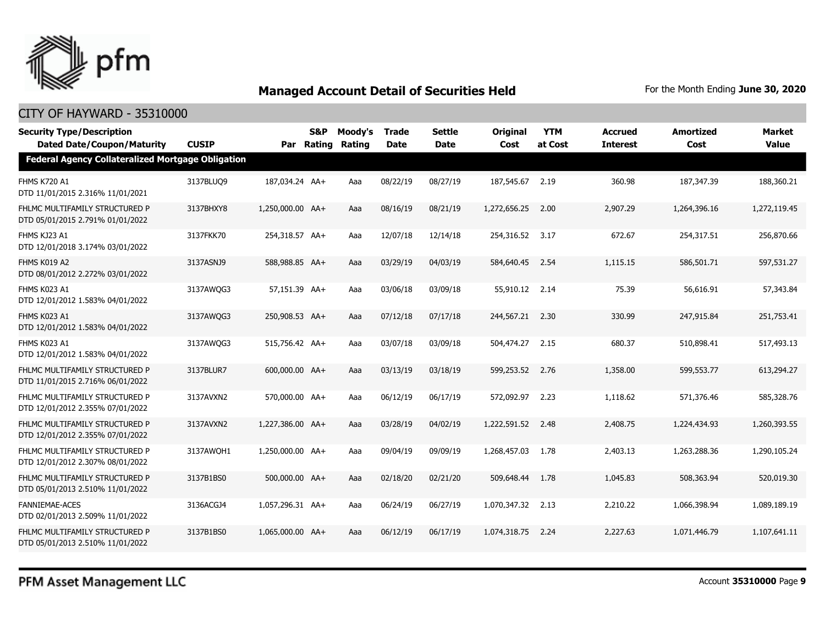

| <b>Security Type/Description</b><br><b>Dated Date/Coupon/Maturity</b> | <b>CUSIP</b> |                  | S&P<br>Par Rating | Moody's<br>Rating | <b>Trade</b><br><b>Date</b> | <b>Settle</b><br><b>Date</b> | <b>Original</b><br>Cost | <b>YTM</b><br>at Cost | Accrued<br><b>Interest</b> | <b>Amortized</b><br>Cost | Market<br><b>Value</b> |
|-----------------------------------------------------------------------|--------------|------------------|-------------------|-------------------|-----------------------------|------------------------------|-------------------------|-----------------------|----------------------------|--------------------------|------------------------|
| <b>Federal Agency Collateralized Mortgage Obligation</b>              |              |                  |                   |                   |                             |                              |                         |                       |                            |                          |                        |
| <b>FHMS K720 A1</b><br>DTD 11/01/2015 2.316% 11/01/2021               | 3137BLUQ9    | 187,034.24 AA+   |                   | Aaa               | 08/22/19                    | 08/27/19                     | 187,545.67              | 2.19                  | 360.98                     | 187,347.39               | 188,360.21             |
| FHLMC MULTIFAMILY STRUCTURED P<br>DTD 05/01/2015 2.791% 01/01/2022    | 3137BHXY8    | 1,250,000.00 AA+ |                   | Aaa               | 08/16/19                    | 08/21/19                     | 1,272,656.25            | 2.00                  | 2,907.29                   | 1,264,396.16             | 1,272,119.45           |
| FHMS KJ23 A1<br>DTD 12/01/2018 3.174% 03/01/2022                      | 3137FKK70    | 254,318.57 AA+   |                   | Aaa               | 12/07/18                    | 12/14/18                     | 254,316.52              | 3.17                  | 672.67                     | 254,317.51               | 256,870.66             |
| FHMS K019 A2<br>DTD 08/01/2012 2.272% 03/01/2022                      | 3137ASNJ9    | 588,988.85 AA+   |                   | Aaa               | 03/29/19                    | 04/03/19                     | 584,640.45              | 2.54                  | 1,115.15                   | 586,501.71               | 597,531.27             |
| FHMS K023 A1<br>DTD 12/01/2012 1.583% 04/01/2022                      | 3137AWQG3    | 57,151.39 AA+    |                   | Aaa               | 03/06/18                    | 03/09/18                     | 55,910.12 2.14          |                       | 75.39                      | 56,616.91                | 57,343.84              |
| FHMS K023 A1<br>DTD 12/01/2012 1.583% 04/01/2022                      | 3137AWQG3    | 250,908.53 AA+   |                   | Aaa               | 07/12/18                    | 07/17/18                     | 244,567,21 2.30         |                       | 330.99                     | 247,915.84               | 251,753.41             |
| FHMS K023 A1<br>DTD 12/01/2012 1.583% 04/01/2022                      | 3137AWQG3    | 515,756.42 AA+   |                   | Aaa               | 03/07/18                    | 03/09/18                     | 504,474.27              | 2.15                  | 680.37                     | 510,898.41               | 517,493.13             |
| FHLMC MULTIFAMILY STRUCTURED P<br>DTD 11/01/2015 2.716% 06/01/2022    | 3137BLUR7    | 600,000.00 AA+   |                   | Aaa               | 03/13/19                    | 03/18/19                     | 599,253.52 2.76         |                       | 1,358.00                   | 599,553.77               | 613,294.27             |
| FHLMC MULTIFAMILY STRUCTURED P<br>DTD 12/01/2012 2.355% 07/01/2022    | 3137AVXN2    | 570,000.00 AA+   |                   | Aaa               | 06/12/19                    | 06/17/19                     | 572,092.97              | 2.23                  | 1,118.62                   | 571,376.46               | 585,328.76             |
| FHLMC MULTIFAMILY STRUCTURED P<br>DTD 12/01/2012 2.355% 07/01/2022    | 3137AVXN2    | 1,227,386.00 AA+ |                   | Aaa               | 03/28/19                    | 04/02/19                     | 1,222,591.52            | 2.48                  | 2,408.75                   | 1,224,434.93             | 1,260,393.55           |
| FHLMC MULTIFAMILY STRUCTURED P<br>DTD 12/01/2012 2.307% 08/01/2022    | 3137AWOH1    | 1,250,000.00 AA+ |                   | Aaa               | 09/04/19                    | 09/09/19                     | 1,268,457.03            | 1.78                  | 2,403.13                   | 1,263,288,36             | 1,290,105.24           |
| FHLMC MULTIFAMILY STRUCTURED P<br>DTD 05/01/2013 2.510% 11/01/2022    | 3137B1BS0    | 500,000.00 AA+   |                   | Aaa               | 02/18/20                    | 02/21/20                     | 509,648.44              | 1.78                  | 1,045.83                   | 508,363.94               | 520,019.30             |
| <b>FANNIEMAE-ACES</b><br>DTD 02/01/2013 2.509% 11/01/2022             | 3136ACGJ4    | 1,057,296.31 AA+ |                   | Aaa               | 06/24/19                    | 06/27/19                     | 1,070,347.32 2.13       |                       | 2,210.22                   | 1,066,398.94             | 1,089,189.19           |
| FHLMC MULTIFAMILY STRUCTURED P<br>DTD 05/01/2013 2.510% 11/01/2022    | 3137B1BS0    | 1,065,000.00 AA+ |                   | Aaa               | 06/12/19                    | 06/17/19                     | 1,074,318,75            | 2.24                  | 2,227.63                   | 1,071,446.79             | 1,107,641.11           |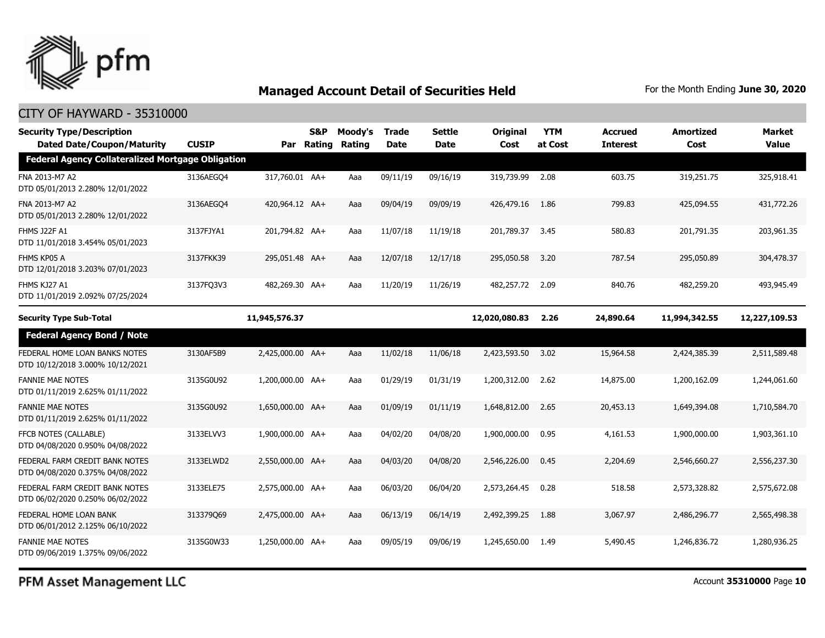

#### CITY OF HAYWARD - 35310000

| <b>Security Type/Description</b><br><b>Dated Date/Coupon/Maturity</b> | <b>CUSIP</b> |                  | <b>S&amp;P</b><br>Par Rating | Moody's<br>Rating | Trade<br><b>Date</b> | Settle<br>Date | Original<br>Cost | <b>YTM</b><br>at Cost | <b>Accrued</b><br><b>Interest</b> | Amortized<br>Cost | <b>Market</b><br><b>Value</b> |
|-----------------------------------------------------------------------|--------------|------------------|------------------------------|-------------------|----------------------|----------------|------------------|-----------------------|-----------------------------------|-------------------|-------------------------------|
| <b>Federal Agency Collateralized Mortgage Obligation</b>              |              |                  |                              |                   |                      |                |                  |                       |                                   |                   |                               |
| FNA 2013-M7 A2<br>DTD 05/01/2013 2.280% 12/01/2022                    | 3136AEGO4    | 317,760.01 AA+   |                              | Aaa               | 09/11/19             | 09/16/19       | 319,739.99       | 2.08                  | 603.75                            | 319,251.75        | 325,918.41                    |
| FNA 2013-M7 A2<br>DTD 05/01/2013 2.280% 12/01/2022                    | 3136AEGO4    | 420,964.12 AA+   |                              | Aaa               | 09/04/19             | 09/09/19       | 426,479.16       | 1.86                  | 799.83                            | 425,094.55        | 431,772.26                    |
| <b>FHMS J22F A1</b><br>DTD 11/01/2018 3.454% 05/01/2023               | 3137FJYA1    | 201,794.82 AA+   |                              | Aaa               | 11/07/18             | 11/19/18       | 201,789.37       | 3.45                  | 580.83                            | 201,791.35        | 203,961.35                    |
| FHMS KP05 A<br>DTD 12/01/2018 3.203% 07/01/2023                       | 3137FKK39    | 295,051.48 AA+   |                              | Aaa               | 12/07/18             | 12/17/18       | 295,050.58       | 3.20                  | 787.54                            | 295,050.89        | 304,478.37                    |
| FHMS KJ27 A1<br>DTD 11/01/2019 2.092% 07/25/2024                      | 3137FO3V3    | 482,269.30 AA+   |                              | Aaa               | 11/20/19             | 11/26/19       | 482.257.72 2.09  |                       | 840.76                            | 482,259.20        | 493,945.49                    |
| <b>Security Type Sub-Total</b>                                        |              | 11,945,576.37    |                              |                   |                      |                | 12,020,080.83    | 2.26                  | 24,890.64                         | 11,994,342.55     | 12,227,109.53                 |
| <b>Federal Agency Bond / Note</b>                                     |              |                  |                              |                   |                      |                |                  |                       |                                   |                   |                               |
| FEDERAL HOME LOAN BANKS NOTES<br>DTD 10/12/2018 3.000% 10/12/2021     | 3130AF5B9    | 2,425,000.00 AA+ |                              | Aaa               | 11/02/18             | 11/06/18       | 2,423,593.50     | 3.02                  | 15,964.58                         | 2,424,385.39      | 2,511,589.48                  |
| <b>FANNIE MAE NOTES</b><br>DTD 01/11/2019 2.625% 01/11/2022           | 3135G0U92    | 1,200,000.00 AA+ |                              | Aaa               | 01/29/19             | 01/31/19       | 1,200,312.00     | 2.62                  | 14,875.00                         | 1,200,162.09      | 1,244,061.60                  |
| <b>FANNIE MAE NOTES</b><br>DTD 01/11/2019 2.625% 01/11/2022           | 3135G0U92    | 1,650,000.00 AA+ |                              | Aaa               | 01/09/19             | 01/11/19       | 1,648,812.00     | 2.65                  | 20,453.13                         | 1,649,394.08      | 1,710,584.70                  |
| FFCB NOTES (CALLABLE)<br>DTD 04/08/2020 0.950% 04/08/2022             | 3133ELVV3    | 1,900,000.00 AA+ |                              | Aaa               | 04/02/20             | 04/08/20       | 1,900,000.00     | 0.95                  | 4,161.53                          | 1,900,000.00      | 1,903,361.10                  |
| FEDERAL FARM CREDIT BANK NOTES<br>DTD 04/08/2020 0.375% 04/08/2022    | 3133ELWD2    | 2,550,000.00 AA+ |                              | Aaa               | 04/03/20             | 04/08/20       | 2,546,226.00     | 0.45                  | 2,204.69                          | 2,546,660.27      | 2,556,237.30                  |
| FEDERAL FARM CREDIT BANK NOTES<br>DTD 06/02/2020 0.250% 06/02/2022    | 3133ELE75    | 2,575,000.00 AA+ |                              | Aaa               | 06/03/20             | 06/04/20       | 2,573,264.45     | 0.28                  | 518.58                            | 2,573,328.82      | 2,575,672.08                  |
| FEDERAL HOME LOAN BANK<br>DTD 06/01/2012 2.125% 06/10/2022            | 313379069    | 2,475,000.00 AA+ |                              | Aaa               | 06/13/19             | 06/14/19       | 2,492,399.25     | 1.88                  | 3,067.97                          | 2,486,296.77      | 2,565,498.38                  |
| <b>FANNIE MAE NOTES</b><br>DTD 09/06/2019 1.375% 09/06/2022           | 3135G0W33    | 1,250,000.00 AA+ |                              | Aaa               | 09/05/19             | 09/06/19       | 1,245,650,00     | 1.49                  | 5,490.45                          | 1,246,836.72      | 1,280,936.25                  |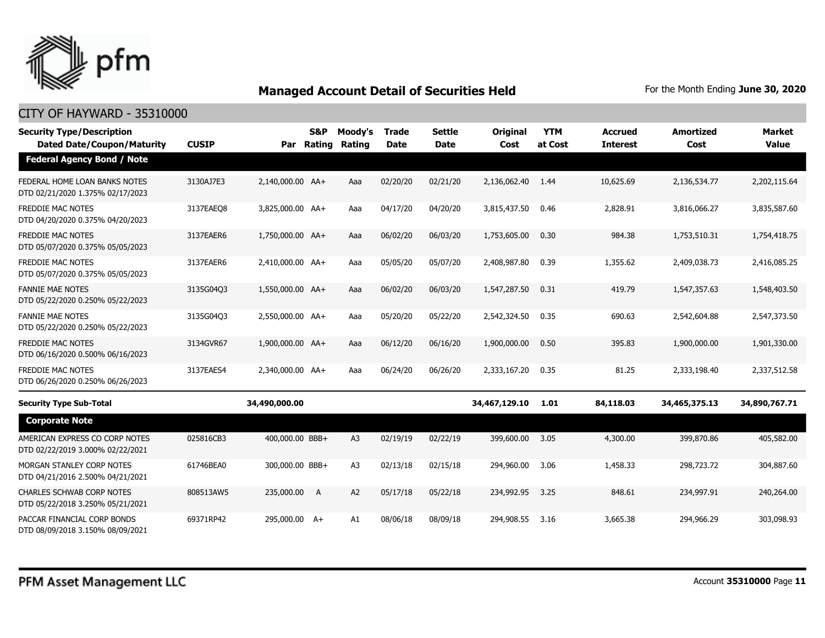

| <b>Security Type/Description</b><br><b>Dated Date/Coupon/Maturity</b> | <b>CUSIP</b> | Par              | <b>S&amp;P</b><br>Rating | Moody's<br>Rating | <b>Trade</b><br><b>Date</b> | <b>Settle</b><br><b>Date</b> | <b>Original</b><br>Cost | <b>YTM</b><br>at Cost | <b>Accrued</b><br><b>Interest</b> | <b>Amortized</b><br>Cost | <b>Market</b><br><b>Value</b> |
|-----------------------------------------------------------------------|--------------|------------------|--------------------------|-------------------|-----------------------------|------------------------------|-------------------------|-----------------------|-----------------------------------|--------------------------|-------------------------------|
| <b>Federal Agency Bond / Note</b>                                     |              |                  |                          |                   |                             |                              |                         |                       |                                   |                          |                               |
| FEDERAL HOME LOAN BANKS NOTES<br>DTD 02/21/2020 1.375% 02/17/2023     | 3130AJ7E3    | 2,140,000.00 AA+ |                          | Aaa               | 02/20/20                    | 02/21/20                     | 2,136,062.40            | 1.44                  | 10,625.69                         | 2,136,534.77             | 2,202,115.64                  |
| <b>FREDDIE MAC NOTES</b><br>DTD 04/20/2020 0.375% 04/20/2023          | 3137EAEO8    | 3,825,000.00 AA+ |                          | Aaa               | 04/17/20                    | 04/20/20                     | 3,815,437.50            | 0.46                  | 2,828.91                          | 3,816,066.27             | 3,835,587.60                  |
| <b>FREDDIE MAC NOTES</b><br>DTD 05/07/2020 0.375% 05/05/2023          | 3137EAER6    | 1,750,000.00 AA+ |                          | Aaa               | 06/02/20                    | 06/03/20                     | 1,753,605,00            | 0.30                  | 984.38                            | 1,753,510.31             | 1,754,418,75                  |
| <b>FREDDIE MAC NOTES</b><br>DTD 05/07/2020 0.375% 05/05/2023          | 3137EAER6    | 2,410,000.00 AA+ |                          | Aaa               | 05/05/20                    | 05/07/20                     | 2,408,987.80            | 0.39                  | 1,355.62                          | 2,409,038.73             | 2,416,085.25                  |
| <b>FANNIE MAE NOTES</b><br>DTD 05/22/2020 0.250% 05/22/2023           | 3135G04Q3    | 1,550,000.00 AA+ |                          | Aaa               | 06/02/20                    | 06/03/20                     | 1,547,287.50            | 0.31                  | 419.79                            | 1,547,357.63             | 1,548,403.50                  |
| <b>FANNIE MAE NOTES</b><br>DTD 05/22/2020 0.250% 05/22/2023           | 3135G04Q3    | 2,550,000.00 AA+ |                          | Aaa               | 05/20/20                    | 05/22/20                     | 2,542,324.50            | 0.35                  | 690.63                            | 2,542,604.88             | 2,547,373.50                  |
| FREDDIE MAC NOTES<br>DTD 06/16/2020 0.500% 06/16/2023                 | 3134GVR67    | 1,900,000.00 AA+ |                          | Aaa               | 06/12/20                    | 06/16/20                     | 1,900,000.00            | 0.50                  | 395.83                            | 1,900,000.00             | 1,901,330.00                  |
| <b>FREDDIE MAC NOTES</b><br>DTD 06/26/2020 0.250% 06/26/2023          | 3137EAES4    | 2,340,000.00 AA+ |                          | Aaa               | 06/24/20                    | 06/26/20                     | 2,333,167.20            | 0.35                  | 81.25                             | 2,333,198.40             | 2,337,512.58                  |
| <b>Security Type Sub-Total</b>                                        |              | 34,490,000.00    |                          |                   |                             |                              | 34,467,129.10           | 1.01                  | 84,118.03                         | 34,465,375.13            | 34,890,767.71                 |
| <b>Corporate Note</b>                                                 |              |                  |                          |                   |                             |                              |                         |                       |                                   |                          |                               |
| AMERICAN EXPRESS CO CORP NOTES<br>DTD 02/22/2019 3.000% 02/22/2021    | 025816CB3    | 400,000.00 BBB+  |                          | A3                | 02/19/19                    | 02/22/19                     | 399,600.00              | 3.05                  | 4,300.00                          | 399,870.86               | 405,582.00                    |
| MORGAN STANLEY CORP NOTES<br>DTD 04/21/2016 2.500% 04/21/2021         | 61746BEA0    | 300,000.00 BBB+  |                          | A3                | 02/13/18                    | 02/15/18                     | 294,960.00              | 3.06                  | 1,458.33                          | 298,723.72               | 304,887.60                    |
| <b>CHARLES SCHWAB CORP NOTES</b><br>DTD 05/22/2018 3.250% 05/21/2021  | 808513AW5    | 235,000.00 A     |                          | A <sub>2</sub>    | 05/17/18                    | 05/22/18                     | 234,992.95              | 3.25                  | 848.61                            | 234,997.91               | 240,264.00                    |
| PACCAR FINANCIAL CORP BONDS<br>DTD 08/09/2018 3.150% 08/09/2021       | 69371RP42    | 295,000.00 A+    |                          | A1                | 08/06/18                    | 08/09/18                     | 294,908.55              | 3.16                  | 3,665,38                          | 294,966.29               | 303,098.93                    |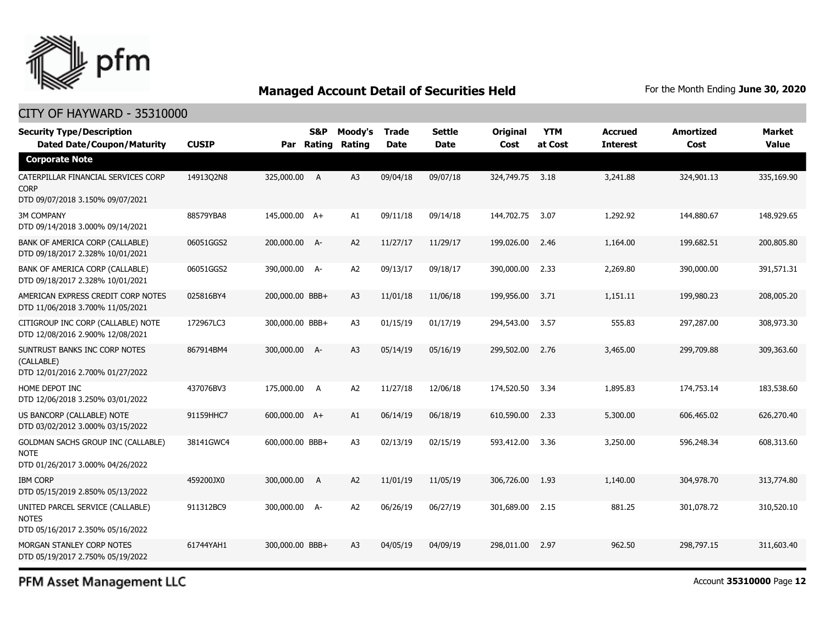

#### CITY OF HAYWARD - 35310000

| <b>Security Type/Description</b><br><b>Dated Date/Coupon/Maturity</b>                  | <b>CUSIP</b> | Par             | <b>S&amp;P</b><br>Rating | Moody's<br>Rating | <b>Trade</b><br><b>Date</b> | <b>Settle</b><br>Date | <b>Original</b><br>Cost | <b>YTM</b><br>at Cost | <b>Accrued</b><br><b>Interest</b> | <b>Amortized</b><br>Cost | <b>Market</b><br><b>Value</b> |
|----------------------------------------------------------------------------------------|--------------|-----------------|--------------------------|-------------------|-----------------------------|-----------------------|-------------------------|-----------------------|-----------------------------------|--------------------------|-------------------------------|
| <b>Corporate Note</b>                                                                  |              |                 |                          |                   |                             |                       |                         |                       |                                   |                          |                               |
| CATERPILLAR FINANCIAL SERVICES CORP<br><b>CORP</b><br>DTD 09/07/2018 3.150% 09/07/2021 | 14913Q2N8    | 325,000.00 A    |                          | A3                | 09/04/18                    | 09/07/18              | 324,749.75              | 3.18                  | 3,241.88                          | 324,901.13               | 335,169.90                    |
| <b>3M COMPANY</b><br>DTD 09/14/2018 3.000% 09/14/2021                                  | 88579YBA8    | 145,000.00 A+   |                          | A1                | 09/11/18                    | 09/14/18              | 144,702.75              | 3.07                  | 1,292.92                          | 144,880.67               | 148,929.65                    |
| BANK OF AMERICA CORP (CALLABLE)<br>DTD 09/18/2017 2.328% 10/01/2021                    | 06051GGS2    | 200,000.00 A-   |                          | A <sub>2</sub>    | 11/27/17                    | 11/29/17              | 199,026.00              | 2.46                  | 1,164.00                          | 199,682.51               | 200,805.80                    |
| BANK OF AMERICA CORP (CALLABLE)<br>DTD 09/18/2017 2.328% 10/01/2021                    | 06051GGS2    | 390,000.00 A-   |                          | A <sub>2</sub>    | 09/13/17                    | 09/18/17              | 390,000.00              | 2.33                  | 2,269.80                          | 390,000.00               | 391,571.31                    |
| AMERICAN EXPRESS CREDIT CORP NOTES<br>DTD 11/06/2018 3.700% 11/05/2021                 | 025816BY4    | 200,000.00 BBB+ |                          | A <sub>3</sub>    | 11/01/18                    | 11/06/18              | 199,956.00              | 3.71                  | 1,151.11                          | 199,980.23               | 208,005.20                    |
| CITIGROUP INC CORP (CALLABLE) NOTE<br>DTD 12/08/2016 2.900% 12/08/2021                 | 172967LC3    | 300,000.00 BBB+ |                          | A <sub>3</sub>    | 01/15/19                    | 01/17/19              | 294,543.00              | 3.57                  | 555.83                            | 297,287.00               | 308,973.30                    |
| SUNTRUST BANKS INC CORP NOTES<br>(CALLABLE)<br>DTD 12/01/2016 2.700% 01/27/2022        | 867914BM4    | 300,000.00 A-   |                          | A <sub>3</sub>    | 05/14/19                    | 05/16/19              | 299,502.00              | 2.76                  | 3,465.00                          | 299,709.88               | 309,363.60                    |
| HOME DEPOT INC<br>DTD 12/06/2018 3.250% 03/01/2022                                     | 437076BV3    | 175,000.00 A    |                          | A2                | 11/27/18                    | 12/06/18              | 174,520.50              | 3.34                  | 1,895.83                          | 174,753.14               | 183,538.60                    |
| US BANCORP (CALLABLE) NOTE<br>DTD 03/02/2012 3.000% 03/15/2022                         | 91159HHC7    | 600,000.00 A+   |                          | A1                | 06/14/19                    | 06/18/19              | 610,590.00              | 2.33                  | 5,300.00                          | 606,465.02               | 626,270.40                    |
| GOLDMAN SACHS GROUP INC (CALLABLE)<br><b>NOTE</b><br>DTD 01/26/2017 3.000% 04/26/2022  | 38141GWC4    | 600,000.00 BBB+ |                          | A <sub>3</sub>    | 02/13/19                    | 02/15/19              | 593,412.00              | 3.36                  | 3,250.00                          | 596,248.34               | 608,313.60                    |
| <b>IBM CORP</b><br>DTD 05/15/2019 2.850% 05/13/2022                                    | 459200JX0    | 300,000.00 A    |                          | A <sub>2</sub>    | 11/01/19                    | 11/05/19              | 306,726.00              | 1.93                  | 1,140.00                          | 304,978.70               | 313,774.80                    |
| UNITED PARCEL SERVICE (CALLABLE)<br><b>NOTES</b><br>DTD 05/16/2017 2.350% 05/16/2022   | 911312BC9    | 300,000.00 A-   |                          | A <sub>2</sub>    | 06/26/19                    | 06/27/19              | 301,689.00              | 2.15                  | 881.25                            | 301,078.72               | 310,520.10                    |
| MORGAN STANLEY CORP NOTES<br>DTD 05/19/2017 2.750% 05/19/2022                          | 61744YAH1    | 300,000.00 BBB+ |                          | A3                | 04/05/19                    | 04/09/19              | 298,011.00              | 2.97                  | 962.50                            | 298,797.15               | 311,603.40                    |

PFM Asset Management LLC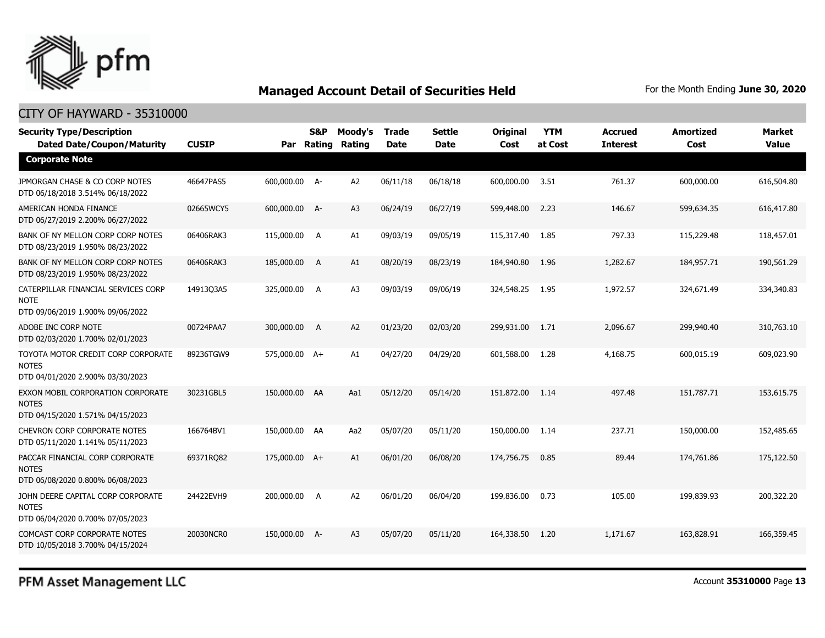

#### CITY OF HAYWARD - 35310000

| <b>Security Type/Description</b><br><b>Dated Date/Coupon/Maturity</b>                  | <b>CUSIP</b> | Par           | <b>S&amp;P</b><br>Rating | Moody's<br>Rating | <b>Trade</b><br><b>Date</b> | <b>Settle</b><br><b>Date</b> | <b>Original</b><br>Cost | <b>YTM</b><br>at Cost | <b>Accrued</b><br><b>Interest</b> | <b>Amortized</b><br>Cost | <b>Market</b><br><b>Value</b> |
|----------------------------------------------------------------------------------------|--------------|---------------|--------------------------|-------------------|-----------------------------|------------------------------|-------------------------|-----------------------|-----------------------------------|--------------------------|-------------------------------|
| <b>Corporate Note</b>                                                                  |              |               |                          |                   |                             |                              |                         |                       |                                   |                          |                               |
| JPMORGAN CHASE & CO CORP NOTES<br>DTD 06/18/2018 3.514% 06/18/2022                     | 46647PAS5    | 600,000.00 A- |                          | A <sub>2</sub>    | 06/11/18                    | 06/18/18                     | 600,000.00              | 3.51                  | 761.37                            | 600,000.00               | 616,504.80                    |
| AMERICAN HONDA FINANCE<br>DTD 06/27/2019 2.200% 06/27/2022                             | 02665WCY5    | 600,000.00 A- |                          | A3                | 06/24/19                    | 06/27/19                     | 599,448.00              | 2.23                  | 146.67                            | 599,634.35               | 616,417.80                    |
| BANK OF NY MELLON CORP CORP NOTES<br>DTD 08/23/2019 1.950% 08/23/2022                  | 06406RAK3    | 115,000.00 A  |                          | A1                | 09/03/19                    | 09/05/19                     | 115,317.40              | 1.85                  | 797.33                            | 115,229.48               | 118,457.01                    |
| BANK OF NY MELLON CORP CORP NOTES<br>DTD 08/23/2019 1.950% 08/23/2022                  | 06406RAK3    | 185,000.00    | A                        | A1                | 08/20/19                    | 08/23/19                     | 184,940.80              | 1.96                  | 1,282.67                          | 184,957.71               | 190,561.29                    |
| CATERPILLAR FINANCIAL SERVICES CORP<br><b>NOTE</b><br>DTD 09/06/2019 1.900% 09/06/2022 | 14913Q3A5    | 325,000.00 A  |                          | A <sub>3</sub>    | 09/03/19                    | 09/06/19                     | 324,548.25              | 1.95                  | 1,972.57                          | 324,671.49               | 334,340.83                    |
| ADOBE INC CORP NOTE<br>DTD 02/03/2020 1.700% 02/01/2023                                | 00724PAA7    | 300,000.00 A  |                          | A <sub>2</sub>    | 01/23/20                    | 02/03/20                     | 299,931.00              | 1.71                  | 2,096.67                          | 299,940.40               | 310,763.10                    |
| TOYOTA MOTOR CREDIT CORP CORPORATE<br><b>NOTES</b><br>DTD 04/01/2020 2.900% 03/30/2023 | 89236TGW9    | 575,000.00 A+ |                          | A1                | 04/27/20                    | 04/29/20                     | 601,588.00              | 1.28                  | 4,168.75                          | 600,015.19               | 609,023.90                    |
| EXXON MOBIL CORPORATION CORPORATE<br><b>NOTES</b><br>DTD 04/15/2020 1.571% 04/15/2023  | 30231GBL5    | 150,000.00 AA |                          | Aa1               | 05/12/20                    | 05/14/20                     | 151,872.00              | 1.14                  | 497.48                            | 151,787.71               | 153,615.75                    |
| <b>CHEVRON CORP CORPORATE NOTES</b><br>DTD 05/11/2020 1.141% 05/11/2023                | 166764BV1    | 150,000.00 AA |                          | Aa2               | 05/07/20                    | 05/11/20                     | 150,000.00              | 1.14                  | 237.71                            | 150,000.00               | 152,485.65                    |
| PACCAR FINANCIAL CORP CORPORATE<br><b>NOTES</b><br>DTD 06/08/2020 0.800% 06/08/2023    | 69371RQ82    | 175,000.00 A+ |                          | A1                | 06/01/20                    | 06/08/20                     | 174,756.75              | 0.85                  | 89.44                             | 174,761.86               | 175,122.50                    |
| JOHN DEERE CAPITAL CORP CORPORATE<br><b>NOTES</b><br>DTD 06/04/2020 0.700% 07/05/2023  | 24422EVH9    | 200,000.00 A  |                          | A2                | 06/01/20                    | 06/04/20                     | 199,836.00              | 0.73                  | 105.00                            | 199,839,93               | 200,322.20                    |
| <b>COMCAST CORP CORPORATE NOTES</b><br>DTD 10/05/2018 3.700% 04/15/2024                | 20030NCR0    | 150,000.00 A- |                          | A3                | 05/07/20                    | 05/11/20                     | 164,338.50              | 1.20                  | 1,171.67                          | 163,828.91               | 166,359.45                    |

PFM Asset Management LLC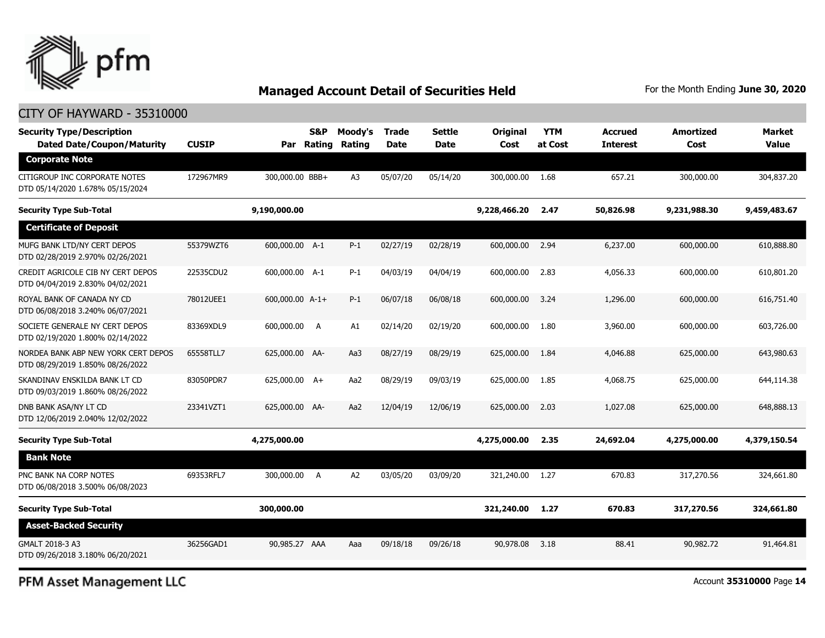

#### CITY OF HAYWARD - 35310000

| <b>Security Type/Description</b><br><b>Dated Date/Coupon/Maturity</b>   | <b>CUSIP</b> | Par             | <b>S&amp;P</b><br>Rating | Moody's<br>Rating | <b>Trade</b><br><b>Date</b> | Settle<br><b>Date</b> | <b>Original</b><br>Cost | <b>YTM</b><br>at Cost | <b>Accrued</b><br><b>Interest</b> | Amortized<br>Cost | <b>Market</b><br><b>Value</b> |
|-------------------------------------------------------------------------|--------------|-----------------|--------------------------|-------------------|-----------------------------|-----------------------|-------------------------|-----------------------|-----------------------------------|-------------------|-------------------------------|
| <b>Corporate Note</b>                                                   |              |                 |                          |                   |                             |                       |                         |                       |                                   |                   |                               |
| CITIGROUP INC CORPORATE NOTES<br>DTD 05/14/2020 1.678% 05/15/2024       | 172967MR9    | 300,000.00 BBB+ |                          | A3                | 05/07/20                    | 05/14/20              | 300,000.00              | 1.68                  | 657.21                            | 300,000.00        | 304,837.20                    |
| <b>Security Type Sub-Total</b>                                          |              | 9,190,000.00    |                          |                   |                             |                       | 9,228,466.20            | 2.47                  | 50,826.98                         | 9,231,988.30      | 9,459,483.67                  |
| <b>Certificate of Deposit</b>                                           |              |                 |                          |                   |                             |                       |                         |                       |                                   |                   |                               |
| MUFG BANK LTD/NY CERT DEPOS<br>DTD 02/28/2019 2.970% 02/26/2021         | 55379WZT6    | 600,000.00 A-1  |                          | $P-1$             | 02/27/19                    | 02/28/19              | 600,000.00              | 2.94                  | 6,237.00                          | 600,000.00        | 610,888.80                    |
| CREDIT AGRICOLE CIB NY CERT DEPOS<br>DTD 04/04/2019 2.830% 04/02/2021   | 22535CDU2    | 600,000.00 A-1  |                          | $P-1$             | 04/03/19                    | 04/04/19              | 600,000.00              | 2.83                  | 4,056.33                          | 600,000.00        | 610,801.20                    |
| ROYAL BANK OF CANADA NY CD<br>DTD 06/08/2018 3.240% 06/07/2021          | 78012UEE1    | 600,000.00 A-1+ |                          | $P-1$             | 06/07/18                    | 06/08/18              | 600,000.00              | 3.24                  | 1,296.00                          | 600,000.00        | 616,751.40                    |
| SOCIETE GENERALE NY CERT DEPOS<br>DTD 02/19/2020 1.800% 02/14/2022      | 83369XDL9    | 600,000.00      | A                        | A1                | 02/14/20                    | 02/19/20              | 600,000.00              | 1.80                  | 3,960.00                          | 600,000.00        | 603,726.00                    |
| NORDEA BANK ABP NEW YORK CERT DEPOS<br>DTD 08/29/2019 1.850% 08/26/2022 | 65558TLL7    | 625,000.00 AA-  |                          | Aa3               | 08/27/19                    | 08/29/19              | 625,000.00              | 1.84                  | 4,046.88                          | 625,000.00        | 643,980.63                    |
| SKANDINAV ENSKILDA BANK LT CD<br>DTD 09/03/2019 1.860% 08/26/2022       | 83050PDR7    | 625,000.00 A+   |                          | Aa2               | 08/29/19                    | 09/03/19              | 625,000.00              | 1.85                  | 4,068.75                          | 625,000.00        | 644,114.38                    |
| DNB BANK ASA/NY LT CD<br>DTD 12/06/2019 2.040% 12/02/2022               | 23341VZT1    | 625,000.00 AA-  |                          | Aa2               | 12/04/19                    | 12/06/19              | 625,000.00              | 2.03                  | 1,027.08                          | 625,000.00        | 648,888.13                    |
| <b>Security Type Sub-Total</b>                                          |              | 4,275,000.00    |                          |                   |                             |                       | 4,275,000.00            | 2.35                  | 24,692.04                         | 4,275,000.00      | 4,379,150.54                  |
| <b>Bank Note</b>                                                        |              |                 |                          |                   |                             |                       |                         |                       |                                   |                   |                               |
| PNC BANK NA CORP NOTES<br>DTD 06/08/2018 3.500% 06/08/2023              | 69353RFL7    | 300,000.00      | A                        | A <sub>2</sub>    | 03/05/20                    | 03/09/20              | 321,240.00              | 1.27                  | 670.83                            | 317,270.56        | 324,661.80                    |
| <b>Security Type Sub-Total</b>                                          |              | 300,000.00      |                          |                   |                             |                       | 321,240.00              | 1.27                  | 670.83                            | 317,270.56        | 324,661.80                    |
| <b>Asset-Backed Security</b>                                            |              |                 |                          |                   |                             |                       |                         |                       |                                   |                   |                               |
| GMALT 2018-3 A3<br>DTD 09/26/2018 3.180% 06/20/2021                     | 36256GAD1    | 90,985.27 AAA   |                          | Aaa               | 09/18/18                    | 09/26/18              | 90,978.08               | 3.18                  | 88.41                             | 90,982.72         | 91,464.81                     |

PFM Asset Management LLC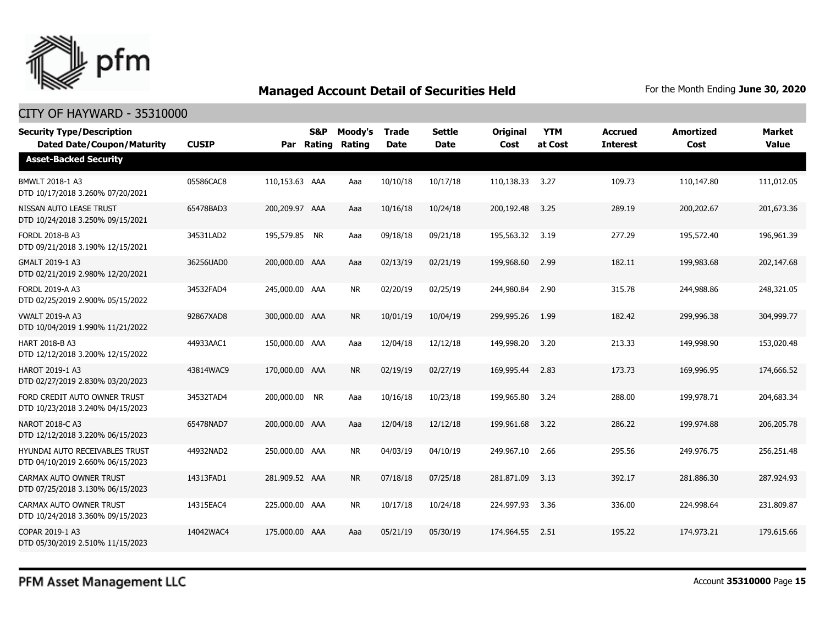

| <b>Security Type/Description</b><br><b>Dated Date/Coupon/Maturity</b>     | <b>CUSIP</b> | Par            | S&P<br><b>Rating</b> | Moody's<br>Rating | <b>Trade</b><br><b>Date</b> | <b>Settle</b><br><b>Date</b> | <b>Original</b><br>Cost | <b>YTM</b><br>at Cost | <b>Accrued</b><br><b>Interest</b> | <b>Amortized</b><br>Cost | Market<br><b>Value</b> |
|---------------------------------------------------------------------------|--------------|----------------|----------------------|-------------------|-----------------------------|------------------------------|-------------------------|-----------------------|-----------------------------------|--------------------------|------------------------|
| <b>Asset-Backed Security</b>                                              |              |                |                      |                   |                             |                              |                         |                       |                                   |                          |                        |
| BMWLT 2018-1 A3<br>DTD 10/17/2018 3.260% 07/20/2021                       | 05586CAC8    | 110,153.63 AAA |                      | Aaa               | 10/10/18                    | 10/17/18                     | 110,138.33              | 3.27                  | 109.73                            | 110,147.80               | 111,012.05             |
| NISSAN AUTO LEASE TRUST<br>DTD 10/24/2018 3.250% 09/15/2021               | 65478BAD3    | 200,209.97 AAA |                      | Aaa               | 10/16/18                    | 10/24/18                     | 200,192.48              | 3.25                  | 289.19                            | 200,202.67               | 201,673.36             |
| FORDL 2018-B A3<br>DTD 09/21/2018 3.190% 12/15/2021                       | 34531LAD2    | 195,579.85 NR  |                      | Aaa               | 09/18/18                    | 09/21/18                     | 195,563,32              | 3.19                  | 277.29                            | 195,572.40               | 196.961.39             |
| GMALT 2019-1 A3<br>DTD 02/21/2019 2.980% 12/20/2021                       | 36256UAD0    | 200,000.00 AAA |                      | Aaa               | 02/13/19                    | 02/21/19                     | 199,968.60              | 2.99                  | 182.11                            | 199,983.68               | 202,147.68             |
| FORDL 2019-A A3<br>DTD 02/25/2019 2.900% 05/15/2022                       | 34532FAD4    | 245,000.00 AAA |                      | <b>NR</b>         | 02/20/19                    | 02/25/19                     | 244,980.84              | 2.90                  | 315.78                            | 244,988.86               | 248,321.05             |
| <b>VWALT 2019-A A3</b><br>DTD 10/04/2019 1.990% 11/21/2022                | 92867XAD8    | 300,000.00 AAA |                      | <b>NR</b>         | 10/01/19                    | 10/04/19                     | 299,995.26              | 1.99                  | 182.42                            | 299,996.38               | 304,999.77             |
| HART 2018-B A3<br>DTD 12/12/2018 3.200% 12/15/2022                        | 44933AAC1    | 150,000.00 AAA |                      | Aaa               | 12/04/18                    | 12/12/18                     | 149,998.20              | 3.20                  | 213.33                            | 149,998.90               | 153,020.48             |
| <b>HAROT 2019-1 A3</b><br>DTD 02/27/2019 2.830% 03/20/2023                | 43814WAC9    | 170,000.00 AAA |                      | <b>NR</b>         | 02/19/19                    | 02/27/19                     | 169,995.44              | 2.83                  | 173.73                            | 169,996.95               | 174,666.52             |
| FORD CREDIT AUTO OWNER TRUST<br>DTD 10/23/2018 3.240% 04/15/2023          | 34532TAD4    | 200,000.00 NR  |                      | Aaa               | 10/16/18                    | 10/23/18                     | 199,965.80              | 3.24                  | 288.00                            | 199,978.71               | 204,683.34             |
| NAROT 2018-C A3<br>DTD 12/12/2018 3.220% 06/15/2023                       | 65478NAD7    | 200,000.00 AAA |                      | Aaa               | 12/04/18                    | 12/12/18                     | 199,961.68              | 3.22                  | 286.22                            | 199,974.88               | 206,205.78             |
| <b>HYUNDAI AUTO RECEIVABLES TRUST</b><br>DTD 04/10/2019 2.660% 06/15/2023 | 44932NAD2    | 250,000.00 AAA |                      | <b>NR</b>         | 04/03/19                    | 04/10/19                     | 249,967.10              | 2.66                  | 295.56                            | 249,976.75               | 256,251.48             |
| CARMAX AUTO OWNER TRUST<br>DTD 07/25/2018 3.130% 06/15/2023               | 14313FAD1    | 281,909.52 AAA |                      | <b>NR</b>         | 07/18/18                    | 07/25/18                     | 281,871.09              | 3.13                  | 392.17                            | 281,886.30               | 287,924.93             |
| CARMAX AUTO OWNER TRUST<br>DTD 10/24/2018 3.360% 09/15/2023               | 14315EAC4    | 225,000.00 AAA |                      | NR.               | 10/17/18                    | 10/24/18                     | 224,997.93              | 3.36                  | 336.00                            | 224,998.64               | 231,809.87             |
| COPAR 2019-1 A3<br>DTD 05/30/2019 2.510% 11/15/2023                       | 14042WAC4    | 175,000.00 AAA |                      | Aaa               | 05/21/19                    | 05/30/19                     | 174,964.55              | 2.51                  | 195.22                            | 174,973.21               | 179,615.66             |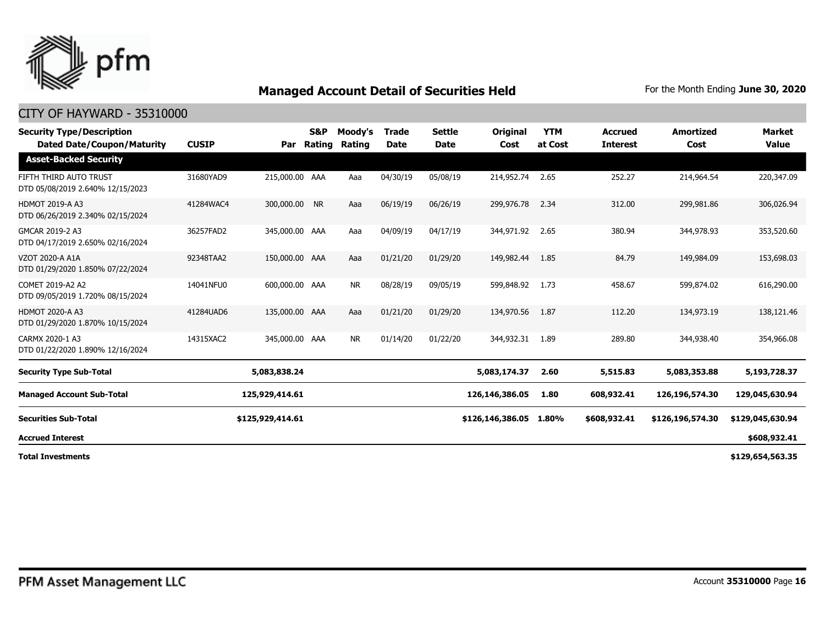

| <b>Security Type/Description</b><br><b>Dated Date/Coupon/Maturity</b> | <b>CUSIP</b> | Par              | <b>S&amp;P</b><br>Rating | Moody's<br>Rating | <b>Trade</b><br><b>Date</b> | <b>Settle</b><br><b>Date</b> | <b>Original</b><br>Cost | <b>YTM</b><br>at Cost | <b>Accrued</b><br><b>Interest</b> | <b>Amortized</b><br>Cost | <b>Market</b><br><b>Value</b> |
|-----------------------------------------------------------------------|--------------|------------------|--------------------------|-------------------|-----------------------------|------------------------------|-------------------------|-----------------------|-----------------------------------|--------------------------|-------------------------------|
| <b>Asset-Backed Security</b>                                          |              |                  |                          |                   |                             |                              |                         |                       |                                   |                          |                               |
| FIFTH THIRD AUTO TRUST<br>DTD 05/08/2019 2.640% 12/15/2023            | 31680YAD9    | 215,000.00 AAA   |                          | Aaa               | 04/30/19                    | 05/08/19                     | 214,952.74              | 2.65                  | 252.27                            | 214,964.54               | 220,347.09                    |
| <b>HDMOT 2019-A A3</b><br>DTD 06/26/2019 2.340% 02/15/2024            | 41284WAC4    | 300,000.00 NR    |                          | Aaa               | 06/19/19                    | 06/26/19                     | 299,976,78              | 2.34                  | 312.00                            | 299,981.86               | 306,026.94                    |
| GMCAR 2019-2 A3<br>DTD 04/17/2019 2.650% 02/16/2024                   | 36257FAD2    | 345,000.00 AAA   |                          | Aaa               | 04/09/19                    | 04/17/19                     | 344,971.92              | 2.65                  | 380.94                            | 344,978.93               | 353,520.60                    |
| VZOT 2020-A A1A<br>DTD 01/29/2020 1.850% 07/22/2024                   | 92348TAA2    | 150,000.00 AAA   |                          | Aaa               | 01/21/20                    | 01/29/20                     | 149,982.44              | 1.85                  | 84.79                             | 149,984.09               | 153,698.03                    |
| COMET 2019-A2 A2<br>DTD 09/05/2019 1.720% 08/15/2024                  | 14041NFU0    | 600,000.00 AAA   |                          | <b>NR</b>         | 08/28/19                    | 09/05/19                     | 599,848.92              | 1.73                  | 458.67                            | 599,874.02               | 616,290.00                    |
| <b>HDMOT 2020-A A3</b><br>DTD 01/29/2020 1.870% 10/15/2024            | 41284UAD6    | 135,000.00 AAA   |                          | Aaa               | 01/21/20                    | 01/29/20                     | 134,970.56              | 1.87                  | 112.20                            | 134,973.19               | 138,121.46                    |
| CARMX 2020-1 A3<br>DTD 01/22/2020 1.890% 12/16/2024                   | 14315XAC2    | 345,000.00 AAA   |                          | <b>NR</b>         | 01/14/20                    | 01/22/20                     | 344,932.31              | 1.89                  | 289.80                            | 344,938.40               | 354,966.08                    |
| <b>Security Type Sub-Total</b>                                        |              | 5,083,838.24     |                          |                   |                             |                              | 5,083,174.37            | 2.60                  | 5,515.83                          | 5,083,353.88             | 5,193,728.37                  |
| <b>Managed Account Sub-Total</b>                                      |              | 125,929,414.61   |                          |                   |                             |                              | 126,146,386.05          | 1.80                  | 608,932.41                        | 126,196,574.30           | 129,045,630.94                |
| <b>Securities Sub-Total</b>                                           |              | \$125,929,414.61 |                          |                   |                             |                              | \$126,146,386.05        | 1.80%                 | \$608,932.41                      | \$126,196,574.30         | \$129,045,630.94              |
| <b>Accrued Interest</b>                                               |              |                  |                          |                   |                             |                              |                         |                       |                                   |                          | \$608,932.41                  |
| <b>Total Investments</b>                                              |              |                  |                          |                   |                             |                              |                         |                       |                                   |                          | \$129,654,563.35              |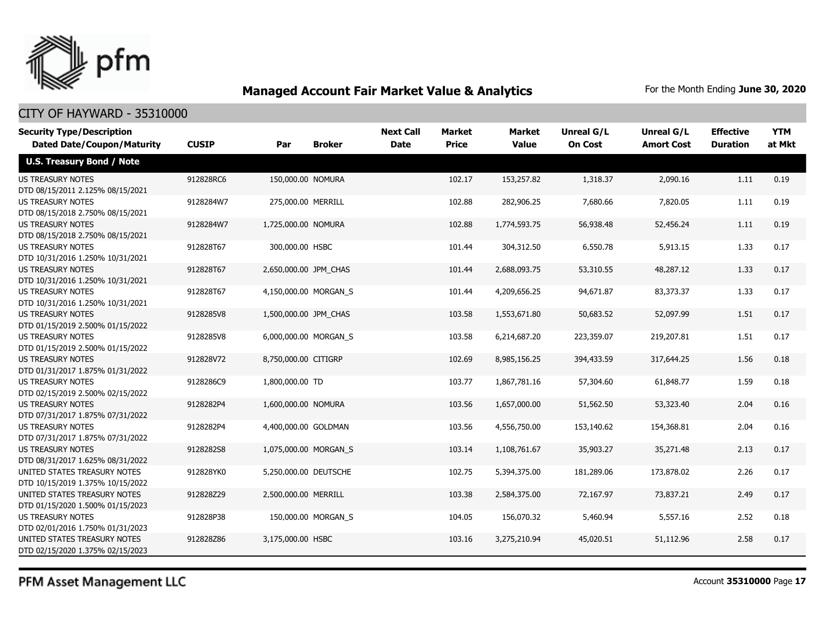

#### CITY OF HAYWARD - 35310000

| <b>Security Type/Description</b>                             |              |                       |                     | <b>Next Call</b> | <b>Market</b> | <b>Market</b> | <b>Unreal G/L</b> | Unreal G/L        | <b>Effective</b> | <b>YTM</b> |
|--------------------------------------------------------------|--------------|-----------------------|---------------------|------------------|---------------|---------------|-------------------|-------------------|------------------|------------|
| <b>Dated Date/Coupon/Maturity</b>                            | <b>CUSIP</b> | Par                   | <b>Broker</b>       | <b>Date</b>      | <b>Price</b>  | <b>Value</b>  | <b>On Cost</b>    | <b>Amort Cost</b> | <b>Duration</b>  | at Mkt     |
| <b>U.S. Treasury Bond / Note</b>                             |              |                       |                     |                  |               |               |                   |                   |                  |            |
| <b>US TREASURY NOTES</b>                                     | 912828RC6    | 150,000.00 NOMURA     |                     |                  | 102.17        | 153,257.82    | 1,318.37          | 2,090.16          | 1.11             | 0.19       |
| DTD 08/15/2011 2.125% 08/15/2021                             |              |                       |                     |                  |               |               |                   |                   |                  |            |
| <b>US TREASURY NOTES</b>                                     | 9128284W7    | 275,000.00 MERRILL    |                     |                  | 102.88        | 282,906.25    | 7,680.66          | 7,820.05          | 1.11             | 0.19       |
| DTD 08/15/2018 2.750% 08/15/2021                             |              |                       |                     |                  |               |               |                   |                   |                  |            |
| <b>US TREASURY NOTES</b>                                     | 9128284W7    | 1,725,000.00 NOMURA   |                     |                  | 102.88        | 1,774,593.75  | 56,938.48         | 52,456.24         | 1.11             | 0.19       |
| DTD 08/15/2018 2.750% 08/15/2021                             |              |                       |                     |                  |               |               |                   |                   |                  |            |
| <b>US TREASURY NOTES</b>                                     | 912828T67    | 300,000.00 HSBC       |                     |                  | 101.44        | 304,312.50    | 6,550.78          | 5,913.15          | 1.33             | 0.17       |
| DTD 10/31/2016 1.250% 10/31/2021                             |              |                       |                     |                  |               |               |                   |                   |                  |            |
| <b>US TREASURY NOTES</b>                                     | 912828T67    | 2,650,000.00 JPM CHAS |                     |                  | 101.44        | 2,688,093.75  | 53,310.55         | 48,287.12         | 1.33             | 0.17       |
| DTD 10/31/2016 1.250% 10/31/2021                             |              |                       |                     |                  |               |               |                   |                   |                  |            |
| <b>US TREASURY NOTES</b>                                     | 912828T67    | 4,150,000.00 MORGAN S |                     |                  | 101.44        | 4,209,656.25  | 94,671.87         | 83,373.37         | 1.33             | 0.17       |
| DTD 10/31/2016 1.250% 10/31/2021                             |              |                       |                     |                  |               |               |                   |                   |                  |            |
| <b>US TREASURY NOTES</b>                                     | 9128285V8    | 1,500,000.00 JPM_CHAS |                     |                  | 103.58        | 1,553,671.80  | 50,683.52         | 52,097.99         | 1.51             | 0.17       |
| DTD 01/15/2019 2.500% 01/15/2022                             |              |                       |                     |                  |               |               |                   |                   |                  |            |
| <b>US TREASURY NOTES</b>                                     | 9128285V8    | 6,000,000.00 MORGAN_S |                     |                  | 103.58        | 6,214,687.20  | 223,359.07        | 219,207.81        | 1.51             | 0.17       |
| DTD 01/15/2019 2.500% 01/15/2022                             |              |                       |                     |                  |               |               |                   |                   |                  |            |
| <b>US TREASURY NOTES</b>                                     | 912828V72    | 8,750,000.00 CITIGRP  |                     |                  | 102.69        | 8,985,156.25  | 394,433.59        | 317,644.25        | 1.56             | 0.18       |
| DTD 01/31/2017 1.875% 01/31/2022                             |              |                       |                     |                  |               |               |                   |                   |                  |            |
| <b>US TREASURY NOTES</b>                                     | 9128286C9    | 1,800,000.00 TD       |                     |                  | 103.77        | 1,867,781.16  | 57,304.60         | 61,848.77         | 1.59             | 0.18       |
| DTD 02/15/2019 2.500% 02/15/2022                             |              |                       |                     |                  |               |               |                   |                   |                  |            |
| <b>US TREASURY NOTES</b>                                     | 9128282P4    | 1,600,000.00 NOMURA   |                     |                  | 103.56        | 1,657,000.00  | 51,562.50         | 53,323.40         | 2.04             | 0.16       |
| DTD 07/31/2017 1.875% 07/31/2022<br><b>US TREASURY NOTES</b> | 9128282P4    | 4,400,000.00 GOLDMAN  |                     |                  | 103.56        | 4,556,750.00  | 153,140.62        | 154,368.81        | 2.04             | 0.16       |
| DTD 07/31/2017 1.875% 07/31/2022                             |              |                       |                     |                  |               |               |                   |                   |                  |            |
| <b>US TREASURY NOTES</b>                                     | 9128282S8    | 1,075,000.00 MORGAN S |                     |                  | 103.14        | 1,108,761.67  | 35,903.27         | 35,271.48         | 2.13             | 0.17       |
| DTD 08/31/2017 1.625% 08/31/2022                             |              |                       |                     |                  |               |               |                   |                   |                  |            |
| UNITED STATES TREASURY NOTES                                 | 912828YK0    | 5,250,000.00 DEUTSCHE |                     |                  | 102.75        | 5,394,375.00  | 181,289.06        | 173,878.02        | 2.26             | 0.17       |
| DTD 10/15/2019 1.375% 10/15/2022                             |              |                       |                     |                  |               |               |                   |                   |                  |            |
| UNITED STATES TREASURY NOTES                                 | 912828Z29    | 2,500,000.00 MERRILL  |                     |                  | 103.38        | 2,584,375.00  | 72,167.97         | 73,837.21         | 2.49             | 0.17       |
| DTD 01/15/2020 1.500% 01/15/2023                             |              |                       |                     |                  |               |               |                   |                   |                  |            |
| <b>US TREASURY NOTES</b>                                     | 912828P38    |                       | 150,000.00 MORGAN S |                  | 104.05        | 156,070.32    | 5,460.94          | 5,557.16          | 2.52             | 0.18       |
| DTD 02/01/2016 1.750% 01/31/2023                             |              |                       |                     |                  |               |               |                   |                   |                  |            |
| UNITED STATES TREASURY NOTES                                 | 912828Z86    | 3,175,000.00 HSBC     |                     |                  | 103.16        | 3,275,210.94  | 45,020.51         | 51,112.96         | 2.58             | 0.17       |
| DTD 02/15/2020 1.375% 02/15/2023                             |              |                       |                     |                  |               |               |                   |                   |                  |            |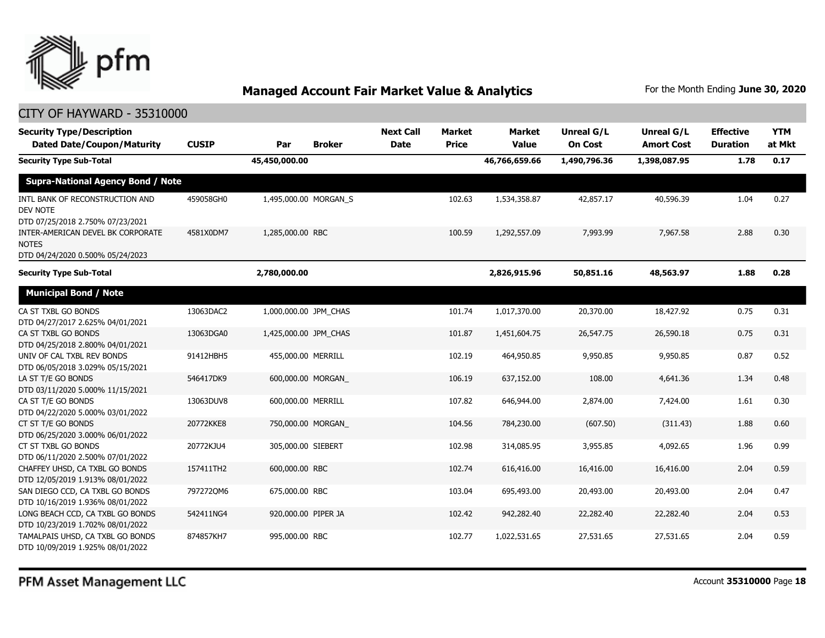

| <b>Security Type/Description</b><br><b>Dated Date/Coupon/Maturity</b>                  | <b>CUSIP</b> | <b>Broker</b><br>Par  | <b>Next Call</b><br><b>Date</b> | Market<br><b>Price</b> | <b>Market</b><br><b>Value</b> | Unreal G/L<br><b>On Cost</b> | <b>Unreal G/L</b><br><b>Amort Cost</b> | <b>Effective</b><br><b>Duration</b> | <b>YTM</b><br>at Mkt |
|----------------------------------------------------------------------------------------|--------------|-----------------------|---------------------------------|------------------------|-------------------------------|------------------------------|----------------------------------------|-------------------------------------|----------------------|
| <b>Security Type Sub-Total</b>                                                         |              | 45,450,000.00         |                                 |                        | 46,766,659.66                 | 1,490,796.36                 | 1,398,087.95                           | 1.78                                | 0.17                 |
| <b>Supra-National Agency Bond / Note</b>                                               |              |                       |                                 |                        |                               |                              |                                        |                                     |                      |
| INTL BANK OF RECONSTRUCTION AND<br><b>DEV NOTE</b><br>DTD 07/25/2018 2.750% 07/23/2021 | 459058GH0    | 1,495,000.00 MORGAN_S |                                 | 102.63                 | 1,534,358.87                  | 42,857.17                    | 40,596.39                              | 1.04                                | 0.27                 |
| INTER-AMERICAN DEVEL BK CORPORATE<br><b>NOTES</b><br>DTD 04/24/2020 0.500% 05/24/2023  | 4581X0DM7    | 1,285,000.00 RBC      |                                 | 100.59                 | 1,292,557.09                  | 7,993.99                     | 7,967.58                               | 2.88                                | 0.30                 |
| <b>Security Type Sub-Total</b>                                                         |              | 2,780,000.00          |                                 |                        | 2,826,915.96                  | 50,851.16                    | 48,563.97                              | 1.88                                | 0.28                 |
| <b>Municipal Bond / Note</b>                                                           |              |                       |                                 |                        |                               |                              |                                        |                                     |                      |
| CA ST TXBL GO BONDS<br>DTD 04/27/2017 2.625% 04/01/2021                                | 13063DAC2    | 1,000,000.00 JPM_CHAS |                                 | 101.74                 | 1,017,370.00                  | 20,370.00                    | 18,427.92                              | 0.75                                | 0.31                 |
| CA ST TXBL GO BONDS<br>DTD 04/25/2018 2.800% 04/01/2021                                | 13063DGA0    | 1,425,000.00 JPM_CHAS |                                 | 101.87                 | 1,451,604.75                  | 26,547.75                    | 26,590.18                              | 0.75                                | 0.31                 |
| UNIV OF CAL TXBL REV BONDS<br>DTD 06/05/2018 3.029% 05/15/2021                         | 91412HBH5    | 455,000.00 MERRILL    |                                 | 102.19                 | 464,950.85                    | 9,950.85                     | 9,950.85                               | 0.87                                | 0.52                 |
| LA ST T/E GO BONDS<br>DTD 03/11/2020 5.000% 11/15/2021                                 | 546417DK9    | 600,000.00 MORGAN     |                                 | 106.19                 | 637,152.00                    | 108.00                       | 4,641.36                               | 1.34                                | 0.48                 |
| CA ST T/E GO BONDS<br>DTD 04/22/2020 5.000% 03/01/2022                                 | 13063DUV8    | 600,000.00 MERRILL    |                                 | 107.82                 | 646,944.00                    | 2,874.00                     | 7,424.00                               | 1.61                                | 0.30                 |
| CT ST T/E GO BONDS<br>DTD 06/25/2020 3.000% 06/01/2022                                 | 20772KKE8    | 750,000.00 MORGAN     |                                 | 104.56                 | 784,230.00                    | (607.50)                     | (311.43)                               | 1.88                                | 0.60                 |
| CT ST TXBL GO BONDS<br>DTD 06/11/2020 2.500% 07/01/2022                                | 20772KJU4    | 305,000.00 SIEBERT    |                                 | 102.98                 | 314,085.95                    | 3,955.85                     | 4,092.65                               | 1.96                                | 0.99                 |
| CHAFFEY UHSD, CA TXBL GO BONDS<br>DTD 12/05/2019 1.913% 08/01/2022                     | 157411TH2    | 600,000.00 RBC        |                                 | 102.74                 | 616,416.00                    | 16,416.00                    | 16,416.00                              | 2.04                                | 0.59                 |
| SAN DIEGO CCD, CA TXBL GO BONDS<br>DTD 10/16/2019 1.936% 08/01/2022                    | 7972720M6    | 675,000.00 RBC        |                                 | 103.04                 | 695,493.00                    | 20,493.00                    | 20,493.00                              | 2.04                                | 0.47                 |
| LONG BEACH CCD, CA TXBL GO BONDS<br>DTD 10/23/2019 1.702% 08/01/2022                   | 542411NG4    | 920,000.00 PIPER JA   |                                 | 102.42                 | 942,282.40                    | 22,282.40                    | 22,282.40                              | 2.04                                | 0.53                 |
| TAMALPAIS UHSD, CA TXBL GO BONDS<br>DTD 10/09/2019 1.925% 08/01/2022                   | 874857KH7    | 995,000.00 RBC        |                                 | 102.77                 | 1,022,531.65                  | 27,531.65                    | 27,531.65                              | 2.04                                | 0.59                 |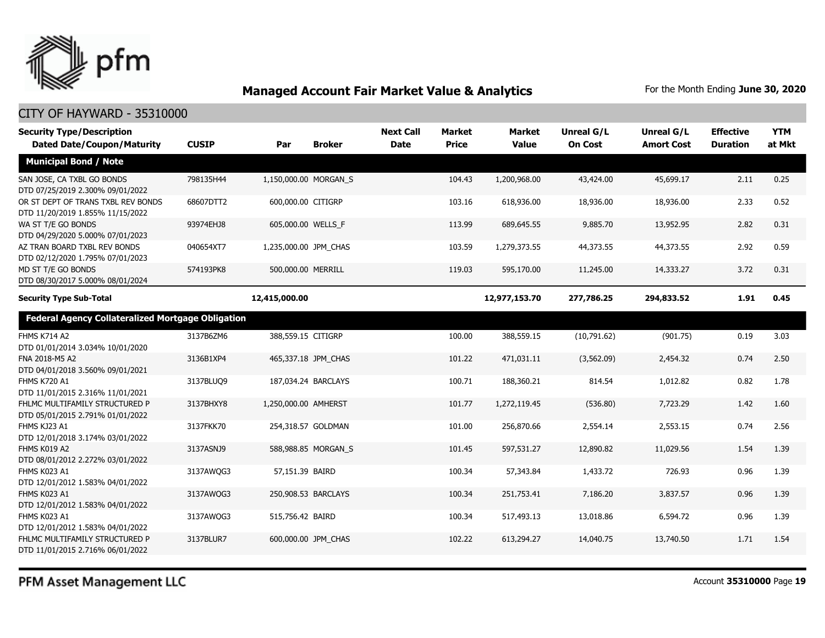

| <b>Security Type/Description</b><br><b>Dated Date/Coupon/Maturity</b>  | <b>CUSIP</b> | Par                   | <b>Broker</b>         | <b>Next Call</b><br><b>Date</b> | <b>Market</b><br><b>Price</b> | <b>Market</b><br><b>Value</b> | Unreal G/L<br><b>On Cost</b> | Unreal G/L<br><b>Amort Cost</b> | <b>Effective</b><br><b>Duration</b> | <b>YTM</b><br>at Mkt |
|------------------------------------------------------------------------|--------------|-----------------------|-----------------------|---------------------------------|-------------------------------|-------------------------------|------------------------------|---------------------------------|-------------------------------------|----------------------|
| <b>Municipal Bond / Note</b>                                           |              |                       |                       |                                 |                               |                               |                              |                                 |                                     |                      |
| SAN JOSE, CA TXBL GO BONDS<br>DTD 07/25/2019 2.300% 09/01/2022         | 798135H44    |                       | 1,150,000.00 MORGAN S |                                 | 104.43                        | 1,200,968.00                  | 43,424.00                    | 45,699.17                       | 2.11                                | 0.25                 |
| OR ST DEPT OF TRANS TXBL REV BONDS<br>DTD 11/20/2019 1.855% 11/15/2022 | 68607DTT2    | 600,000.00 CITIGRP    |                       |                                 | 103.16                        | 618,936.00                    | 18,936.00                    | 18,936.00                       | 2.33                                | 0.52                 |
| WA ST T/E GO BONDS<br>DTD 04/29/2020 5.000% 07/01/2023                 | 93974EHJ8    |                       | 605,000.00 WELLS_F    |                                 | 113.99                        | 689,645.55                    | 9,885.70                     | 13,952.95                       | 2.82                                | 0.31                 |
| AZ TRAN BOARD TXBL REV BONDS<br>DTD 02/12/2020 1.795% 07/01/2023       | 040654XT7    | 1,235,000.00 JPM_CHAS |                       |                                 | 103.59                        | 1,279,373.55                  | 44,373.55                    | 44,373.55                       | 2.92                                | 0.59                 |
| MD ST T/E GO BONDS<br>DTD 08/30/2017 5.000% 08/01/2024                 | 574193PK8    | 500,000.00 MERRILL    |                       |                                 | 119.03                        | 595,170.00                    | 11,245.00                    | 14,333.27                       | 3.72                                | 0.31                 |
| <b>Security Type Sub-Total</b>                                         |              | 12,415,000.00         |                       |                                 |                               | 12,977,153.70                 | 277,786.25                   | 294,833.52                      | 1.91                                | 0.45                 |
| <b>Federal Agency Collateralized Mortgage Obligation</b>               |              |                       |                       |                                 |                               |                               |                              |                                 |                                     |                      |
| <b>FHMS K714 A2</b><br>DTD 01/01/2014 3.034% 10/01/2020                | 3137B6ZM6    | 388,559.15 CITIGRP    |                       |                                 | 100.00                        | 388,559.15                    | (10,791.62)                  | (901.75)                        | 0.19                                | 3.03                 |
| FNA 2018-M5 A2<br>DTD 04/01/2018 3.560% 09/01/2021                     | 3136B1XP4    |                       | 465,337.18 JPM_CHAS   |                                 | 101.22                        | 471,031.11                    | (3, 562.09)                  | 2,454.32                        | 0.74                                | 2.50                 |
| <b>FHMS K720 A1</b><br>DTD 11/01/2015 2.316% 11/01/2021                | 3137BLUQ9    |                       | 187,034.24 BARCLAYS   |                                 | 100.71                        | 188,360.21                    | 814.54                       | 1,012.82                        | 0.82                                | 1.78                 |
| FHLMC MULTIFAMILY STRUCTURED P<br>DTD 05/01/2015 2.791% 01/01/2022     | 3137BHXY8    | 1,250,000.00 AMHERST  |                       |                                 | 101.77                        | 1,272,119.45                  | (536.80)                     | 7,723.29                        | 1.42                                | 1.60                 |
| FHMS KJ23 A1<br>DTD 12/01/2018 3.174% 03/01/2022                       | 3137FKK70    |                       | 254,318.57 GOLDMAN    |                                 | 101.00                        | 256,870.66                    | 2,554.14                     | 2,553.15                        | 0.74                                | 2.56                 |
| FHMS K019 A2<br>DTD 08/01/2012 2.272% 03/01/2022                       | 3137ASNJ9    |                       | 588,988.85 MORGAN_S   |                                 | 101.45                        | 597,531.27                    | 12,890.82                    | 11,029.56                       | 1.54                                | 1.39                 |
| FHMS K023 A1<br>DTD 12/01/2012 1.583% 04/01/2022                       | 3137AWQG3    | 57,151.39 BAIRD       |                       |                                 | 100.34                        | 57,343.84                     | 1,433.72                     | 726.93                          | 0.96                                | 1.39                 |
| FHMS K023 A1<br>DTD 12/01/2012 1.583% 04/01/2022                       | 3137AWQG3    |                       | 250,908.53 BARCLAYS   |                                 | 100.34                        | 251,753.41                    | 7,186.20                     | 3,837.57                        | 0.96                                | 1.39                 |
| FHMS K023 A1<br>DTD 12/01/2012 1.583% 04/01/2022                       | 3137AWQG3    | 515,756.42 BAIRD      |                       |                                 | 100.34                        | 517,493.13                    | 13,018.86                    | 6,594.72                        | 0.96                                | 1.39                 |
| FHLMC MULTIFAMILY STRUCTURED P<br>DTD 11/01/2015 2.716% 06/01/2022     | 3137BLUR7    |                       | 600,000.00 JPM CHAS   |                                 | 102.22                        | 613,294.27                    | 14,040.75                    | 13,740.50                       | 1.71                                | 1.54                 |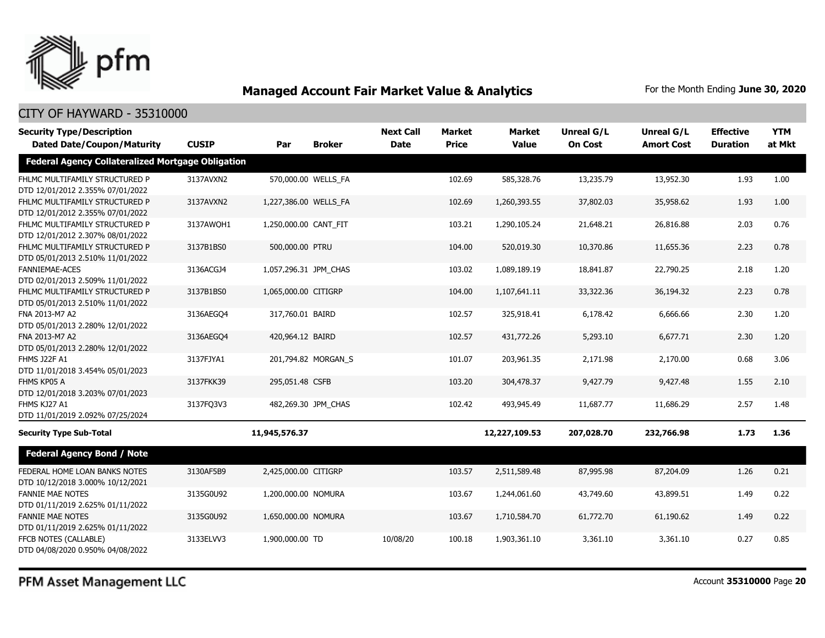

#### CITY OF HAYWARD - 35310000

| <b>Security Type/Description</b>                                   |              |                       |                     | <b>Next Call</b> | Market       | <b>Market</b> | <b>Unreal G/L</b> | Unreal G/L        | <b>Effective</b> | <b>YTM</b> |
|--------------------------------------------------------------------|--------------|-----------------------|---------------------|------------------|--------------|---------------|-------------------|-------------------|------------------|------------|
| <b>Dated Date/Coupon/Maturity</b>                                  | <b>CUSIP</b> | Par                   | <b>Broker</b>       | <b>Date</b>      | <b>Price</b> | <b>Value</b>  | <b>On Cost</b>    | <b>Amort Cost</b> | <b>Duration</b>  | at Mkt     |
| <b>Federal Agency Collateralized Mortgage Obligation</b>           |              |                       |                     |                  |              |               |                   |                   |                  |            |
| FHLMC MULTIFAMILY STRUCTURED P<br>DTD 12/01/2012 2.355% 07/01/2022 | 3137AVXN2    |                       | 570,000.00 WELLS_FA |                  | 102.69       | 585,328.76    | 13,235.79         | 13,952.30         | 1.93             | 1.00       |
| FHLMC MULTIFAMILY STRUCTURED P<br>DTD 12/01/2012 2.355% 07/01/2022 | 3137AVXN2    | 1,227,386.00 WELLS FA |                     |                  | 102.69       | 1,260,393.55  | 37,802.03         | 35,958.62         | 1.93             | 1.00       |
| FHLMC MULTIFAMILY STRUCTURED P<br>DTD 12/01/2012 2.307% 08/01/2022 | 3137AWQH1    | 1,250,000.00 CANT FIT |                     |                  | 103.21       | 1,290,105.24  | 21,648.21         | 26,816.88         | 2.03             | 0.76       |
| FHLMC MULTIFAMILY STRUCTURED P<br>DTD 05/01/2013 2.510% 11/01/2022 | 3137B1BS0    | 500,000.00 PTRU       |                     |                  | 104.00       | 520,019.30    | 10,370.86         | 11,655.36         | 2.23             | 0.78       |
| <b>FANNIEMAE-ACES</b><br>DTD 02/01/2013 2.509% 11/01/2022          | 3136ACGJ4    | 1,057,296.31 JPM CHAS |                     |                  | 103.02       | 1,089,189.19  | 18,841.87         | 22,790.25         | 2.18             | 1.20       |
| FHLMC MULTIFAMILY STRUCTURED P<br>DTD 05/01/2013 2.510% 11/01/2022 | 3137B1BS0    | 1,065,000.00 CITIGRP  |                     |                  | 104.00       | 1,107,641.11  | 33,322.36         | 36,194.32         | 2.23             | 0.78       |
| FNA 2013-M7 A2<br>DTD 05/01/2013 2.280% 12/01/2022                 | 3136AEGO4    | 317,760.01 BAIRD      |                     |                  | 102.57       | 325,918.41    | 6,178.42          | 6,666.66          | 2.30             | 1.20       |
| FNA 2013-M7 A2<br>DTD 05/01/2013 2.280% 12/01/2022                 | 3136AEGO4    | 420,964.12 BAIRD      |                     |                  | 102.57       | 431,772.26    | 5,293.10          | 6,677.71          | 2.30             | 1.20       |
| <b>FHMS J22F A1</b><br>DTD 11/01/2018 3.454% 05/01/2023            | 3137FJYA1    |                       | 201,794.82 MORGAN_S |                  | 101.07       | 203,961.35    | 2,171.98          | 2,170.00          | 0.68             | 3.06       |
| FHMS KP05 A<br>DTD 12/01/2018 3.203% 07/01/2023                    | 3137FKK39    | 295,051.48 CSFB       |                     |                  | 103.20       | 304,478.37    | 9,427.79          | 9,427.48          | 1.55             | 2.10       |
| FHMS KJ27 A1<br>DTD 11/01/2019 2.092% 07/25/2024                   | 3137FQ3V3    |                       | 482,269.30 JPM_CHAS |                  | 102.42       | 493,945.49    | 11,687.77         | 11,686.29         | 2.57             | 1.48       |
| <b>Security Type Sub-Total</b>                                     |              | 11,945,576.37         |                     |                  |              | 12,227,109.53 | 207,028.70        | 232,766.98        | 1.73             | 1.36       |
| <b>Federal Agency Bond / Note</b>                                  |              |                       |                     |                  |              |               |                   |                   |                  |            |
| FEDERAL HOME LOAN BANKS NOTES<br>DTD 10/12/2018 3.000% 10/12/2021  | 3130AF5B9    | 2,425,000.00 CITIGRP  |                     |                  | 103.57       | 2,511,589.48  | 87,995.98         | 87,204.09         | 1.26             | 0.21       |
| <b>FANNIE MAE NOTES</b><br>DTD 01/11/2019 2.625% 01/11/2022        | 3135G0U92    | 1,200,000.00 NOMURA   |                     |                  | 103.67       | 1,244,061.60  | 43,749.60         | 43,899.51         | 1.49             | 0.22       |
| <b>FANNIE MAE NOTES</b><br>DTD 01/11/2019 2.625% 01/11/2022        | 3135G0U92    | 1,650,000.00 NOMURA   |                     |                  | 103.67       | 1,710,584.70  | 61,772.70         | 61,190.62         | 1.49             | 0.22       |
| FFCB NOTES (CALLABLE)<br>DTD 04/08/2020 0.950% 04/08/2022          | 3133ELVV3    | 1,900,000.00 TD       |                     | 10/08/20         | 100.18       | 1,903,361.10  | 3,361.10          | 3,361.10          | 0.27             | 0.85       |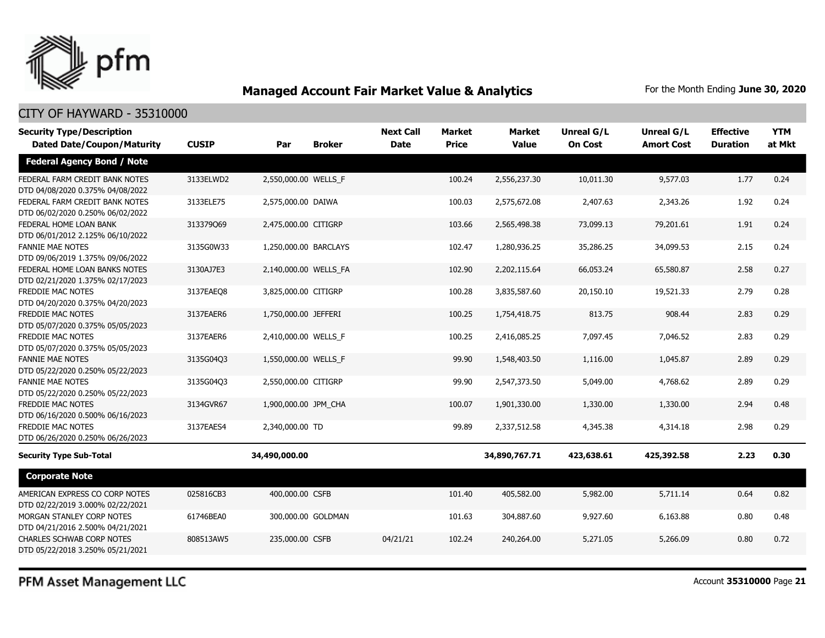

#### CITY OF HAYWARD - 35310000

| <b>Security Type/Description</b><br><b>Dated Date/Coupon/Maturity</b> | <b>CUSIP</b> | Par                   | <b>Broker</b>      | <b>Next Call</b><br><b>Date</b> | <b>Market</b><br><b>Price</b> | <b>Market</b><br><b>Value</b> | Unreal G/L<br><b>On Cost</b> | Unreal G/L<br><b>Amort Cost</b> | <b>Effective</b><br><b>Duration</b> | <b>YTM</b><br>at Mkt |
|-----------------------------------------------------------------------|--------------|-----------------------|--------------------|---------------------------------|-------------------------------|-------------------------------|------------------------------|---------------------------------|-------------------------------------|----------------------|
| <b>Federal Agency Bond / Note</b>                                     |              |                       |                    |                                 |                               |                               |                              |                                 |                                     |                      |
| FEDERAL FARM CREDIT BANK NOTES<br>DTD 04/08/2020 0.375% 04/08/2022    | 3133ELWD2    | 2,550,000.00 WELLS_F  |                    |                                 | 100.24                        | 2,556,237.30                  | 10,011.30                    | 9,577.03                        | 1.77                                | 0.24                 |
| FEDERAL FARM CREDIT BANK NOTES<br>DTD 06/02/2020 0.250% 06/02/2022    | 3133ELE75    | 2,575,000.00 DAIWA    |                    |                                 | 100.03                        | 2,575,672.08                  | 2,407.63                     | 2,343.26                        | 1.92                                | 0.24                 |
| FEDERAL HOME LOAN BANK<br>DTD 06/01/2012 2.125% 06/10/2022            | 313379069    | 2,475,000.00 CITIGRP  |                    |                                 | 103.66                        | 2,565,498.38                  | 73,099.13                    | 79,201.61                       | 1.91                                | 0.24                 |
| <b>FANNIE MAE NOTES</b><br>DTD 09/06/2019 1.375% 09/06/2022           | 3135G0W33    | 1,250,000.00 BARCLAYS |                    |                                 | 102.47                        | 1,280,936.25                  | 35,286.25                    | 34,099.53                       | 2.15                                | 0.24                 |
| FEDERAL HOME LOAN BANKS NOTES<br>DTD 02/21/2020 1.375% 02/17/2023     | 3130AJ7E3    | 2,140,000.00 WELLS_FA |                    |                                 | 102.90                        | 2,202,115.64                  | 66,053.24                    | 65,580.87                       | 2.58                                | 0.27                 |
| FREDDIE MAC NOTES<br>DTD 04/20/2020 0.375% 04/20/2023                 | 3137EAEO8    | 3,825,000.00 CITIGRP  |                    |                                 | 100.28                        | 3,835,587.60                  | 20,150.10                    | 19,521.33                       | 2.79                                | 0.28                 |
| <b>FREDDIE MAC NOTES</b><br>DTD 05/07/2020 0.375% 05/05/2023          | 3137EAER6    | 1,750,000.00 JEFFERI  |                    |                                 | 100.25                        | 1,754,418.75                  | 813.75                       | 908.44                          | 2.83                                | 0.29                 |
| <b>FREDDIE MAC NOTES</b><br>DTD 05/07/2020 0.375% 05/05/2023          | 3137EAER6    | 2,410,000.00 WELLS F  |                    |                                 | 100.25                        | 2,416,085.25                  | 7,097.45                     | 7,046.52                        | 2.83                                | 0.29                 |
| <b>FANNIE MAE NOTES</b><br>DTD 05/22/2020 0.250% 05/22/2023           | 3135G04Q3    | 1,550,000.00 WELLS F  |                    |                                 | 99.90                         | 1,548,403.50                  | 1,116.00                     | 1,045.87                        | 2.89                                | 0.29                 |
| <b>FANNIE MAE NOTES</b><br>DTD 05/22/2020 0.250% 05/22/2023           | 3135G04Q3    | 2,550,000.00 CITIGRP  |                    |                                 | 99.90                         | 2,547,373.50                  | 5,049.00                     | 4,768.62                        | 2.89                                | 0.29                 |
| <b>FREDDIE MAC NOTES</b><br>DTD 06/16/2020 0.500% 06/16/2023          | 3134GVR67    | 1,900,000.00 JPM_CHA  |                    |                                 | 100.07                        | 1,901,330.00                  | 1,330.00                     | 1,330.00                        | 2.94                                | 0.48                 |
| FREDDIE MAC NOTES<br>DTD 06/26/2020 0.250% 06/26/2023                 | 3137EAES4    | 2,340,000.00 TD       |                    |                                 | 99.89                         | 2,337,512.58                  | 4,345.38                     | 4,314.18                        | 2.98                                | 0.29                 |
| <b>Security Type Sub-Total</b>                                        |              | 34,490,000.00         |                    |                                 |                               | 34,890,767.71                 | 423,638.61                   | 425,392.58                      | 2.23                                | 0.30                 |
| <b>Corporate Note</b>                                                 |              |                       |                    |                                 |                               |                               |                              |                                 |                                     |                      |
| AMERICAN EXPRESS CO CORP NOTES<br>DTD 02/22/2019 3.000% 02/22/2021    | 025816CB3    | 400,000.00 CSFB       |                    |                                 | 101.40                        | 405,582.00                    | 5,982.00                     | 5,711.14                        | 0.64                                | 0.82                 |
| MORGAN STANLEY CORP NOTES<br>DTD 04/21/2016 2.500% 04/21/2021         | 61746BEA0    |                       | 300,000.00 GOLDMAN |                                 | 101.63                        | 304,887.60                    | 9,927.60                     | 6,163.88                        | 0.80                                | 0.48                 |
| <b>CHARLES SCHWAB CORP NOTES</b><br>DTD 05/22/2018 3.250% 05/21/2021  | 808513AW5    | 235,000.00 CSFB       |                    | 04/21/21                        | 102.24                        | 240,264.00                    | 5,271.05                     | 5,266.09                        | 0.80                                | 0.72                 |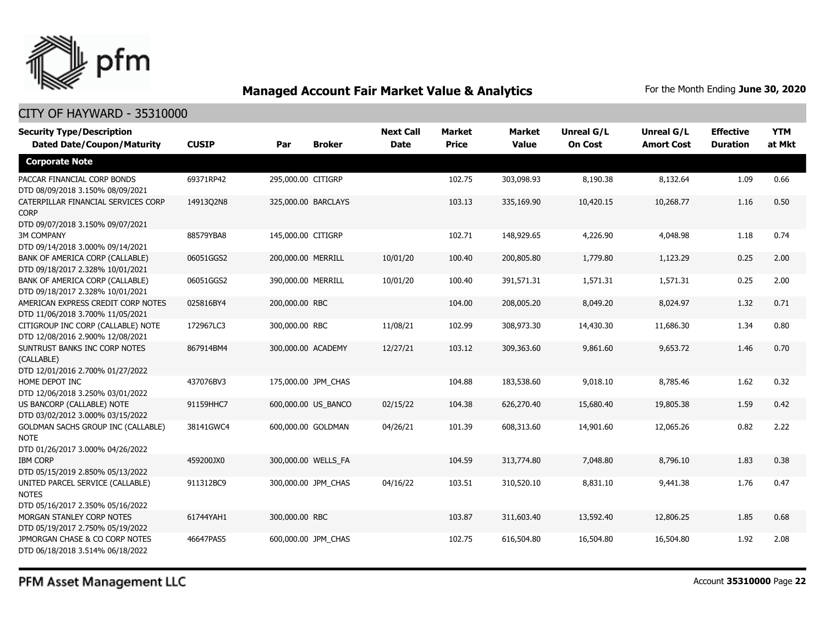

### CITY OF HAYWARD - 35310000

| <b>Security Type/Description</b><br><b>Dated Date/Coupon/Maturity</b> | <b>CUSIP</b> | Par                | <b>Broker</b>       | <b>Next Call</b><br><b>Date</b> | <b>Market</b><br><b>Price</b> | <b>Market</b><br><b>Value</b> | <b>Unreal G/L</b><br><b>On Cost</b> | Unreal G/L<br><b>Amort Cost</b> | <b>Effective</b><br><b>Duration</b> | <b>YTM</b><br>at Mkt |
|-----------------------------------------------------------------------|--------------|--------------------|---------------------|---------------------------------|-------------------------------|-------------------------------|-------------------------------------|---------------------------------|-------------------------------------|----------------------|
| <b>Corporate Note</b>                                                 |              |                    |                     |                                 |                               |                               |                                     |                                 |                                     |                      |
| PACCAR FINANCIAL CORP BONDS<br>DTD 08/09/2018 3.150% 08/09/2021       | 69371RP42    | 295,000.00 CITIGRP |                     |                                 | 102.75                        | 303,098.93                    | 8,190.38                            | 8,132.64                        | 1.09                                | 0.66                 |
| CATERPILLAR FINANCIAL SERVICES CORP<br><b>CORP</b>                    | 14913Q2N8    |                    | 325,000.00 BARCLAYS |                                 | 103.13                        | 335,169.90                    | 10,420.15                           | 10,268.77                       | 1.16                                | 0.50                 |
| DTD 09/07/2018 3.150% 09/07/2021                                      |              |                    |                     |                                 |                               |                               |                                     |                                 |                                     |                      |
| <b>3M COMPANY</b>                                                     | 88579YBA8    | 145,000.00 CITIGRP |                     |                                 | 102.71                        | 148,929.65                    | 4,226.90                            | 4,048.98                        | 1.18                                | 0.74                 |
| DTD 09/14/2018 3.000% 09/14/2021<br>BANK OF AMERICA CORP (CALLABLE)   | 06051GGS2    | 200,000.00 MERRILL |                     | 10/01/20                        | 100.40                        | 200,805.80                    | 1,779.80                            | 1,123.29                        | 0.25                                | 2.00                 |
| DTD 09/18/2017 2.328% 10/01/2021                                      |              |                    |                     |                                 |                               |                               |                                     |                                 |                                     |                      |
| BANK OF AMERICA CORP (CALLABLE)                                       | 06051GGS2    | 390,000.00 MERRILL |                     | 10/01/20                        | 100.40                        | 391,571.31                    | 1,571.31                            | 1,571.31                        | 0.25                                | 2.00                 |
| DTD 09/18/2017 2.328% 10/01/2021                                      |              |                    |                     |                                 |                               |                               |                                     |                                 |                                     |                      |
| AMERICAN EXPRESS CREDIT CORP NOTES                                    | 025816BY4    | 200,000.00 RBC     |                     |                                 | 104.00                        | 208,005.20                    | 8,049.20                            | 8,024.97                        | 1.32                                | 0.71                 |
| DTD 11/06/2018 3.700% 11/05/2021                                      |              |                    |                     |                                 |                               |                               |                                     |                                 |                                     |                      |
| CITIGROUP INC CORP (CALLABLE) NOTE                                    | 172967LC3    | 300,000.00 RBC     |                     | 11/08/21                        | 102.99                        | 308,973.30                    | 14,430.30                           | 11,686.30                       | 1.34                                | 0.80                 |
| DTD 12/08/2016 2.900% 12/08/2021                                      |              |                    |                     |                                 |                               |                               |                                     |                                 |                                     |                      |
| SUNTRUST BANKS INC CORP NOTES<br>(CALLABLE)                           | 867914BM4    | 300,000.00 ACADEMY |                     | 12/27/21                        | 103.12                        | 309,363.60                    | 9,861.60                            | 9,653.72                        | 1.46                                | 0.70                 |
| DTD 12/01/2016 2.700% 01/27/2022                                      |              |                    |                     |                                 |                               |                               |                                     |                                 |                                     |                      |
| HOME DEPOT INC                                                        | 437076BV3    |                    | 175,000.00 JPM_CHAS |                                 | 104.88                        | 183,538.60                    | 9,018.10                            | 8,785.46                        | 1.62                                | 0.32                 |
| DTD 12/06/2018 3.250% 03/01/2022                                      |              |                    |                     |                                 |                               |                               |                                     |                                 |                                     |                      |
| US BANCORP (CALLABLE) NOTE<br>DTD 03/02/2012 3.000% 03/15/2022        | 91159HHC7    |                    | 600,000.00 US_BANCO | 02/15/22                        | 104.38                        | 626,270.40                    | 15,680.40                           | 19,805.38                       | 1.59                                | 0.42                 |
| GOLDMAN SACHS GROUP INC (CALLABLE)<br><b>NOTE</b>                     | 38141GWC4    |                    | 600,000.00 GOLDMAN  | 04/26/21                        | 101.39                        | 608,313.60                    | 14,901.60                           | 12,065.26                       | 0.82                                | 2.22                 |
| DTD 01/26/2017 3.000% 04/26/2022                                      |              |                    |                     |                                 |                               |                               |                                     |                                 |                                     |                      |
| <b>IBM CORP</b>                                                       | 459200JX0    |                    | 300,000.00 WELLS FA |                                 | 104.59                        | 313,774.80                    | 7,048.80                            | 8,796.10                        | 1.83                                | 0.38                 |
| DTD 05/15/2019 2.850% 05/13/2022                                      |              |                    |                     |                                 |                               |                               |                                     |                                 |                                     |                      |
| UNITED PARCEL SERVICE (CALLABLE)                                      | 911312BC9    |                    | 300,000.00 JPM_CHAS | 04/16/22                        | 103.51                        | 310,520.10                    | 8,831.10                            | 9,441.38                        | 1.76                                | 0.47                 |
| <b>NOTES</b>                                                          |              |                    |                     |                                 |                               |                               |                                     |                                 |                                     |                      |
| DTD 05/16/2017 2.350% 05/16/2022                                      |              |                    |                     |                                 |                               |                               |                                     |                                 |                                     |                      |
| MORGAN STANLEY CORP NOTES                                             | 61744YAH1    | 300,000.00 RBC     |                     |                                 | 103.87                        | 311,603.40                    | 13,592.40                           | 12,806.25                       | 1.85                                | 0.68                 |
| DTD 05/19/2017 2.750% 05/19/2022                                      |              |                    |                     |                                 |                               |                               |                                     |                                 |                                     |                      |
| JPMORGAN CHASE & CO CORP NOTES<br>DTD 06/18/2018 3.514% 06/18/2022    | 46647PAS5    |                    | 600,000.00 JPM CHAS |                                 | 102.75                        | 616,504.80                    | 16,504.80                           | 16,504.80                       | 1.92                                | 2.08                 |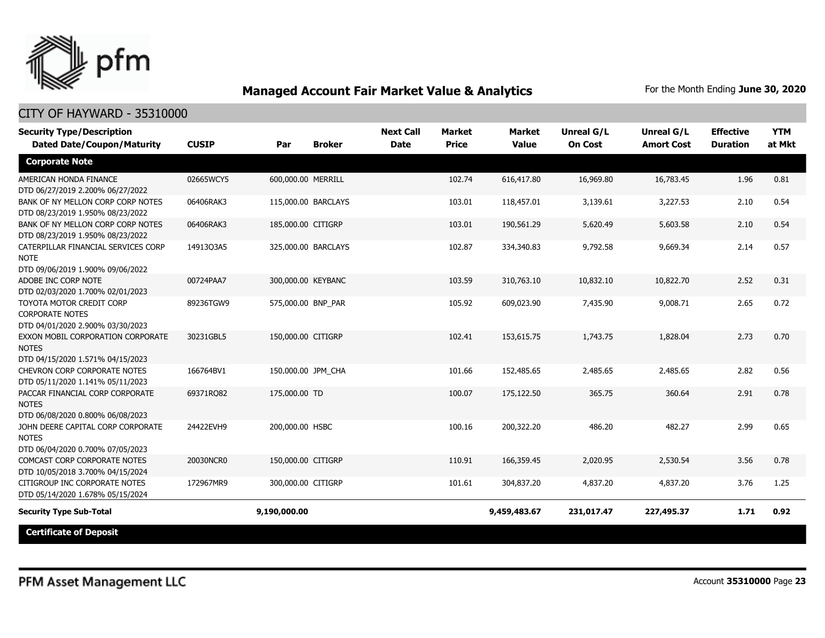

| <b>Security Type/Description</b><br><b>Dated Date/Coupon/Maturity</b>                  | <b>CUSIP</b> | Par                 | <b>Broker</b>       | <b>Next Call</b><br><b>Date</b> | <b>Market</b><br><b>Price</b> | <b>Market</b><br><b>Value</b> | <b>Unreal G/L</b><br><b>On Cost</b> | Unreal G/L<br><b>Amort Cost</b> | <b>Effective</b><br><b>Duration</b> | <b>YTM</b><br>at Mkt |
|----------------------------------------------------------------------------------------|--------------|---------------------|---------------------|---------------------------------|-------------------------------|-------------------------------|-------------------------------------|---------------------------------|-------------------------------------|----------------------|
| <b>Corporate Note</b>                                                                  |              |                     |                     |                                 |                               |                               |                                     |                                 |                                     |                      |
| AMERICAN HONDA FINANCE<br>DTD 06/27/2019 2.200% 06/27/2022                             | 02665WCY5    | 600,000.00 MERRILL  |                     |                                 | 102.74                        | 616,417.80                    | 16,969.80                           | 16,783.45                       | 1.96                                | 0.81                 |
| BANK OF NY MELLON CORP CORP NOTES<br>DTD 08/23/2019 1.950% 08/23/2022                  | 06406RAK3    | 115,000.00 BARCLAYS |                     |                                 | 103.01                        | 118,457.01                    | 3,139.61                            | 3,227.53                        | 2.10                                | 0.54                 |
| BANK OF NY MELLON CORP CORP NOTES<br>DTD 08/23/2019 1.950% 08/23/2022                  | 06406RAK3    | 185,000.00 CITIGRP  |                     |                                 | 103.01                        | 190,561.29                    | 5,620.49                            | 5,603.58                        | 2.10                                | 0.54                 |
| CATERPILLAR FINANCIAL SERVICES CORP<br><b>NOTE</b><br>DTD 09/06/2019 1.900% 09/06/2022 | 14913Q3A5    |                     | 325,000.00 BARCLAYS |                                 | 102.87                        | 334,340.83                    | 9,792.58                            | 9,669.34                        | 2.14                                | 0.57                 |
| ADOBE INC CORP NOTE<br>DTD 02/03/2020 1.700% 02/01/2023                                | 00724PAA7    | 300,000.00 KEYBANC  |                     |                                 | 103.59                        | 310,763.10                    | 10,832.10                           | 10,822.70                       | 2.52                                | 0.31                 |
| TOYOTA MOTOR CREDIT CORP<br><b>CORPORATE NOTES</b><br>DTD 04/01/2020 2.900% 03/30/2023 | 89236TGW9    | 575,000.00 BNP PAR  |                     |                                 | 105.92                        | 609,023.90                    | 7,435.90                            | 9,008.71                        | 2.65                                | 0.72                 |
| EXXON MOBIL CORPORATION CORPORATE<br><b>NOTES</b><br>DTD 04/15/2020 1.571% 04/15/2023  | 30231GBL5    | 150,000.00 CITIGRP  |                     |                                 | 102.41                        | 153,615.75                    | 1,743.75                            | 1,828.04                        | 2.73                                | 0.70                 |
| CHEVRON CORP CORPORATE NOTES<br>DTD 05/11/2020 1.141% 05/11/2023                       | 166764BV1    | 150,000.00 JPM CHA  |                     |                                 | 101.66                        | 152,485.65                    | 2,485.65                            | 2,485.65                        | 2.82                                | 0.56                 |
| PACCAR FINANCIAL CORP CORPORATE<br><b>NOTES</b><br>DTD 06/08/2020 0.800% 06/08/2023    | 69371RQ82    | 175,000.00 TD       |                     |                                 | 100.07                        | 175,122.50                    | 365.75                              | 360.64                          | 2.91                                | 0.78                 |
| JOHN DEERE CAPITAL CORP CORPORATE<br><b>NOTES</b><br>DTD 06/04/2020 0.700% 07/05/2023  | 24422EVH9    | 200,000.00 HSBC     |                     |                                 | 100.16                        | 200,322.20                    | 486.20                              | 482.27                          | 2.99                                | 0.65                 |
| COMCAST CORP CORPORATE NOTES<br>DTD 10/05/2018 3.700% 04/15/2024                       | 20030NCR0    | 150,000.00 CITIGRP  |                     |                                 | 110.91                        | 166,359.45                    | 2,020.95                            | 2,530.54                        | 3.56                                | 0.78                 |
| CITIGROUP INC CORPORATE NOTES<br>DTD 05/14/2020 1.678% 05/15/2024                      | 172967MR9    | 300,000.00 CITIGRP  |                     |                                 | 101.61                        | 304,837.20                    | 4,837.20                            | 4,837.20                        | 3.76                                | 1.25                 |
| <b>Security Type Sub-Total</b>                                                         |              | 9,190,000.00        |                     |                                 |                               | 9,459,483.67                  | 231,017.47                          | 227,495.37                      | 1.71                                | 0.92                 |
| <b>Certificate of Deposit</b>                                                          |              |                     |                     |                                 |                               |                               |                                     |                                 |                                     |                      |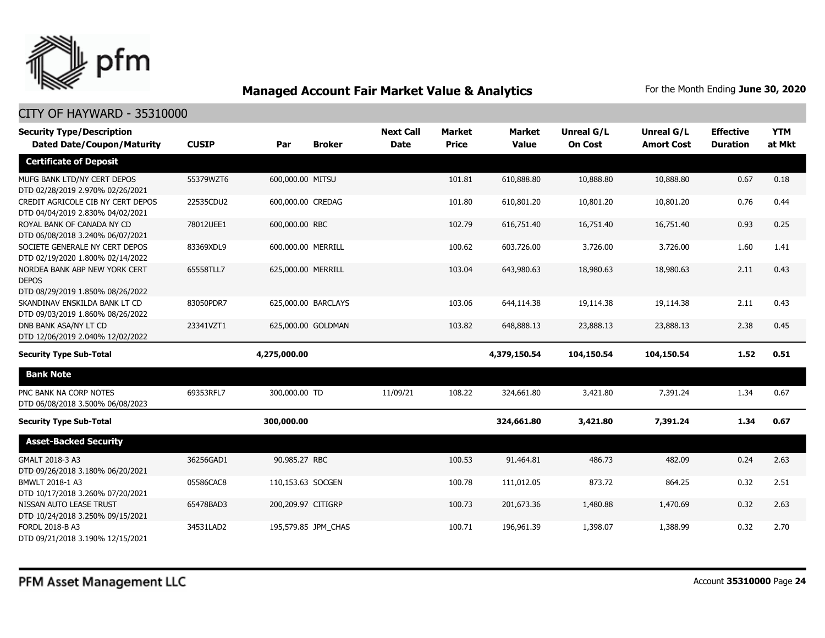

| <b>Security Type/Description</b>                                                  |              |                    |                     | <b>Next Call</b> | <b>Market</b> | <b>Market</b> | <b>Unreal G/L</b> | <b>Unreal G/L</b> | <b>Effective</b> | <b>YTM</b> |
|-----------------------------------------------------------------------------------|--------------|--------------------|---------------------|------------------|---------------|---------------|-------------------|-------------------|------------------|------------|
| <b>Dated Date/Coupon/Maturity</b>                                                 | <b>CUSIP</b> | Par                | <b>Broker</b>       | <b>Date</b>      | <b>Price</b>  | <b>Value</b>  | <b>On Cost</b>    | <b>Amort Cost</b> | <b>Duration</b>  | at Mkt     |
| <b>Certificate of Deposit</b>                                                     |              |                    |                     |                  |               |               |                   |                   |                  |            |
| MUFG BANK LTD/NY CERT DEPOS<br>DTD 02/28/2019 2.970% 02/26/2021                   | 55379WZT6    | 600,000.00 MITSU   |                     |                  | 101.81        | 610,888.80    | 10,888.80         | 10,888.80         | 0.67             | 0.18       |
| CREDIT AGRICOLE CIB NY CERT DEPOS<br>DTD 04/04/2019 2.830% 04/02/2021             | 22535CDU2    | 600,000.00 CREDAG  |                     |                  | 101.80        | 610,801.20    | 10,801.20         | 10,801.20         | 0.76             | 0.44       |
| ROYAL BANK OF CANADA NY CD<br>DTD 06/08/2018 3.240% 06/07/2021                    | 78012UEE1    | 600,000.00 RBC     |                     |                  | 102.79        | 616,751.40    | 16,751.40         | 16,751.40         | 0.93             | 0.25       |
| SOCIETE GENERALE NY CERT DEPOS<br>DTD 02/19/2020 1.800% 02/14/2022                | 83369XDL9    | 600,000.00 MERRILL |                     |                  | 100.62        | 603,726.00    | 3,726.00          | 3,726.00          | 1.60             | 1.41       |
| NORDEA BANK ABP NEW YORK CERT<br><b>DEPOS</b><br>DTD 08/29/2019 1.850% 08/26/2022 | 65558TLL7    | 625,000.00 MERRILL |                     |                  | 103.04        | 643,980.63    | 18,980.63         | 18,980.63         | 2.11             | 0.43       |
| SKANDINAV ENSKILDA BANK LT CD<br>DTD 09/03/2019 1.860% 08/26/2022                 | 83050PDR7    |                    | 625,000.00 BARCLAYS |                  | 103.06        | 644,114.38    | 19,114.38         | 19,114.38         | 2.11             | 0.43       |
| DNB BANK ASA/NY LT CD<br>DTD 12/06/2019 2.040% 12/02/2022                         | 23341VZT1    |                    | 625,000.00 GOLDMAN  |                  | 103.82        | 648,888.13    | 23,888.13         | 23,888.13         | 2.38             | 0.45       |
| <b>Security Type Sub-Total</b>                                                    |              | 4,275,000.00       |                     |                  |               | 4,379,150.54  | 104,150.54        | 104,150.54        | 1.52             | 0.51       |
| <b>Bank Note</b>                                                                  |              |                    |                     |                  |               |               |                   |                   |                  |            |
| PNC BANK NA CORP NOTES<br>DTD 06/08/2018 3.500% 06/08/2023                        | 69353RFL7    | 300,000.00 TD      |                     | 11/09/21         | 108.22        | 324,661.80    | 3,421.80          | 7,391.24          | 1.34             | 0.67       |
| <b>Security Type Sub-Total</b>                                                    |              | 300,000.00         |                     |                  |               | 324,661.80    | 3,421.80          | 7,391.24          | 1.34             | 0.67       |
| <b>Asset-Backed Security</b>                                                      |              |                    |                     |                  |               |               |                   |                   |                  |            |
| GMALT 2018-3 A3<br>DTD 09/26/2018 3.180% 06/20/2021                               | 36256GAD1    | 90,985.27 RBC      |                     |                  | 100.53        | 91,464.81     | 486.73            | 482.09            | 0.24             | 2.63       |
| BMWLT 2018-1 A3<br>DTD 10/17/2018 3.260% 07/20/2021                               | 05586CAC8    | 110,153.63 SOCGEN  |                     |                  | 100.78        | 111,012.05    | 873.72            | 864.25            | 0.32             | 2.51       |
| NISSAN AUTO LEASE TRUST<br>DTD 10/24/2018 3.250% 09/15/2021                       | 65478BAD3    | 200,209.97 CITIGRP |                     |                  | 100.73        | 201,673.36    | 1,480.88          | 1,470.69          | 0.32             | 2.63       |
| FORDL 2018-B A3<br>DTD 09/21/2018 3.190% 12/15/2021                               | 34531LAD2    |                    | 195,579.85 JPM CHAS |                  | 100.71        | 196,961.39    | 1,398.07          | 1,388.99          | 0.32             | 2.70       |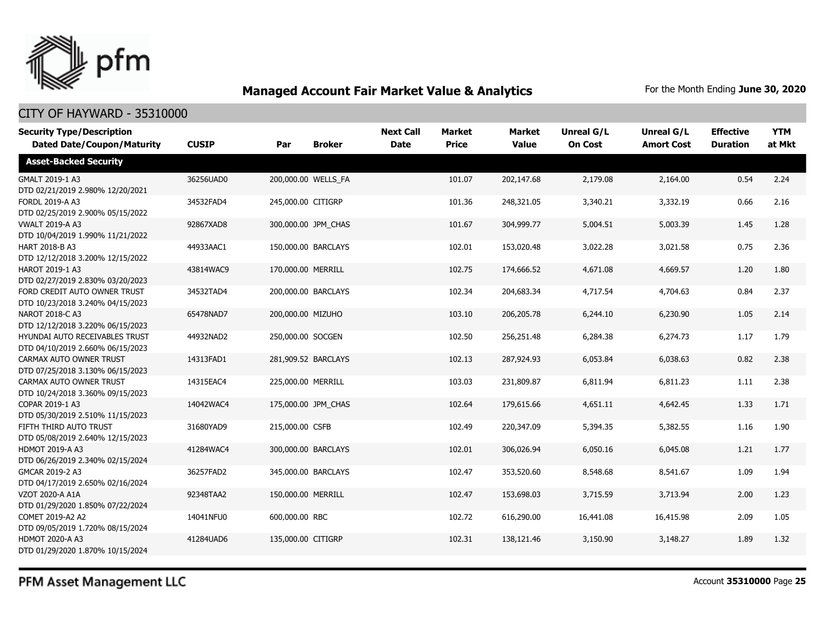

| <b>Security Type/Description</b>                                   |              |                 |                     | <b>Next Call</b> | <b>Market</b> | <b>Market</b> | <b>Unreal G/L</b> | Unreal G/L        | <b>Effective</b> | <b>YTM</b> |
|--------------------------------------------------------------------|--------------|-----------------|---------------------|------------------|---------------|---------------|-------------------|-------------------|------------------|------------|
| <b>Dated Date/Coupon/Maturity</b>                                  | <b>CUSIP</b> | Par             | <b>Broker</b>       | <b>Date</b>      | <b>Price</b>  | <b>Value</b>  | <b>On Cost</b>    | <b>Amort Cost</b> | <b>Duration</b>  | at Mkt     |
| <b>Asset-Backed Security</b>                                       |              |                 |                     |                  |               |               |                   |                   |                  |            |
| GMALT 2019-1 A3<br>DTD 02/21/2019 2.980% 12/20/2021                | 36256UAD0    |                 | 200,000.00 WELLS FA |                  | 101.07        | 202,147.68    | 2,179.08          | 2,164.00          | 0.54             | 2.24       |
| FORDL 2019-A A3<br>DTD 02/25/2019 2.900% 05/15/2022                | 34532FAD4    |                 | 245,000.00 CITIGRP  |                  | 101.36        | 248,321.05    | 3,340.21          | 3,332.19          | 0.66             | 2.16       |
| <b>VWALT 2019-A A3</b><br>DTD 10/04/2019 1.990% 11/21/2022         | 92867XAD8    |                 | 300,000.00 JPM CHAS |                  | 101.67        | 304,999.77    | 5,004.51          | 5,003.39          | 1.45             | 1.28       |
| <b>HART 2018-B A3</b><br>DTD 12/12/2018 3.200% 12/15/2022          | 44933AAC1    |                 | 150,000.00 BARCLAYS |                  | 102.01        | 153,020.48    | 3,022.28          | 3,021.58          | 0.75             | 2.36       |
| <b>HAROT 2019-1 A3</b><br>DTD 02/27/2019 2.830% 03/20/2023         | 43814WAC9    |                 | 170,000.00 MERRILL  |                  | 102.75        | 174,666.52    | 4,671.08          | 4,669.57          | 1.20             | 1.80       |
| FORD CREDIT AUTO OWNER TRUST<br>DTD 10/23/2018 3.240% 04/15/2023   | 34532TAD4    |                 | 200,000.00 BARCLAYS |                  | 102.34        | 204,683.34    | 4,717.54          | 4,704.63          | 0.84             | 2.37       |
| NAROT 2018-C A3<br>DTD 12/12/2018 3.220% 06/15/2023                | 65478NAD7    |                 | 200,000.00 MIZUHO   |                  | 103.10        | 206,205.78    | 6,244.10          | 6,230.90          | 1.05             | 2.14       |
| HYUNDAI AUTO RECEIVABLES TRUST<br>DTD 04/10/2019 2.660% 06/15/2023 | 44932NAD2    |                 | 250,000.00 SOCGEN   |                  | 102.50        | 256,251.48    | 6,284.38          | 6,274.73          | 1.17             | 1.79       |
| CARMAX AUTO OWNER TRUST<br>DTD 07/25/2018 3.130% 06/15/2023        | 14313FAD1    |                 | 281,909.52 BARCLAYS |                  | 102.13        | 287,924.93    | 6,053.84          | 6,038.63          | 0.82             | 2.38       |
| CARMAX AUTO OWNER TRUST<br>DTD 10/24/2018 3.360% 09/15/2023        | 14315EAC4    |                 | 225,000.00 MERRILL  |                  | 103.03        | 231,809.87    | 6,811.94          | 6,811.23          | 1.11             | 2.38       |
| COPAR 2019-1 A3<br>DTD 05/30/2019 2.510% 11/15/2023                | 14042WAC4    |                 | 175,000.00 JPM CHAS |                  | 102.64        | 179,615.66    | 4,651.11          | 4,642.45          | 1.33             | 1.71       |
| FIFTH THIRD AUTO TRUST<br>DTD 05/08/2019 2.640% 12/15/2023         | 31680YAD9    | 215,000.00 CSFB |                     |                  | 102.49        | 220,347.09    | 5,394.35          | 5,382.55          | 1.16             | 1.90       |
| <b>HDMOT 2019-A A3</b><br>DTD 06/26/2019 2.340% 02/15/2024         | 41284WAC4    |                 | 300,000.00 BARCLAYS |                  | 102.01        | 306,026.94    | 6,050.16          | 6,045.08          | 1.21             | 1.77       |
| GMCAR 2019-2 A3<br>DTD 04/17/2019 2.650% 02/16/2024                | 36257FAD2    |                 | 345,000.00 BARCLAYS |                  | 102.47        | 353,520.60    | 8,548.68          | 8,541.67          | 1.09             | 1.94       |
| <b>VZOT 2020-A A1A</b><br>DTD 01/29/2020 1.850% 07/22/2024         | 92348TAA2    |                 | 150,000.00 MERRILL  |                  | 102.47        | 153,698.03    | 3,715.59          | 3,713.94          | 2.00             | 1.23       |
| COMET 2019-A2 A2<br>DTD 09/05/2019 1.720% 08/15/2024               | 14041NFU0    | 600,000.00 RBC  |                     |                  | 102.72        | 616,290.00    | 16,441.08         | 16,415.98         | 2.09             | 1.05       |
| <b>HDMOT 2020-A A3</b><br>DTD 01/29/2020 1.870% 10/15/2024         | 41284UAD6    |                 | 135,000.00 CITIGRP  |                  | 102.31        | 138,121.46    | 3,150.90          | 3,148.27          | 1.89             | 1.32       |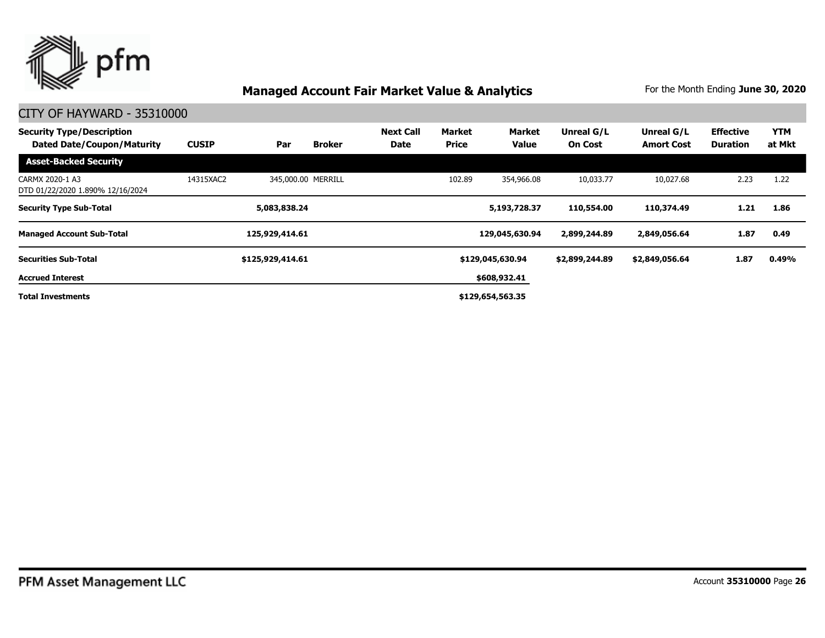

| <b>Security Type/Description</b><br><b>Dated Date/Coupon/Maturity</b> | <b>CUSIP</b> | Par              | <b>Broker</b>      | <b>Next Call</b><br><b>Date</b> | Market<br><b>Price</b> | Market<br><b>Value</b> | Unreal G/L<br><b>On Cost</b> | Unreal G/L<br><b>Amort Cost</b> | <b>Effective</b><br><b>Duration</b> | <b>YTM</b><br>at Mkt |
|-----------------------------------------------------------------------|--------------|------------------|--------------------|---------------------------------|------------------------|------------------------|------------------------------|---------------------------------|-------------------------------------|----------------------|
| <b>Asset-Backed Security</b>                                          |              |                  |                    |                                 |                        |                        |                              |                                 |                                     |                      |
| CARMX 2020-1 A3<br>DTD 01/22/2020 1.890% 12/16/2024                   | 14315XAC2    |                  | 345,000.00 MERRILL |                                 | 102.89                 | 354,966.08             | 10,033.77                    | 10,027.68                       | 2.23                                | 1.22                 |
| <b>Security Type Sub-Total</b>                                        |              | 5,083,838.24     |                    |                                 |                        | 5,193,728.37           | 110,554.00                   | 110,374.49                      | 1.21                                | 1.86                 |
| <b>Managed Account Sub-Total</b>                                      |              | 125,929,414.61   |                    |                                 |                        | 129,045,630.94         | 2,899,244.89                 | 2,849,056.64                    | 1.87                                | 0.49                 |
| <b>Securities Sub-Total</b>                                           |              | \$125,929,414.61 |                    |                                 |                        | \$129,045,630.94       | \$2,899,244.89               | \$2,849,056.64                  | 1.87                                | 0.49%                |
| <b>Accrued Interest</b>                                               |              |                  |                    |                                 |                        | \$608,932.41           |                              |                                 |                                     |                      |
| <b>Total Investments</b>                                              |              |                  |                    |                                 |                        | \$129,654,563.35       |                              |                                 |                                     |                      |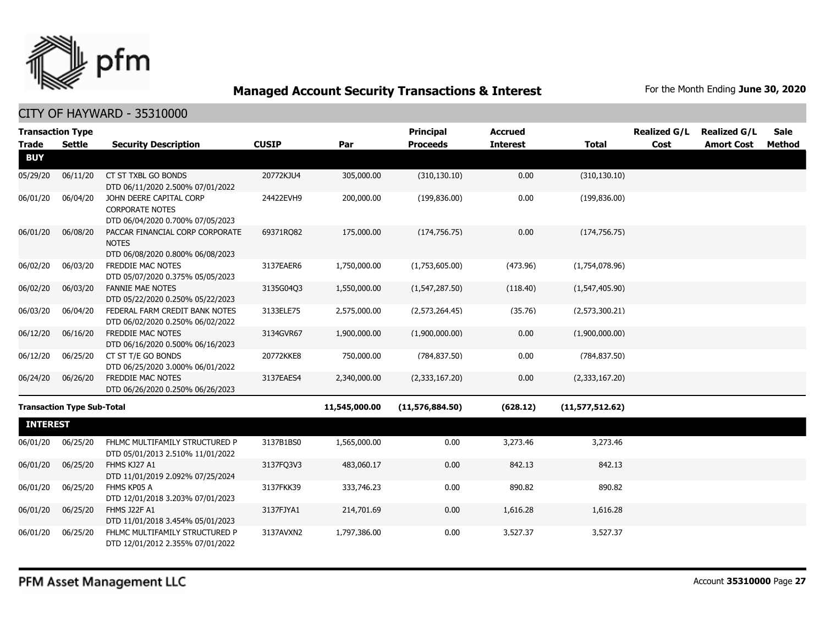

|                 | <b>Transaction Type</b>           |                                                                                       |              |               | <b>Principal</b>  | <b>Accrued</b>  |                 | <b>Realized G/L</b> | <b>Realized G/L</b> | <b>Sale</b> |
|-----------------|-----------------------------------|---------------------------------------------------------------------------------------|--------------|---------------|-------------------|-----------------|-----------------|---------------------|---------------------|-------------|
| <b>Trade</b>    | Settle                            | <b>Security Description</b>                                                           | <b>CUSIP</b> | Par           | <b>Proceeds</b>   | <b>Interest</b> | <b>Total</b>    | Cost                | <b>Amort Cost</b>   | Method      |
| <b>BUY</b>      |                                   |                                                                                       |              |               |                   |                 |                 |                     |                     |             |
| 05/29/20        | 06/11/20                          | CT ST TXBL GO BONDS<br>DTD 06/11/2020 2.500% 07/01/2022                               | 20772KJU4    | 305,000.00    | (310, 130.10)     | 0.00            | (310, 130.10)   |                     |                     |             |
| 06/01/20        | 06/04/20                          | JOHN DEERE CAPITAL CORP<br><b>CORPORATE NOTES</b><br>DTD 06/04/2020 0.700% 07/05/2023 | 24422EVH9    | 200,000.00    | (199, 836.00)     | 0.00            | (199, 836.00)   |                     |                     |             |
| 06/01/20        | 06/08/20                          | PACCAR FINANCIAL CORP CORPORATE<br><b>NOTES</b><br>DTD 06/08/2020 0.800% 06/08/2023   | 69371RQ82    | 175,000.00    | (174, 756.75)     | 0.00            | (174, 756.75)   |                     |                     |             |
| 06/02/20        | 06/03/20                          | FREDDIE MAC NOTES<br>DTD 05/07/2020 0.375% 05/05/2023                                 | 3137EAER6    | 1,750,000.00  | (1,753,605.00)    | (473.96)        | (1,754,078.96)  |                     |                     |             |
| 06/02/20        | 06/03/20                          | <b>FANNIE MAE NOTES</b><br>DTD 05/22/2020 0.250% 05/22/2023                           | 3135G04Q3    | 1,550,000.00  | (1,547,287.50)    | (118.40)        | (1,547,405.90)  |                     |                     |             |
| 06/03/20        | 06/04/20                          | FEDERAL FARM CREDIT BANK NOTES<br>DTD 06/02/2020 0.250% 06/02/2022                    | 3133ELE75    | 2,575,000.00  | (2,573,264.45)    | (35.76)         | (2,573,300.21)  |                     |                     |             |
| 06/12/20        | 06/16/20                          | FREDDIE MAC NOTES<br>DTD 06/16/2020 0.500% 06/16/2023                                 | 3134GVR67    | 1,900,000.00  | (1,900,000.00)    | 0.00            | (1,900,000.00)  |                     |                     |             |
| 06/12/20        | 06/25/20                          | CT ST T/E GO BONDS<br>DTD 06/25/2020 3.000% 06/01/2022                                | 20772KKE8    | 750,000.00    | (784, 837.50)     | 0.00            | (784, 837.50)   |                     |                     |             |
| 06/24/20        | 06/26/20                          | FREDDIE MAC NOTES<br>DTD 06/26/2020 0.250% 06/26/2023                                 | 3137EAES4    | 2,340,000.00  | (2,333,167.20)    | 0.00            | (2,333,167.20)  |                     |                     |             |
|                 | <b>Transaction Type Sub-Total</b> |                                                                                       |              | 11,545,000.00 | (11, 576, 884.50) | (628.12)        | (11,577,512.62) |                     |                     |             |
| <b>INTEREST</b> |                                   |                                                                                       |              |               |                   |                 |                 |                     |                     |             |
| 06/01/20        | 06/25/20                          | FHLMC MULTIFAMILY STRUCTURED P<br>DTD 05/01/2013 2.510% 11/01/2022                    | 3137B1BS0    | 1,565,000.00  | 0.00              | 3,273.46        | 3,273.46        |                     |                     |             |
| 06/01/20        | 06/25/20                          | FHMS KJ27 A1<br>DTD 11/01/2019 2.092% 07/25/2024                                      | 3137FQ3V3    | 483,060.17    | 0.00              | 842.13          | 842.13          |                     |                     |             |
| 06/01/20        | 06/25/20                          | FHMS KP05 A<br>DTD 12/01/2018 3.203% 07/01/2023                                       | 3137FKK39    | 333,746.23    | 0.00              | 890.82          | 890.82          |                     |                     |             |
| 06/01/20        | 06/25/20                          | <b>FHMS J22F A1</b><br>DTD 11/01/2018 3.454% 05/01/2023                               | 3137FJYA1    | 214,701.69    | 0.00              | 1,616.28        | 1,616.28        |                     |                     |             |
| 06/01/20        | 06/25/20                          | FHLMC MULTIFAMILY STRUCTURED P<br>DTD 12/01/2012 2.355% 07/01/2022                    | 3137AVXN2    | 1,797,386.00  | 0.00              | 3,527.37        | 3,527.37        |                     |                     |             |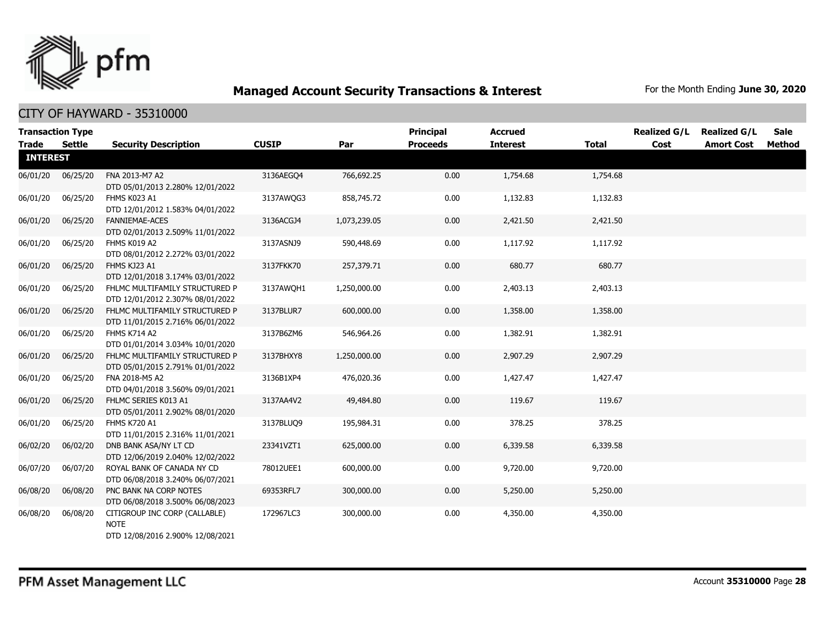

| <b>Trade</b>    | <b>Transaction Type</b><br><b>Settle</b> | <b>Security Description</b>                                                      | <b>CUSIP</b> | Par          | Principal<br><b>Proceeds</b> | <b>Accrued</b><br><b>Interest</b> | <b>Total</b> | <b>Realized G/L</b><br>Cost | <b>Realized G/L</b><br><b>Amort Cost</b> | <b>Sale</b><br>Method |
|-----------------|------------------------------------------|----------------------------------------------------------------------------------|--------------|--------------|------------------------------|-----------------------------------|--------------|-----------------------------|------------------------------------------|-----------------------|
| <b>INTEREST</b> |                                          |                                                                                  |              |              |                              |                                   |              |                             |                                          |                       |
| 06/01/20        | 06/25/20                                 | FNA 2013-M7 A2<br>DTD 05/01/2013 2.280% 12/01/2022                               | 3136AEGQ4    | 766,692.25   | 0.00                         | 1,754.68                          | 1,754.68     |                             |                                          |                       |
| 06/01/20        | 06/25/20                                 | FHMS K023 A1<br>DTD 12/01/2012 1.583% 04/01/2022                                 | 3137AWQG3    | 858,745.72   | 0.00                         | 1,132.83                          | 1,132.83     |                             |                                          |                       |
| 06/01/20        | 06/25/20                                 | FANNIEMAE-ACES<br>DTD 02/01/2013 2.509% 11/01/2022                               | 3136ACGJ4    | 1,073,239.05 | 0.00                         | 2,421.50                          | 2,421.50     |                             |                                          |                       |
| 06/01/20        | 06/25/20                                 | FHMS K019 A2<br>DTD 08/01/2012 2.272% 03/01/2022                                 | 3137ASNJ9    | 590,448.69   | 0.00                         | 1,117.92                          | 1,117.92     |                             |                                          |                       |
| 06/01/20        | 06/25/20                                 | FHMS KJ23 A1<br>DTD 12/01/2018 3.174% 03/01/2022                                 | 3137FKK70    | 257,379.71   | 0.00                         | 680.77                            | 680.77       |                             |                                          |                       |
| 06/01/20        | 06/25/20                                 | FHLMC MULTIFAMILY STRUCTURED P<br>DTD 12/01/2012 2.307% 08/01/2022               | 3137AWOH1    | 1,250,000.00 | 0.00                         | 2,403.13                          | 2,403.13     |                             |                                          |                       |
| 06/01/20        | 06/25/20                                 | FHLMC MULTIFAMILY STRUCTURED P<br>DTD 11/01/2015 2.716% 06/01/2022               | 3137BLUR7    | 600,000.00   | 0.00                         | 1,358.00                          | 1,358.00     |                             |                                          |                       |
| 06/01/20        | 06/25/20                                 | FHMS K714 A2<br>DTD 01/01/2014 3.034% 10/01/2020                                 | 3137B6ZM6    | 546,964.26   | 0.00                         | 1,382.91                          | 1,382.91     |                             |                                          |                       |
| 06/01/20        | 06/25/20                                 | FHLMC MULTIFAMILY STRUCTURED P<br>DTD 05/01/2015 2.791% 01/01/2022               | 3137BHXY8    | 1,250,000.00 | 0.00                         | 2,907.29                          | 2,907.29     |                             |                                          |                       |
| 06/01/20        | 06/25/20                                 | FNA 2018-M5 A2<br>DTD 04/01/2018 3.560% 09/01/2021                               | 3136B1XP4    | 476,020.36   | 0.00                         | 1,427.47                          | 1,427.47     |                             |                                          |                       |
| 06/01/20        | 06/25/20                                 | FHLMC SERIES K013 A1<br>DTD 05/01/2011 2.902% 08/01/2020                         | 3137AA4V2    | 49,484.80    | 0.00                         | 119.67                            | 119.67       |                             |                                          |                       |
| 06/01/20        | 06/25/20                                 | FHMS K720 A1<br>DTD 11/01/2015 2.316% 11/01/2021                                 | 3137BLUO9    | 195,984.31   | 0.00                         | 378.25                            | 378.25       |                             |                                          |                       |
| 06/02/20        | 06/02/20                                 | DNB BANK ASA/NY LT CD<br>DTD 12/06/2019 2.040% 12/02/2022                        | 23341VZT1    | 625,000.00   | 0.00                         | 6,339.58                          | 6,339.58     |                             |                                          |                       |
| 06/07/20        | 06/07/20                                 | ROYAL BANK OF CANADA NY CD<br>DTD 06/08/2018 3.240% 06/07/2021                   | 78012UEE1    | 600,000.00   | 0.00                         | 9,720.00                          | 9,720.00     |                             |                                          |                       |
| 06/08/20        | 06/08/20                                 | PNC BANK NA CORP NOTES<br>DTD 06/08/2018 3.500% 06/08/2023                       | 69353RFL7    | 300,000.00   | 0.00                         | 5,250.00                          | 5,250.00     |                             |                                          |                       |
| 06/08/20        | 06/08/20                                 | CITIGROUP INC CORP (CALLABLE)<br><b>NOTE</b><br>DTD 12/08/2016 2.900% 12/08/2021 | 172967LC3    | 300,000.00   | 0.00                         | 4,350.00                          | 4,350.00     |                             |                                          |                       |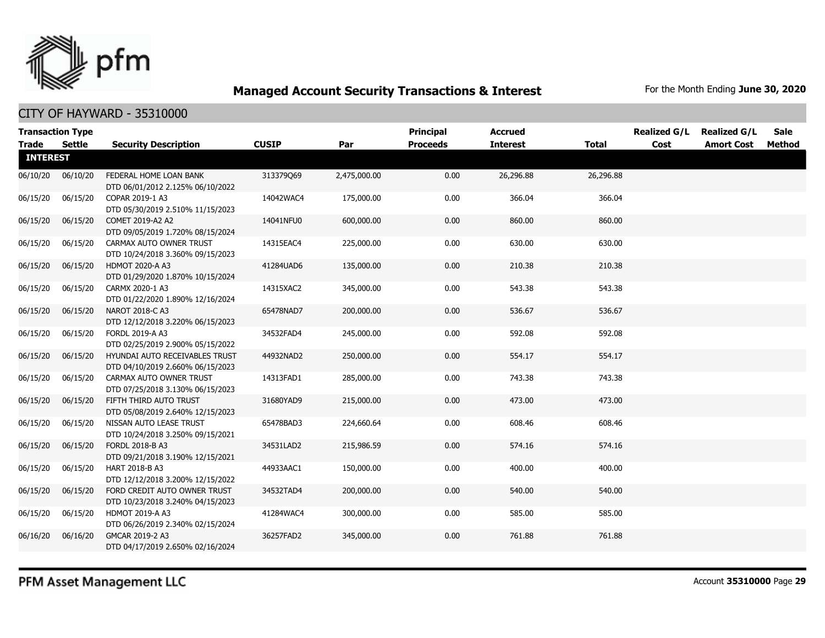

| <b>Transaction Type</b> |               |                                                                    |              |              | <b>Principal</b> | <b>Accrued</b>  |              | <b>Realized G/L</b> | <b>Realized G/L</b> | Sale   |
|-------------------------|---------------|--------------------------------------------------------------------|--------------|--------------|------------------|-----------------|--------------|---------------------|---------------------|--------|
| <b>Trade</b>            | <b>Settle</b> | <b>Security Description</b>                                        | <b>CUSIP</b> | Par          | <b>Proceeds</b>  | <b>Interest</b> | <b>Total</b> | Cost                | <b>Amort Cost</b>   | Method |
| <b>INTEREST</b>         |               |                                                                    |              |              |                  |                 |              |                     |                     |        |
| 06/10/20                | 06/10/20      | FEDERAL HOME LOAN BANK<br>DTD 06/01/2012 2.125% 06/10/2022         | 313379Q69    | 2,475,000.00 | 0.00             | 26,296.88       | 26,296.88    |                     |                     |        |
| 06/15/20                | 06/15/20      | COPAR 2019-1 A3<br>DTD 05/30/2019 2.510% 11/15/2023                | 14042WAC4    | 175,000.00   | 0.00             | 366.04          | 366.04       |                     |                     |        |
| 06/15/20                | 06/15/20      | COMET 2019-A2 A2<br>DTD 09/05/2019 1.720% 08/15/2024               | 14041NFU0    | 600,000.00   | 0.00             | 860.00          | 860.00       |                     |                     |        |
| 06/15/20                | 06/15/20      | CARMAX AUTO OWNER TRUST<br>DTD 10/24/2018 3.360% 09/15/2023        | 14315EAC4    | 225,000.00   | 0.00             | 630.00          | 630.00       |                     |                     |        |
| 06/15/20                | 06/15/20      | <b>HDMOT 2020-A A3</b><br>DTD 01/29/2020 1.870% 10/15/2024         | 41284UAD6    | 135,000.00   | 0.00             | 210.38          | 210.38       |                     |                     |        |
| 06/15/20                | 06/15/20      | CARMX 2020-1 A3<br>DTD 01/22/2020 1.890% 12/16/2024                | 14315XAC2    | 345,000.00   | 0.00             | 543.38          | 543.38       |                     |                     |        |
| 06/15/20                | 06/15/20      | NAROT 2018-C A3<br>DTD 12/12/2018 3.220% 06/15/2023                | 65478NAD7    | 200,000.00   | 0.00             | 536.67          | 536.67       |                     |                     |        |
| 06/15/20                | 06/15/20      | FORDL 2019-A A3<br>DTD 02/25/2019 2.900% 05/15/2022                | 34532FAD4    | 245,000.00   | 0.00             | 592.08          | 592.08       |                     |                     |        |
| 06/15/20                | 06/15/20      | HYUNDAI AUTO RECEIVABLES TRUST<br>DTD 04/10/2019 2.660% 06/15/2023 | 44932NAD2    | 250,000.00   | 0.00             | 554.17          | 554.17       |                     |                     |        |
| 06/15/20                | 06/15/20      | CARMAX AUTO OWNER TRUST<br>DTD 07/25/2018 3.130% 06/15/2023        | 14313FAD1    | 285,000.00   | 0.00             | 743.38          | 743.38       |                     |                     |        |
| 06/15/20                | 06/15/20      | FIFTH THIRD AUTO TRUST<br>DTD 05/08/2019 2.640% 12/15/2023         | 31680YAD9    | 215,000.00   | 0.00             | 473.00          | 473.00       |                     |                     |        |
| 06/15/20                | 06/15/20      | NISSAN AUTO LEASE TRUST<br>DTD 10/24/2018 3.250% 09/15/2021        | 65478BAD3    | 224,660.64   | 0.00             | 608.46          | 608.46       |                     |                     |        |
| 06/15/20                | 06/15/20      | FORDL 2018-B A3<br>DTD 09/21/2018 3.190% 12/15/2021                | 34531LAD2    | 215,986.59   | 0.00             | 574.16          | 574.16       |                     |                     |        |
| 06/15/20                | 06/15/20      | <b>HART 2018-B A3</b><br>DTD 12/12/2018 3.200% 12/15/2022          | 44933AAC1    | 150,000.00   | 0.00             | 400.00          | 400.00       |                     |                     |        |
| 06/15/20                | 06/15/20      | FORD CREDIT AUTO OWNER TRUST<br>DTD 10/23/2018 3.240% 04/15/2023   | 34532TAD4    | 200,000.00   | 0.00             | 540.00          | 540.00       |                     |                     |        |
| 06/15/20                | 06/15/20      | HDMOT 2019-A A3<br>DTD 06/26/2019 2.340% 02/15/2024                | 41284WAC4    | 300,000.00   | 0.00             | 585.00          | 585.00       |                     |                     |        |
| 06/16/20                | 06/16/20      | GMCAR 2019-2 A3<br>DTD 04/17/2019 2.650% 02/16/2024                | 36257FAD2    | 345,000.00   | 0.00             | 761.88          | 761.88       |                     |                     |        |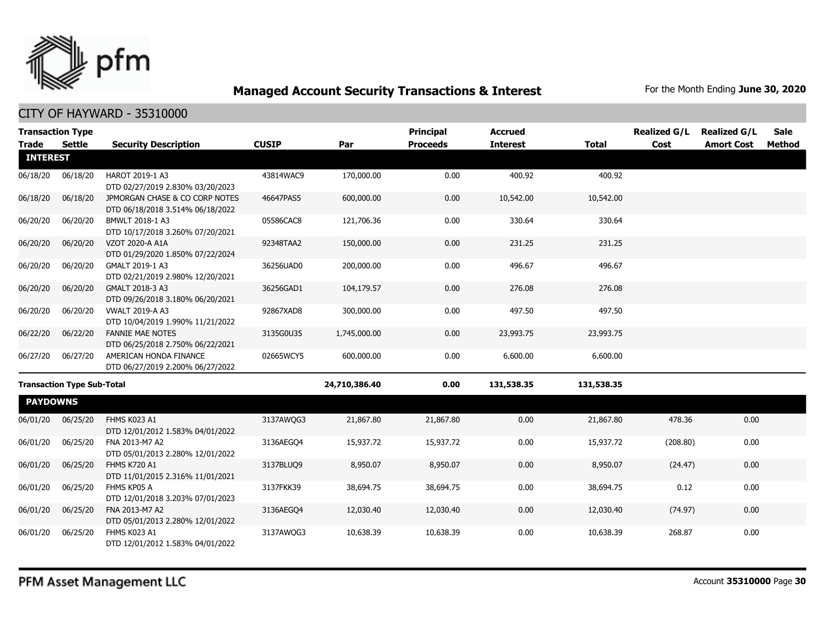

|                 | <b>Transaction Type</b>           |                                                                    |              |               | <b>Principal</b> | <b>Accrued</b>  |              | <b>Realized G/L</b> | <b>Realized G/L</b> | <b>Sale</b> |
|-----------------|-----------------------------------|--------------------------------------------------------------------|--------------|---------------|------------------|-----------------|--------------|---------------------|---------------------|-------------|
| <b>Trade</b>    | <b>Settle</b>                     | <b>Security Description</b>                                        | <b>CUSIP</b> | Par           | <b>Proceeds</b>  | <b>Interest</b> | <b>Total</b> | Cost                | <b>Amort Cost</b>   | Method      |
| <b>INTEREST</b> |                                   |                                                                    |              |               |                  |                 |              |                     |                     |             |
| 06/18/20        | 06/18/20                          | HAROT 2019-1 A3<br>DTD 02/27/2019 2.830% 03/20/2023                | 43814WAC9    | 170,000.00    | 0.00             | 400.92          | 400.92       |                     |                     |             |
| 06/18/20        | 06/18/20                          | JPMORGAN CHASE & CO CORP NOTES<br>DTD 06/18/2018 3.514% 06/18/2022 | 46647PAS5    | 600,000.00    | 0.00             | 10,542.00       | 10,542.00    |                     |                     |             |
| 06/20/20        | 06/20/20                          | BMWLT 2018-1 A3<br>DTD 10/17/2018 3.260% 07/20/2021                | 05586CAC8    | 121,706.36    | 0.00             | 330.64          | 330.64       |                     |                     |             |
| 06/20/20        | 06/20/20                          | VZOT 2020-A A1A<br>DTD 01/29/2020 1.850% 07/22/2024                | 92348TAA2    | 150,000.00    | 0.00             | 231.25          | 231.25       |                     |                     |             |
| 06/20/20        | 06/20/20                          | GMALT 2019-1 A3<br>DTD 02/21/2019 2.980% 12/20/2021                | 36256UAD0    | 200,000.00    | 0.00             | 496.67          | 496.67       |                     |                     |             |
| 06/20/20        | 06/20/20                          | GMALT 2018-3 A3<br>DTD 09/26/2018 3.180% 06/20/2021                | 36256GAD1    | 104,179.57    | 0.00             | 276.08          | 276.08       |                     |                     |             |
| 06/20/20        | 06/20/20                          | <b>VWALT 2019-A A3</b><br>DTD 10/04/2019 1.990% 11/21/2022         | 92867XAD8    | 300,000.00    | 0.00             | 497.50          | 497.50       |                     |                     |             |
| 06/22/20        | 06/22/20                          | <b>FANNIE MAE NOTES</b><br>DTD 06/25/2018 2.750% 06/22/2021        | 3135G0U35    | 1,745,000.00  | 0.00             | 23,993.75       | 23,993.75    |                     |                     |             |
| 06/27/20        | 06/27/20                          | AMERICAN HONDA FINANCE<br>DTD 06/27/2019 2.200% 06/27/2022         | 02665WCY5    | 600,000.00    | 0.00             | 6,600.00        | 6,600.00     |                     |                     |             |
|                 | <b>Transaction Type Sub-Total</b> |                                                                    |              | 24,710,386.40 | 0.00             | 131,538.35      | 131,538.35   |                     |                     |             |
| <b>PAYDOWNS</b> |                                   |                                                                    |              |               |                  |                 |              |                     |                     |             |
| 06/01/20        | 06/25/20                          | FHMS K023 A1<br>DTD 12/01/2012 1.583% 04/01/2022                   | 3137AWQG3    | 21,867.80     | 21,867.80        | 0.00            | 21,867.80    | 478.36              | 0.00                |             |
| 06/01/20        | 06/25/20                          | FNA 2013-M7 A2<br>DTD 05/01/2013 2.280% 12/01/2022                 | 3136AEGO4    | 15,937.72     | 15,937.72        | 0.00            | 15,937.72    | (208.80)            | 0.00                |             |
| 06/01/20        | 06/25/20                          | <b>FHMS K720 A1</b><br>DTD 11/01/2015 2.316% 11/01/2021            | 3137BLUO9    | 8,950.07      | 8,950.07         | 0.00            | 8,950.07     | (24.47)             | 0.00                |             |
| 06/01/20        | 06/25/20                          | FHMS KP05 A<br>DTD 12/01/2018 3.203% 07/01/2023                    | 3137FKK39    | 38,694.75     | 38,694.75        | 0.00            | 38,694.75    | 0.12                | 0.00                |             |
| 06/01/20        | 06/25/20                          | FNA 2013-M7 A2<br>DTD 05/01/2013 2.280% 12/01/2022                 | 3136AEGO4    | 12,030.40     | 12,030.40        | 0.00            | 12,030.40    | (74.97)             | 0.00                |             |
| 06/01/20        | 06/25/20                          | FHMS K023 A1<br>DTD 12/01/2012 1.583% 04/01/2022                   | 3137AWQG3    | 10,638.39     | 10,638.39        | 0.00            | 10,638.39    | 268.87              | 0.00                |             |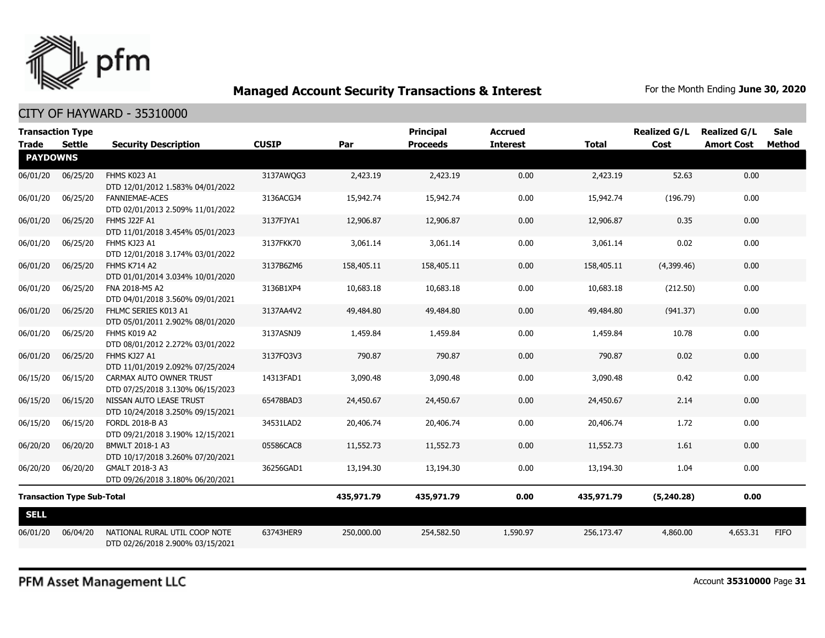

#### CITY OF HAYWARD - 35310000

| <b>Transaction Type</b><br>Trade | Settle                            | <b>Security Description</b>                                       | <b>CUSIP</b> | Par        | <b>Principal</b><br><b>Proceeds</b> | <b>Accrued</b><br><b>Interest</b> | <b>Total</b> | <b>Realized G/L</b><br>Cost | <b>Realized G/L</b><br><b>Amort Cost</b> | <b>Sale</b><br>Method |
|----------------------------------|-----------------------------------|-------------------------------------------------------------------|--------------|------------|-------------------------------------|-----------------------------------|--------------|-----------------------------|------------------------------------------|-----------------------|
| <b>PAYDOWNS</b>                  |                                   |                                                                   |              |            |                                     |                                   |              |                             |                                          |                       |
| 06/01/20                         | 06/25/20                          | FHMS K023 A1<br>DTD 12/01/2012 1.583% 04/01/2022                  | 3137AWQG3    | 2,423.19   | 2,423.19                            | 0.00                              | 2,423.19     | 52.63                       | 0.00                                     |                       |
| 06/01/20                         | 06/25/20                          | <b>FANNIEMAE-ACES</b><br>DTD 02/01/2013 2.509% 11/01/2022         | 3136ACGJ4    | 15,942.74  | 15,942.74                           | 0.00                              | 15,942.74    | (196.79)                    | 0.00                                     |                       |
| 06/01/20                         | 06/25/20                          | FHMS J22F A1<br>DTD 11/01/2018 3.454% 05/01/2023                  | 3137FJYA1    | 12,906.87  | 12,906.87                           | 0.00                              | 12,906.87    | 0.35                        | 0.00                                     |                       |
| 06/01/20                         | 06/25/20                          | FHMS KJ23 A1<br>DTD 12/01/2018 3.174% 03/01/2022                  | 3137FKK70    | 3,061.14   | 3,061.14                            | 0.00                              | 3,061.14     | 0.02                        | 0.00                                     |                       |
| 06/01/20                         | 06/25/20                          | <b>FHMS K714 A2</b><br>DTD 01/01/2014 3.034% 10/01/2020           | 3137B6ZM6    | 158,405.11 | 158,405.11                          | 0.00                              | 158,405.11   | (4,399.46)                  | 0.00                                     |                       |
| 06/01/20                         | 06/25/20                          | FNA 2018-M5 A2<br>DTD 04/01/2018 3.560% 09/01/2021                | 3136B1XP4    | 10,683.18  | 10,683.18                           | 0.00                              | 10,683.18    | (212.50)                    | 0.00                                     |                       |
| 06/01/20                         | 06/25/20                          | FHLMC SERIES K013 A1<br>DTD 05/01/2011 2.902% 08/01/2020          | 3137AA4V2    | 49,484.80  | 49,484.80                           | 0.00                              | 49,484.80    | (941.37)                    | 0.00                                     |                       |
| 06/01/20                         | 06/25/20                          | FHMS K019 A2<br>DTD 08/01/2012 2.272% 03/01/2022                  | 3137ASNJ9    | 1,459.84   | 1,459.84                            | 0.00                              | 1,459.84     | 10.78                       | 0.00                                     |                       |
| 06/01/20                         | 06/25/20                          | FHMS KJ27 A1<br>DTD 11/01/2019 2.092% 07/25/2024                  | 3137FQ3V3    | 790.87     | 790.87                              | 0.00                              | 790.87       | 0.02                        | 0.00                                     |                       |
| 06/15/20                         | 06/15/20                          | CARMAX AUTO OWNER TRUST<br>DTD 07/25/2018 3.130% 06/15/2023       | 14313FAD1    | 3,090.48   | 3,090.48                            | 0.00                              | 3,090.48     | 0.42                        | 0.00                                     |                       |
| 06/15/20                         | 06/15/20                          | NISSAN AUTO LEASE TRUST<br>DTD 10/24/2018 3.250% 09/15/2021       | 65478BAD3    | 24,450.67  | 24,450.67                           | 0.00                              | 24,450.67    | 2.14                        | 0.00                                     |                       |
| 06/15/20                         | 06/15/20                          | FORDL 2018-B A3<br>DTD 09/21/2018 3.190% 12/15/2021               | 34531LAD2    | 20,406.74  | 20,406.74                           | 0.00                              | 20,406.74    | 1.72                        | 0.00                                     |                       |
| 06/20/20                         | 06/20/20                          | BMWLT 2018-1 A3<br>DTD 10/17/2018 3.260% 07/20/2021               | 05586CAC8    | 11,552.73  | 11,552.73                           | 0.00                              | 11,552.73    | 1.61                        | 0.00                                     |                       |
| 06/20/20                         | 06/20/20                          | GMALT 2018-3 A3<br>DTD 09/26/2018 3.180% 06/20/2021               | 36256GAD1    | 13,194.30  | 13,194.30                           | 0.00                              | 13,194.30    | 1.04                        | 0.00                                     |                       |
|                                  | <b>Transaction Type Sub-Total</b> |                                                                   |              | 435,971.79 | 435,971.79                          | 0.00                              | 435,971.79   | (5,240.28)                  | 0.00                                     |                       |
| <b>SELL</b>                      |                                   |                                                                   |              |            |                                     |                                   |              |                             |                                          |                       |
| 06/01/20                         | 06/04/20                          | NATIONAL RURAL UTIL COOP NOTE<br>DTD 02/26/2018 2.900% 03/15/2021 | 63743HER9    | 250,000.00 | 254,582.50                          | 1,590.97                          | 256,173.47   | 4,860.00                    | 4,653.31                                 | <b>FIFO</b>           |